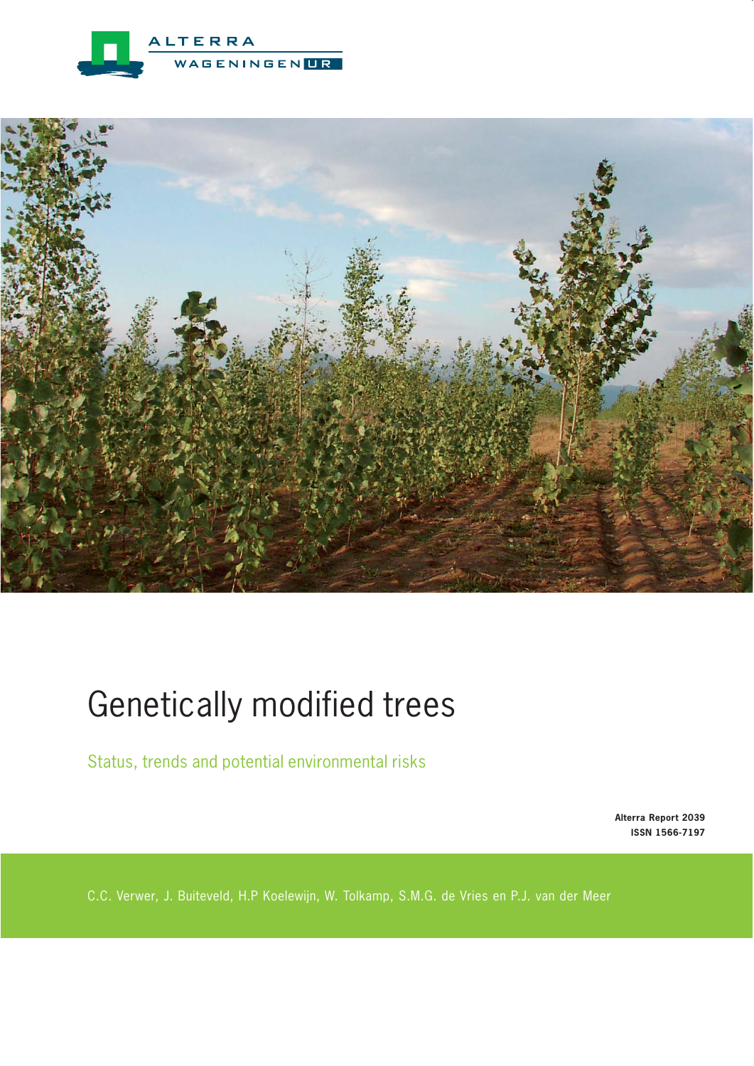



# Genetically modified trees

Status, trends and potential environmental risks

**Alterra Report 2039 ISSN 1566-7197**

C.C. Verwer, J. Buiteveld, H.P Koelewijn, W. Tolkamp, S.M.G. de Vries en P.J. van der Meer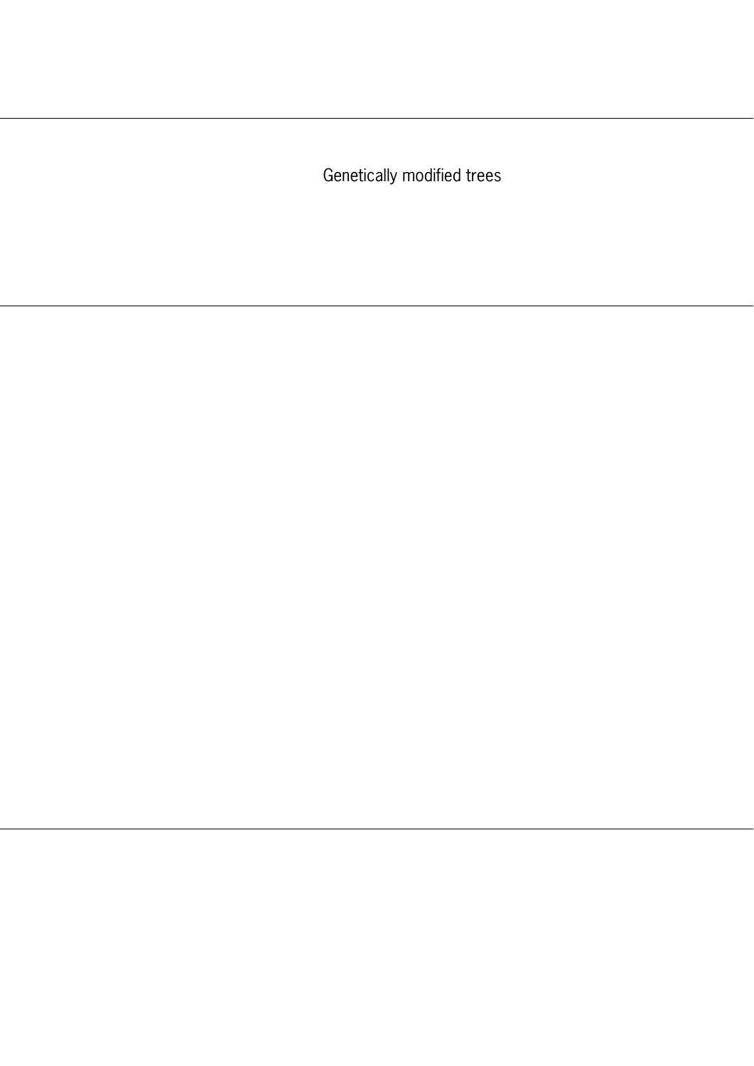Genetically modified trees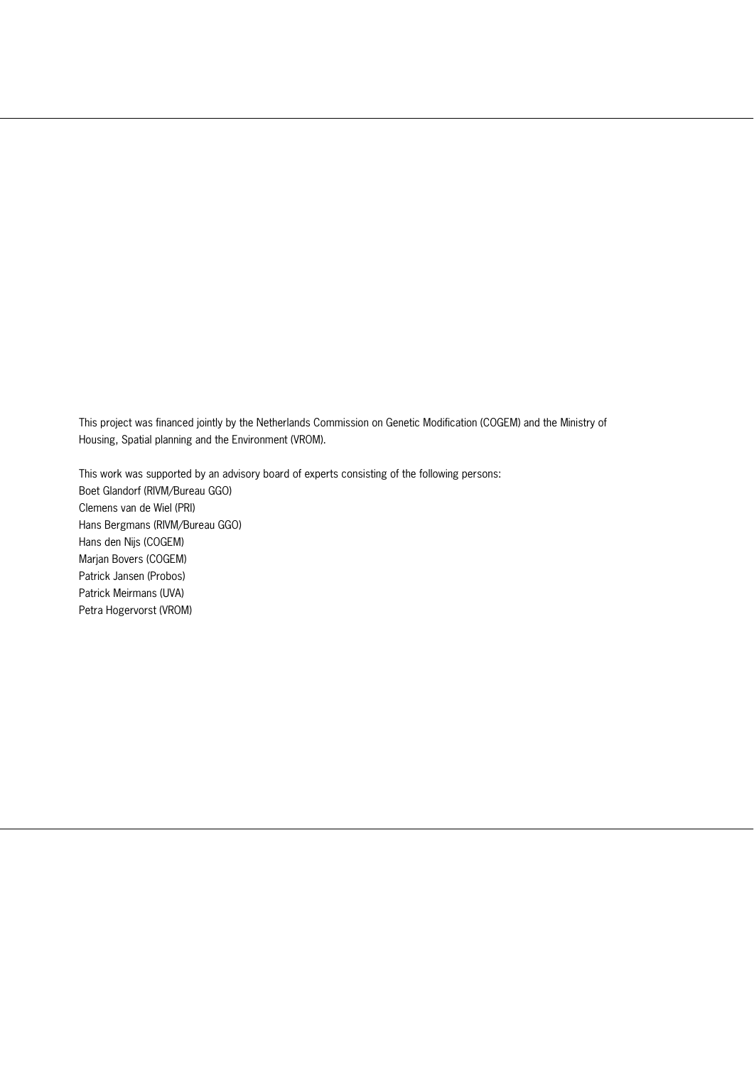This project was financed jointly by the Netherlands Commission on Genetic Modification (COGEM) and the Ministry of Housing, Spatial planning and the Environment (VROM).

This work was supported by an advisory board of experts consisting of the following persons: Boet Glandorf (RIVM/Bureau GGO) Clemens van de Wiel (PRI) Hans Bergmans (RIVM/Bureau GGO) Hans den Nijs (COGEM) Marjan Bovers (COGEM) Patrick Jansen (Probos) Patrick Meirmans (UVA) Petra Hogervorst (VROM)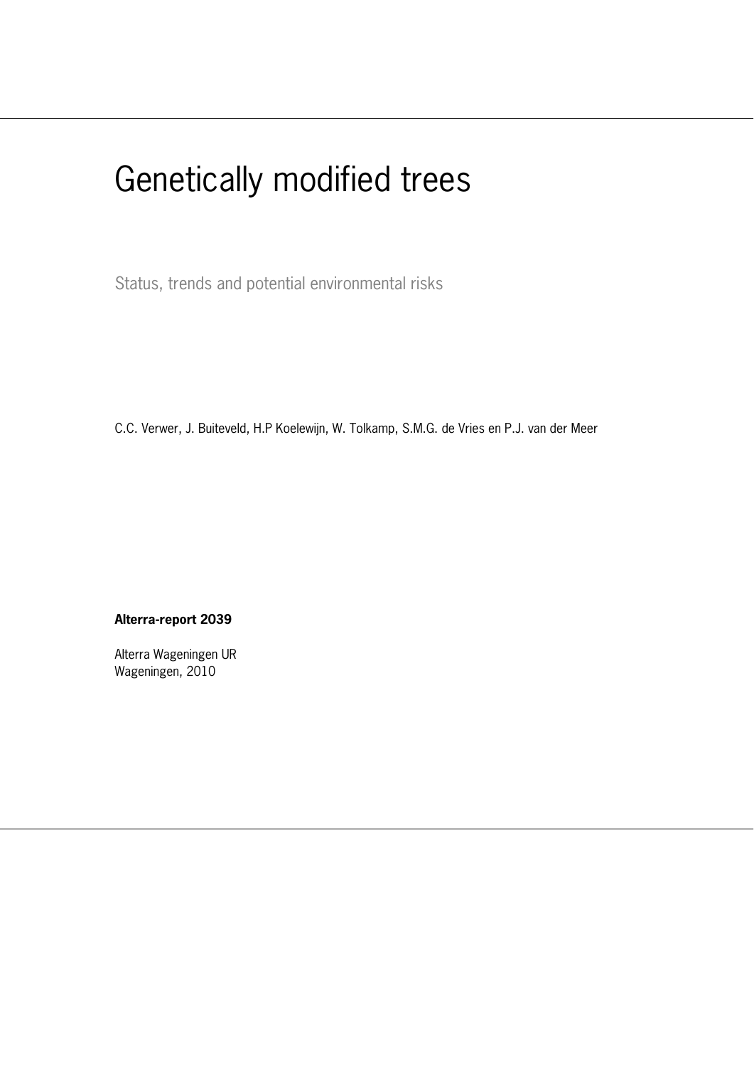# Genetically modified trees

Status, trends and potential environmental risks

C.C. Verwer, J. Buiteveld, H.P Koelewijn, W. Tolkamp, S.M.G. de Vries en P.J. van der Meer

#### **Alterra-report 2039**

Alterra Wageningen UR Wageningen, 2010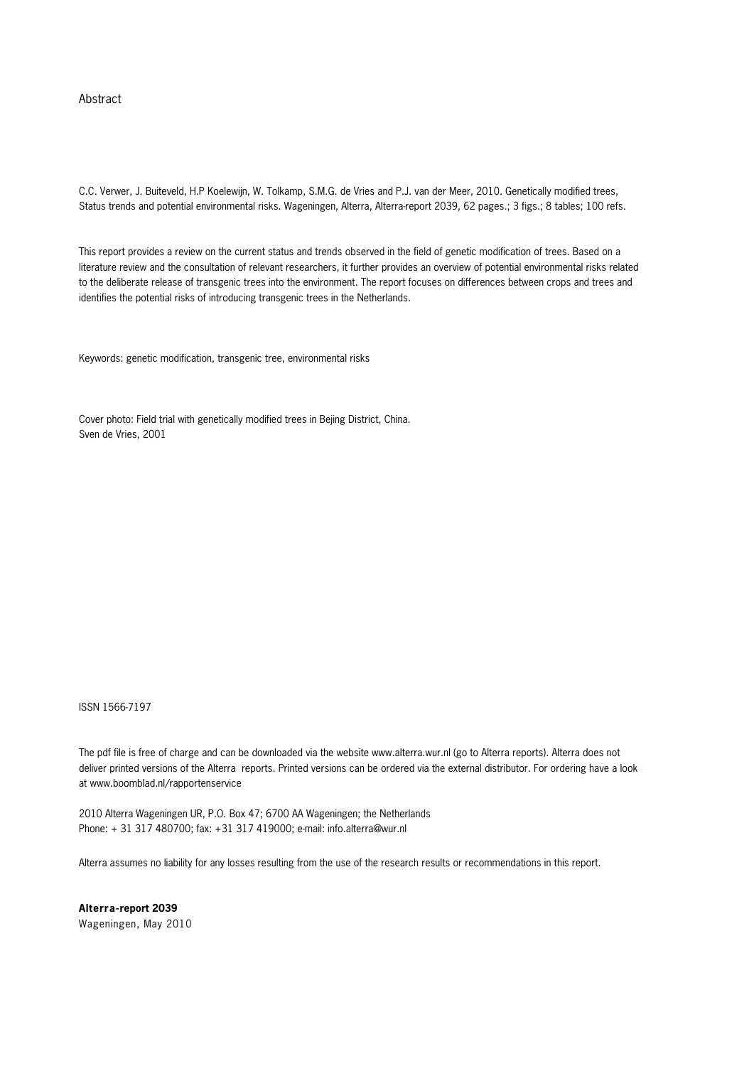#### Abstract

C.C. Verwer, J. Buiteveld, H.P Koelewijn, W. Tolkamp, S.M.G. de Vries and P.J. van der Meer, 2010. Genetically modified trees, Status trends and potential environmental risks. Wageningen, Alterra, Alterra-report 2039, 62 pages.; 3 figs.; 8 tables; 100 refs.

This report provides a review on the current status and trends observed in the field of genetic modification of trees. Based on a literature review and the consultation of relevant researchers, it further provides an overview of potential environmental risks related to the deliberate release of transgenic trees into the environment. The report focuses on differences between crops and trees and identifies the potential risks of introducing transgenic trees in the Netherlands.

Keywords: genetic modification, transgenic tree, environmental risks

Cover photo: Field trial with genetically modified trees in Bejing District, China. Sven de Vries, 2001

ISSN 1566-7197

The pdf file is free of charge and can be downloaded via the website www.alterra.wur.nl (go to Alterra reports). Alterra does not deliver printed versions of the Alterra reports. Printed versions can be ordered via the external distributor. For ordering have a look at www.boomblad.nl/rapportenservice

2010 Alterra Wageningen UR, P.O. Box 47; 6700 AA Wageningen; the Netherlands Phone: + 31 317 480700; fax: +31 317 419000; e-mail: info.alterra@wur.nl

Alterra assumes no liability for any losses resulting from the use of the research results or recommendations in this report.

**Alterra-report 2039**  Wageningen, May 2010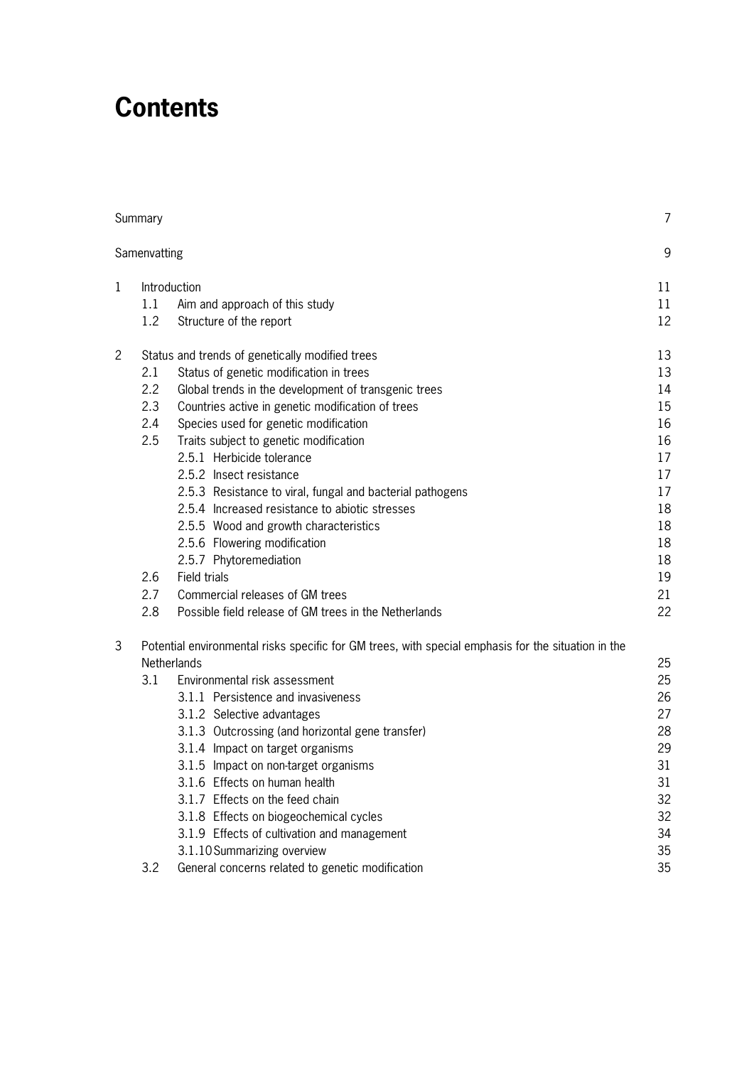## **Contents**

|                | Summary            |                                                                                                     | 7  |  |  |  |
|----------------|--------------------|-----------------------------------------------------------------------------------------------------|----|--|--|--|
|                | Samenvatting       |                                                                                                     | 9  |  |  |  |
| 1              |                    | Introduction                                                                                        |    |  |  |  |
|                | 1.1                | Aim and approach of this study                                                                      | 11 |  |  |  |
|                | 1.2                | Structure of the report                                                                             | 12 |  |  |  |
| $\overline{2}$ |                    | Status and trends of genetically modified trees                                                     | 13 |  |  |  |
|                | 2.1                | Status of genetic modification in trees                                                             | 13 |  |  |  |
|                | 2.2                | Global trends in the development of transgenic trees                                                | 14 |  |  |  |
|                | 2.3                | Countries active in genetic modification of trees                                                   | 15 |  |  |  |
|                | 2.4                | Species used for genetic modification                                                               | 16 |  |  |  |
|                | 2.5                | Traits subject to genetic modification                                                              | 16 |  |  |  |
|                |                    | 2.5.1 Herbicide tolerance                                                                           | 17 |  |  |  |
|                |                    | 2.5.2 Insect resistance                                                                             | 17 |  |  |  |
|                |                    | 2.5.3 Resistance to viral, fungal and bacterial pathogens                                           | 17 |  |  |  |
|                |                    | 2.5.4 Increased resistance to abiotic stresses                                                      | 18 |  |  |  |
|                |                    | 2.5.5 Wood and growth characteristics                                                               | 18 |  |  |  |
|                |                    | 2.5.6 Flowering modification                                                                        | 18 |  |  |  |
|                |                    | 2.5.7 Phytoremediation                                                                              | 18 |  |  |  |
|                | 2.6                | <b>Field trials</b>                                                                                 | 19 |  |  |  |
|                | 2.7                | Commercial releases of GM trees                                                                     | 21 |  |  |  |
|                | 2.8                | Possible field release of GM trees in the Netherlands                                               | 22 |  |  |  |
| 3              |                    | Potential environmental risks specific for GM trees, with special emphasis for the situation in the | 25 |  |  |  |
|                | <b>Netherlands</b> |                                                                                                     |    |  |  |  |
|                | 3.1                | Environmental risk assessment                                                                       | 25 |  |  |  |
|                |                    | 3.1.1 Persistence and invasiveness                                                                  | 26 |  |  |  |
|                |                    | 3.1.2 Selective advantages                                                                          | 27 |  |  |  |
|                |                    | 3.1.3 Outcrossing (and horizontal gene transfer)                                                    | 28 |  |  |  |
|                |                    | 3.1.4 Impact on target organisms                                                                    | 29 |  |  |  |
|                |                    | 3.1.5 Impact on non-target organisms                                                                | 31 |  |  |  |
|                |                    | 3.1.6 Effects on human health                                                                       | 31 |  |  |  |
|                |                    | 3.1.7 Effects on the feed chain                                                                     | 32 |  |  |  |
|                |                    | 3.1.8 Effects on biogeochemical cycles                                                              | 32 |  |  |  |
|                |                    | 3.1.9 Effects of cultivation and management                                                         | 34 |  |  |  |
|                |                    | 3.1.10 Summarizing overview                                                                         | 35 |  |  |  |
|                | 3.2                | General concerns related to genetic modification                                                    | 35 |  |  |  |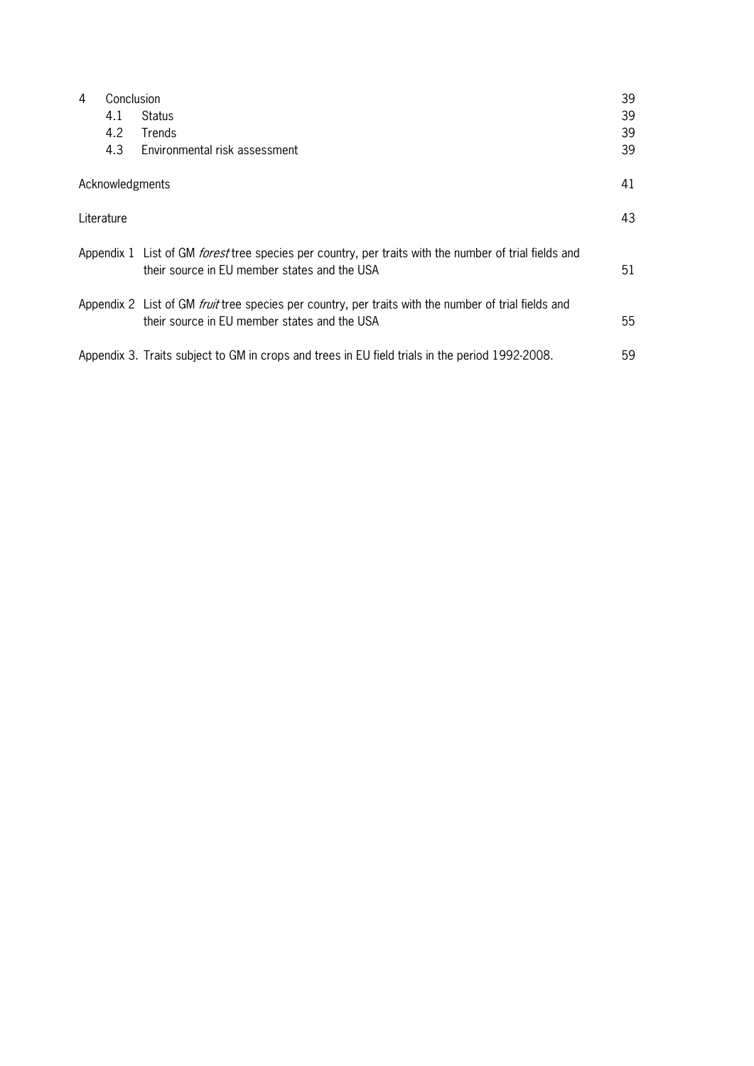| Conclusion<br>4 |                 |                                                                                                                                                              | 39 |
|-----------------|-----------------|--------------------------------------------------------------------------------------------------------------------------------------------------------------|----|
|                 | 4.1             | Status                                                                                                                                                       | 39 |
|                 | 4.2             | Trends                                                                                                                                                       | 39 |
|                 | 4.3             | Environmental risk assessment                                                                                                                                | 39 |
|                 | Acknowledgments |                                                                                                                                                              | 41 |
| Literature      |                 |                                                                                                                                                              | 43 |
|                 |                 | Appendix 1 List of GM <i>forest</i> tree species per country, per traits with the number of trial fields and<br>their source in EU member states and the USA | 51 |
|                 |                 | Appendix 2 List of GM <i>fruit</i> tree species per country, per traits with the number of trial fields and<br>their source in EU member states and the USA  | 55 |
|                 |                 | Appendix 3. Traits subject to GM in crops and trees in EU field trials in the period 1992-2008.                                                              | 59 |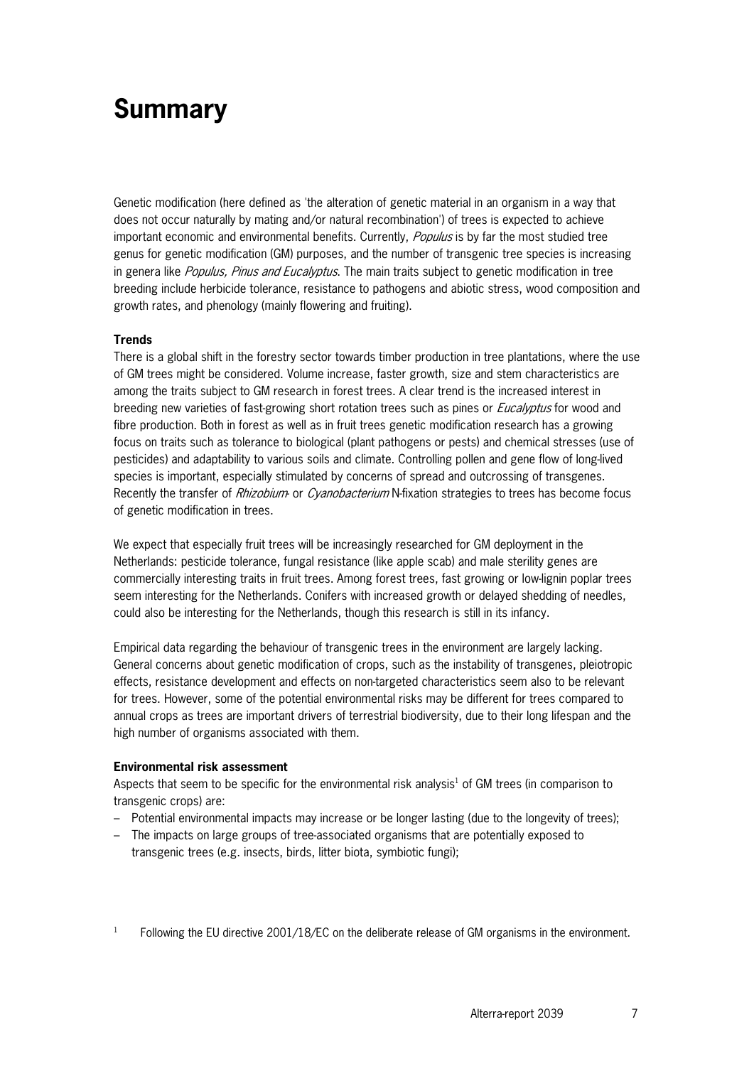## **Summary**

Genetic modification (here defined as 'the alteration of genetic material in an organism in a way that does not occur naturally by mating and/or natural recombination') of trees is expected to achieve important economic and environmental benefits. Currently, *Populus* is by far the most studied tree genus for genetic modification (GM) purposes, and the number of transgenic tree species is increasing in genera like *Populus, Pinus and Eucalvotus*. The main traits subject to genetic modification in tree breeding include herbicide tolerance, resistance to pathogens and abiotic stress, wood composition and growth rates, and phenology (mainly flowering and fruiting).

#### **Trends**

There is a global shift in the forestry sector towards timber production in tree plantations, where the use of GM trees might be considered. Volume increase, faster growth, size and stem characteristics are among the traits subject to GM research in forest trees. A clear trend is the increased interest in breeding new varieties of fast-growing short rotation trees such as pines or *Eucalyptus* for wood and fibre production. Both in forest as well as in fruit trees genetic modification research has a growing focus on traits such as tolerance to biological (plant pathogens or pests) and chemical stresses (use of pesticides) and adaptability to various soils and climate. Controlling pollen and gene flow of long-lived species is important, especially stimulated by concerns of spread and outcrossing of transgenes. Recently the transfer of *Rhizobium*- or *Cyanobacterium* N-fixation strategies to trees has become focus of genetic modification in trees.

We expect that especially fruit trees will be increasingly researched for GM deployment in the Netherlands: pesticide tolerance, fungal resistance (like apple scab) and male sterility genes are commercially interesting traits in fruit trees. Among forest trees, fast growing or low-lignin poplar trees seem interesting for the Netherlands. Conifers with increased growth or delayed shedding of needles, could also be interesting for the Netherlands, though this research is still in its infancy.

Empirical data regarding the behaviour of transgenic trees in the environment are largely lacking. General concerns about genetic modification of crops, such as the instability of transgenes, pleiotropic effects, resistance development and effects on non-targeted characteristics seem also to be relevant for trees. However, some of the potential environmental risks may be different for trees compared to annual crops as trees are important drivers of terrestrial biodiversity, due to their long lifespan and the high number of organisms associated with them.

#### **Environmental risk assessment**

Aspects that seem to be specific for the environmental risk analysis<sup>1</sup> of GM trees (in comparison to transgenic crops) are:

- Potential environmental impacts may increase or be longer lasting (due to the longevity of trees);
- The impacts on large groups of tree-associated organisms that are potentially exposed to transgenic trees (e.g. insects, birds, litter biota, symbiotic fungi);
- 1 Following the EU directive 2001/18/EC on the deliberate release of GM organisms in the environment.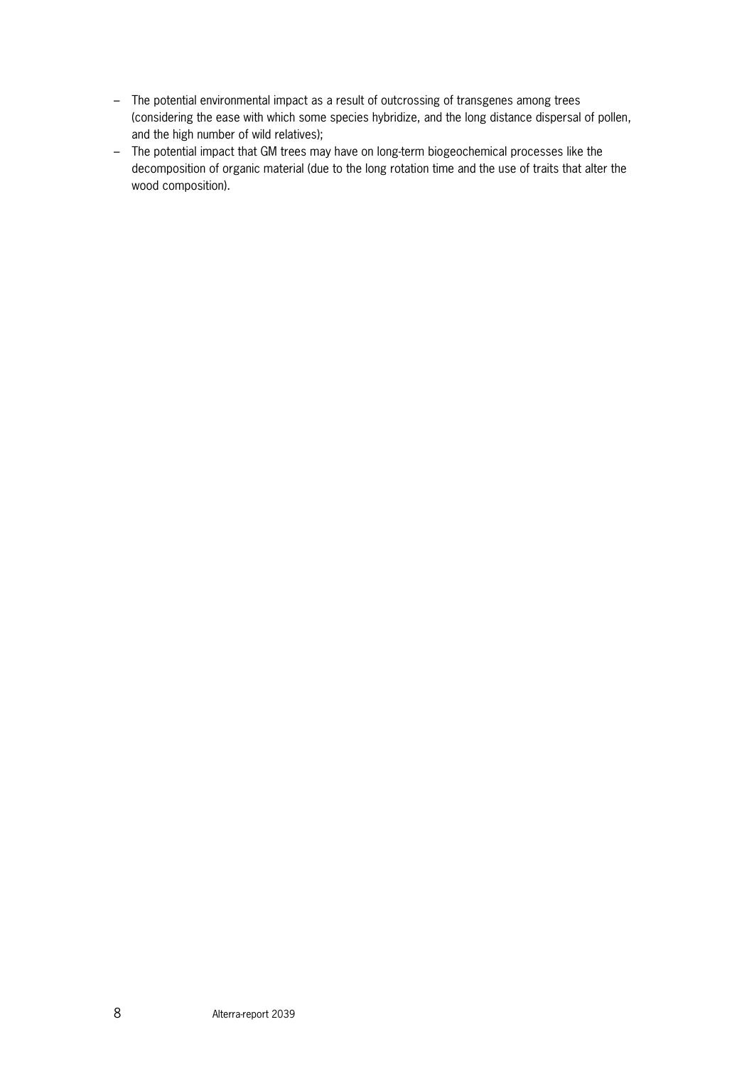- The potential environmental impact as a result of outcrossing of transgenes among trees (considering the ease with which some species hybridize, and the long distance dispersal of pollen, and the high number of wild relatives);
- The potential impact that GM trees may have on long-term biogeochemical processes like the decomposition of organic material (due to the long rotation time and the use of traits that alter the wood composition).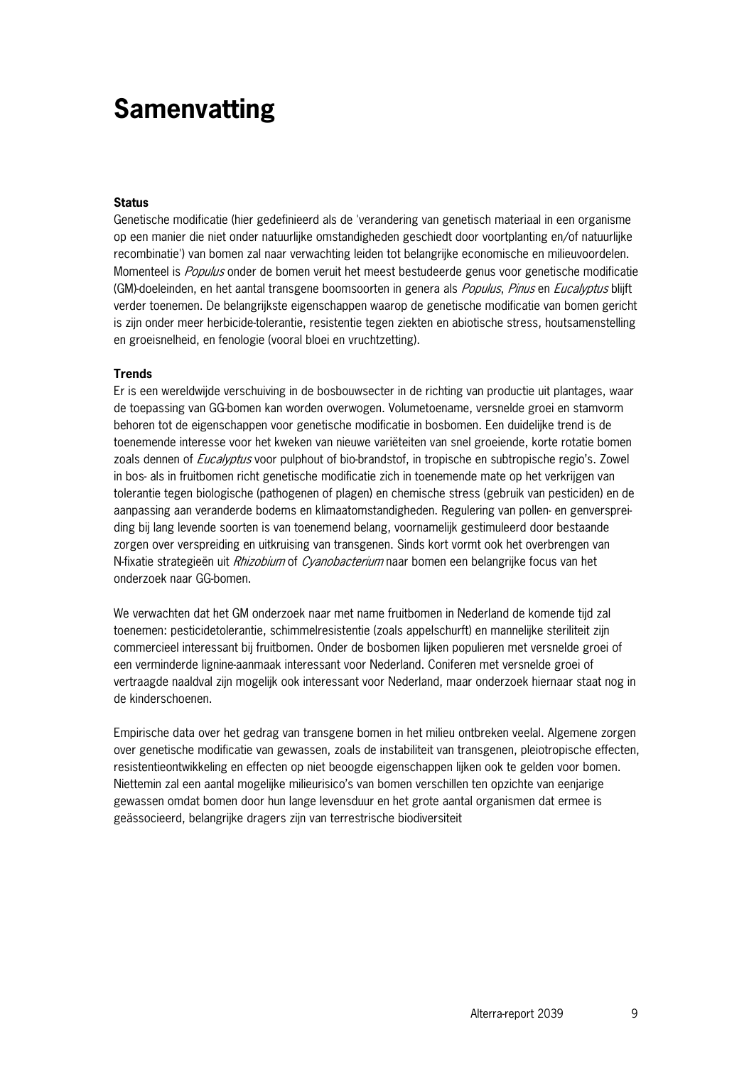## **Samenvatting**

#### **Status**

Genetische modificatie (hier gedefinieerd als de 'verandering van genetisch materiaal in een organisme op een manier die niet onder natuurlijke omstandigheden geschiedt door voortplanting en/of natuurlijke recombinatie') van bomen zal naar verwachting leiden tot belangrijke economische en milieuvoordelen. Momenteel is *Populus* onder de bomen veruit het meest bestudeerde genus voor genetische modificatie (GM)-doeleinden, en het aantal transgene boomsoorten in genera als *Populus, Pinus* en *Eucalyptus* blijft verder toenemen. De belangrijkste eigenschappen waarop de genetische modificatie van bomen gericht is zijn onder meer herbicide-tolerantie, resistentie tegen ziekten en abiotische stress, houtsamenstelling en groeisnelheid, en fenologie (vooral bloei en vruchtzetting).

#### **Trends**

Er is een wereldwijde verschuiving in de bosbouwsecter in de richting van productie uit plantages, waar de toepassing van GG-bomen kan worden overwogen. Volumetoename, versnelde groei en stamvorm behoren tot de eigenschappen voor genetische modificatie in bosbomen. Een duidelijke trend is de toenemende interesse voor het kweken van nieuwe variëteiten van snel groeiende, korte rotatie bomen zoals dennen of *Eucalyptus* voor pulphout of bio-brandstof, in tropische en subtropische regio's. Zowel in bos- als in fruitbomen richt genetische modificatie zich in toenemende mate op het verkrijgen van tolerantie tegen biologische (pathogenen of plagen) en chemische stress (gebruik van pesticiden) en de aanpassing aan veranderde bodems en klimaatomstandigheden. Regulering van pollen- en genverspreiding bij lang levende soorten is van toenemend belang, voornamelijk gestimuleerd door bestaande zorgen over verspreiding en uitkruising van transgenen. Sinds kort vormt ook het overbrengen van N-fixatie strategieën uit *Rhizobium* of *Cyanobacterium* naar bomen een belangrijke focus van het onderzoek naar GG-bomen.

We verwachten dat het GM onderzoek naar met name fruitbomen in Nederland de komende tijd zal toenemen: pesticidetolerantie, schimmelresistentie (zoals appelschurft) en mannelijke steriliteit zijn commercieel interessant bij fruitbomen. Onder de bosbomen lijken populieren met versnelde groei of een verminderde lignine-aanmaak interessant voor Nederland. Coniferen met versnelde groei of vertraagde naaldval zijn mogelijk ook interessant voor Nederland, maar onderzoek hiernaar staat nog in de kinderschoenen.

Empirische data over het gedrag van transgene bomen in het milieu ontbreken veelal. Algemene zorgen over genetische modificatie van gewassen, zoals de instabiliteit van transgenen, pleiotropische effecten, resistentieontwikkeling en effecten op niet beoogde eigenschappen lijken ook te gelden voor bomen. Niettemin zal een aantal mogelijke milieurisico's van bomen verschillen ten opzichte van eenjarige gewassen omdat bomen door hun lange levensduur en het grote aantal organismen dat ermee is geässocieerd, belangrijke dragers zijn van terrestrische biodiversiteit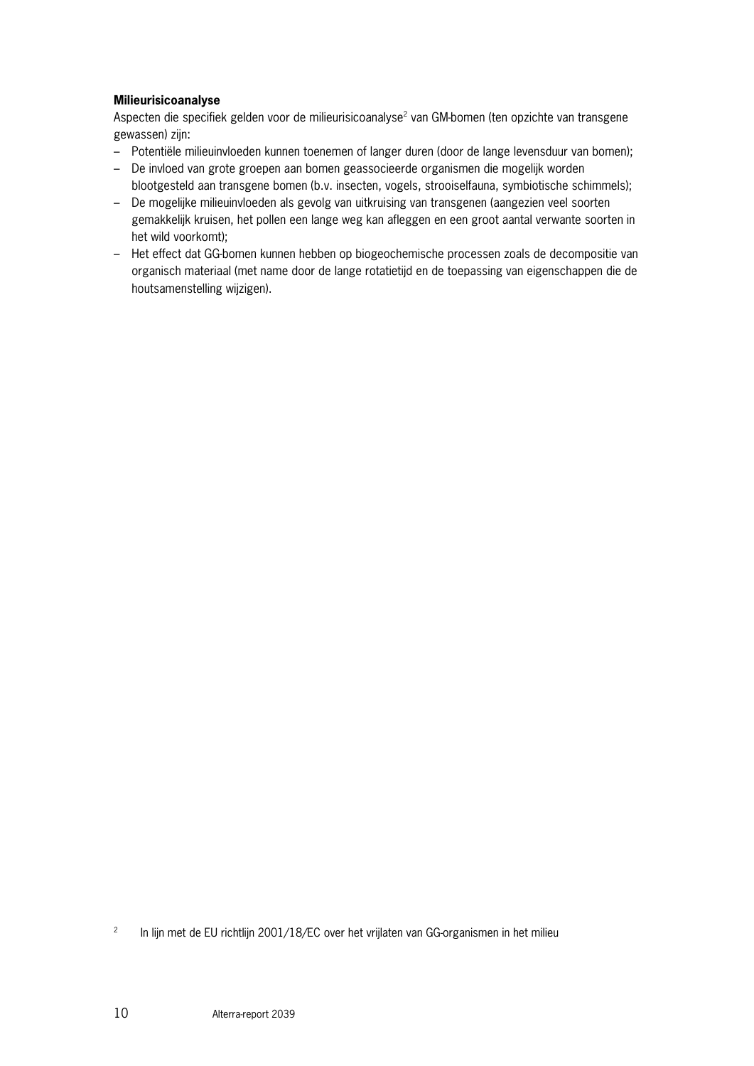#### **Milieurisicoanalyse**

Aspecten die specifiek gelden voor de milieurisicoanalyse<sup>2</sup> van GM-bomen (ten opzichte van transgene gewassen) zijn:

- Potentiële milieuinvloeden kunnen toenemen of langer duren (door de lange levensduur van bomen);
- De invloed van grote groepen aan bomen geassocieerde organismen die mogelijk worden
- blootgesteld aan transgene bomen (b.v. insecten, vogels, strooiselfauna, symbiotische schimmels); – De mogelijke milieuinvloeden als gevolg van uitkruising van transgenen (aangezien veel soorten gemakkelijk kruisen, het pollen een lange weg kan afleggen en een groot aantal verwante soorten in het wild voorkomt);
- Het effect dat GG-bomen kunnen hebben op biogeochemische processen zoals de decompositie van organisch materiaal (met name door de lange rotatietijd en de toepassing van eigenschappen die de houtsamenstelling wijzigen).

2 In lijn met de EU richtlijn 2001/18/EC over het vrijlaten van GG-organismen in het milieu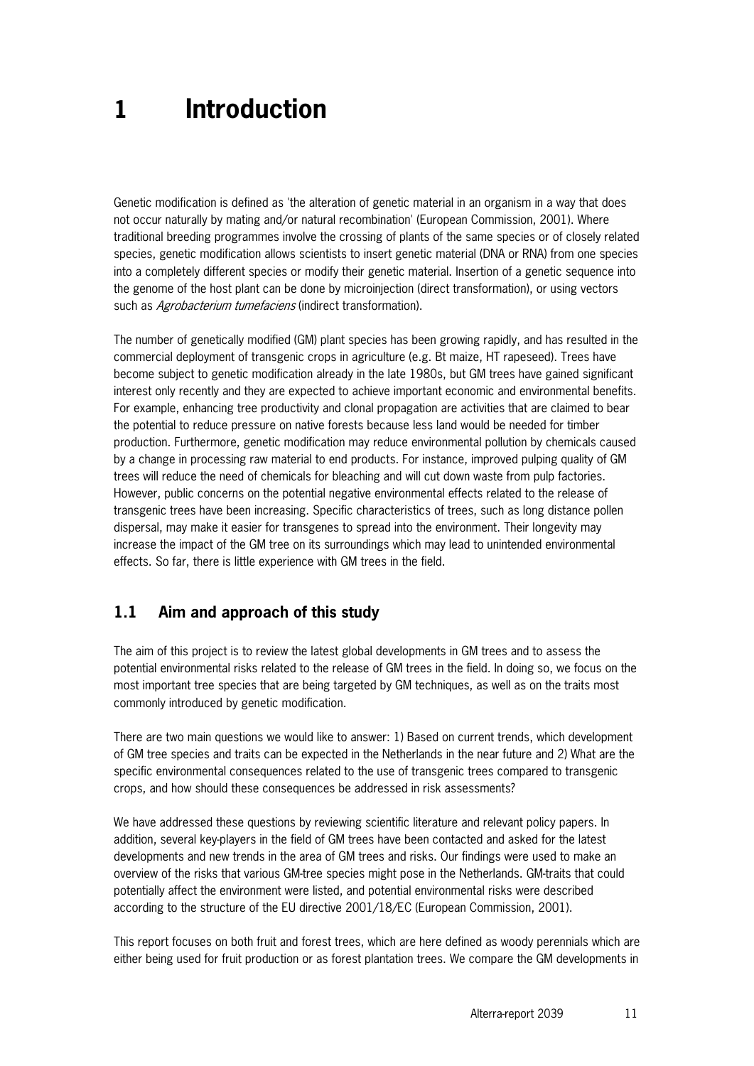## **1 Introduction**

Genetic modification is defined as 'the alteration of genetic material in an organism in a way that does not occur naturally by mating and/or natural recombination' (European Commission, 2001). Where traditional breeding programmes involve the crossing of plants of the same species or of closely related species, genetic modification allows scientists to insert genetic material (DNA or RNA) from one species into a completely different species or modify their genetic material. Insertion of a genetic sequence into the genome of the host plant can be done by microinjection (direct transformation), or using vectors such as *Agrobacterium tumefaciens* (indirect transformation).

The number of genetically modified (GM) plant species has been growing rapidly, and has resulted in the commercial deployment of transgenic crops in agriculture (e.g. Bt maize, HT rapeseed). Trees have become subject to genetic modification already in the late 1980s, but GM trees have gained significant interest only recently and they are expected to achieve important economic and environmental benefits. For example, enhancing tree productivity and clonal propagation are activities that are claimed to bear the potential to reduce pressure on native forests because less land would be needed for timber production. Furthermore, genetic modification may reduce environmental pollution by chemicals caused by a change in processing raw material to end products. For instance, improved pulping quality of GM trees will reduce the need of chemicals for bleaching and will cut down waste from pulp factories. However, public concerns on the potential negative environmental effects related to the release of transgenic trees have been increasing. Specific characteristics of trees, such as long distance pollen dispersal, may make it easier for transgenes to spread into the environment. Their longevity may increase the impact of the GM tree on its surroundings which may lead to unintended environmental effects. So far, there is little experience with GM trees in the field.

### **1.1 Aim and approach of this study**

The aim of this project is to review the latest global developments in GM trees and to assess the potential environmental risks related to the release of GM trees in the field. In doing so, we focus on the most important tree species that are being targeted by GM techniques, as well as on the traits most commonly introduced by genetic modification.

There are two main questions we would like to answer: 1) Based on current trends, which development of GM tree species and traits can be expected in the Netherlands in the near future and 2) What are the specific environmental consequences related to the use of transgenic trees compared to transgenic crops, and how should these consequences be addressed in risk assessments?

We have addressed these questions by reviewing scientific literature and relevant policy papers. In addition, several key-players in the field of GM trees have been contacted and asked for the latest developments and new trends in the area of GM trees and risks. Our findings were used to make an overview of the risks that various GM-tree species might pose in the Netherlands. GM-traits that could potentially affect the environment were listed, and potential environmental risks were described according to the structure of the EU directive 2001/18/EC (European Commission, 2001).

This report focuses on both fruit and forest trees, which are here defined as woody perennials which are either being used for fruit production or as forest plantation trees. We compare the GM developments in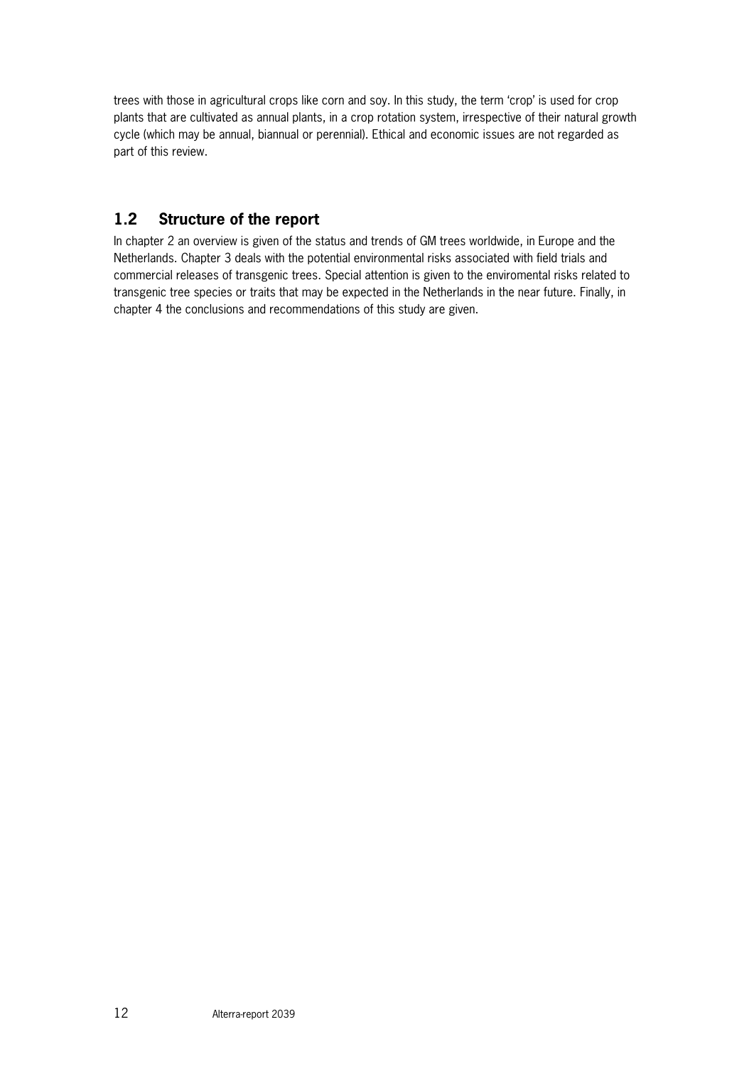trees with those in agricultural crops like corn and soy. In this study, the term 'crop' is used for crop plants that are cultivated as annual plants, in a crop rotation system, irrespective of their natural growth cycle (which may be annual, biannual or perennial). Ethical and economic issues are not regarded as part of this review.

## **1.2 Structure of the report**

In chapter 2 an overview is given of the status and trends of GM trees worldwide, in Europe and the Netherlands. Chapter 3 deals with the potential environmental risks associated with field trials and commercial releases of transgenic trees. Special attention is given to the enviromental risks related to transgenic tree species or traits that may be expected in the Netherlands in the near future. Finally, in chapter 4 the conclusions and recommendations of this study are given.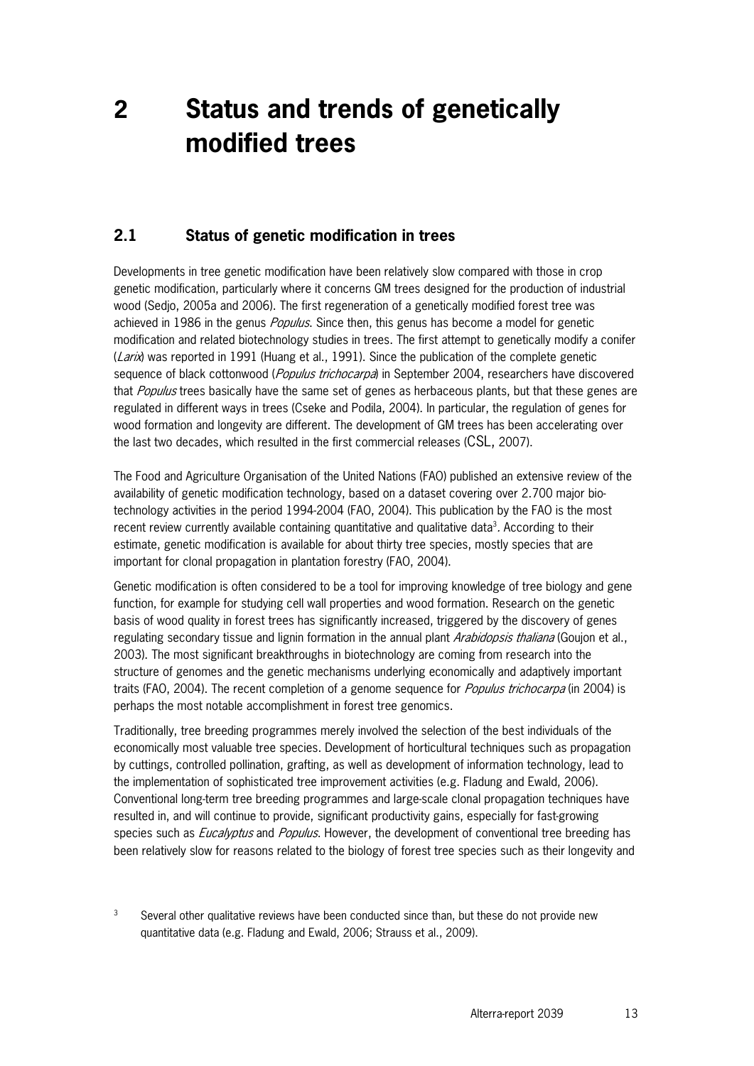## **2 Status and trends of genetically modified trees**

### **2.1 Status of genetic modification in trees**

Developments in tree genetic modification have been relatively slow compared with those in crop genetic modification, particularly where it concerns GM trees designed for the production of industrial wood (Sedjo, 2005a and 2006). The first regeneration of a genetically modified forest tree was achieved in 1986 in the genus *Populus*. Since then, this genus has become a model for genetic modification and related biotechnology studies in trees. The first attempt to genetically modify a conifer  $(Lari)$  was reported in 1991 (Huang et al., 1991). Since the publication of the complete genetic sequence of black cottonwood (Populus trichocarpa) in September 2004, researchers have discovered that Populus trees basically have the same set of genes as herbaceous plants, but that these genes are regulated in different ways in trees (Cseke and Podila, 2004). In particular, the regulation of genes for wood formation and longevity are different. The development of GM trees has been accelerating over the last two decades, which resulted in the first commercial releases (CSL, 2007).

The Food and Agriculture Organisation of the United Nations (FAO) published an extensive review of the availability of genetic modification technology, based on a dataset covering over 2.700 major biotechnology activities in the period 1994-2004 (FAO, 2004). This publication by the FAO is the most recent review currently available containing quantitative and qualitative data<sup>3</sup>. According to their estimate, genetic modification is available for about thirty tree species, mostly species that are important for clonal propagation in plantation forestry (FAO, 2004).

Genetic modification is often considered to be a tool for improving knowledge of tree biology and gene function, for example for studying cell wall properties and wood formation. Research on the genetic basis of wood quality in forest trees has significantly increased, triggered by the discovery of genes regulating secondary tissue and lignin formation in the annual plant Arabidopsis thaliana (Goujon et al., 2003). The most significant breakthroughs in biotechnology are coming from research into the structure of genomes and the genetic mechanisms underlying economically and adaptively important traits (FAO, 2004). The recent completion of a genome sequence for *Populus trichocarpa* (in 2004) is perhaps the most notable accomplishment in forest tree genomics.

Traditionally, tree breeding programmes merely involved the selection of the best individuals of the economically most valuable tree species. Development of horticultural techniques such as propagation by cuttings, controlled pollination, grafting, as well as development of information technology, lead to the implementation of sophisticated tree improvement activities (e.g. Fladung and Ewald, 2006). Conventional long-term tree breeding programmes and large-scale clonal propagation techniques have resulted in, and will continue to provide, significant productivity gains, especially for fast-growing species such as *Eucalyptus* and *Populus*. However, the development of conventional tree breeding has been relatively slow for reasons related to the biology of forest tree species such as their longevity and

3 Several other qualitative reviews have been conducted since than, but these do not provide new quantitative data (e.g. Fladung and Ewald, 2006; Strauss et al., 2009).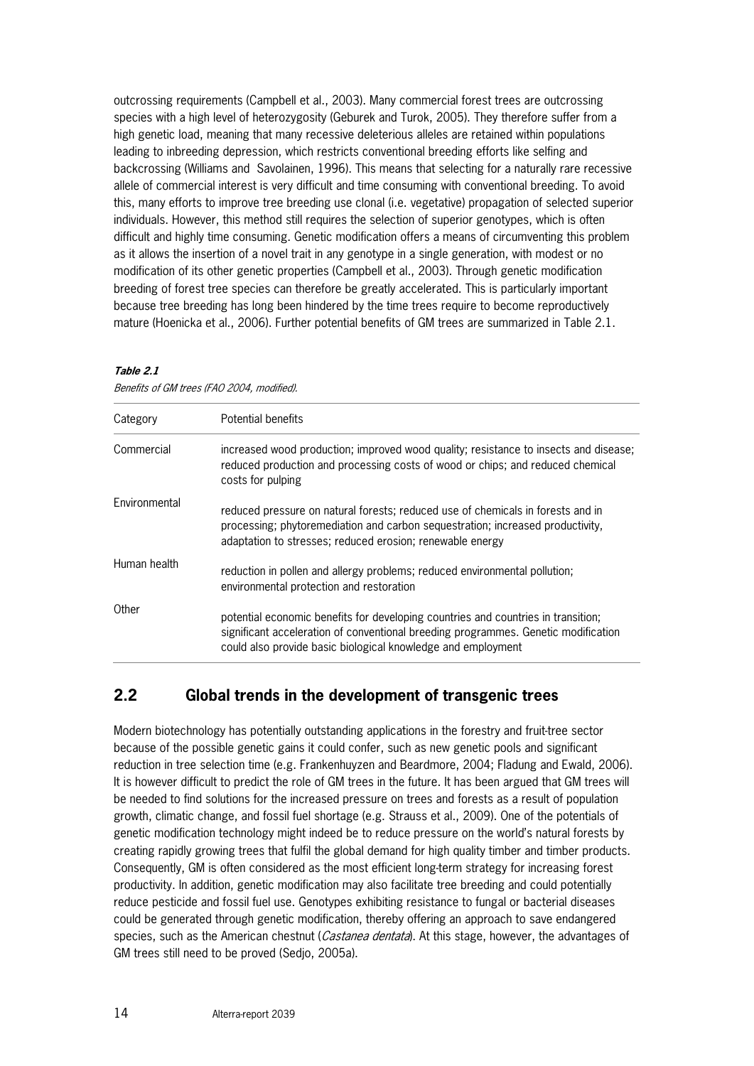outcrossing requirements (Campbell et al., 2003). Many commercial forest trees are outcrossing species with a high level of heterozygosity (Geburek and Turok, 2005). They therefore suffer from a high genetic load, meaning that many recessive deleterious alleles are retained within populations leading to inbreeding depression, which restricts conventional breeding efforts like selfing and backcrossing (Williams and Savolainen, 1996). This means that selecting for a naturally rare recessive allele of commercial interest is very difficult and time consuming with conventional breeding. To avoid this, many efforts to improve tree breeding use clonal (i.e. vegetative) propagation of selected superior individuals. However, this method still requires the selection of superior genotypes, which is often difficult and highly time consuming. Genetic modification offers a means of circumventing this problem as it allows the insertion of a novel trait in any genotype in a single generation, with modest or no modification of its other genetic properties (Campbell et al., 2003). Through genetic modification breeding of forest tree species can therefore be greatly accelerated. This is particularly important because tree breeding has long been hindered by the time trees require to become reproductively mature (Hoenicka et al., 2006). Further potential benefits of GM trees are summarized in Table 2.1.

#### **Table 2.1**

|  | Benefits of GM trees (FAO 2004, modified). |  |
|--|--------------------------------------------|--|
|--|--------------------------------------------|--|

| Category      | Potential benefits                                                                                                                                                                                                                      |
|---------------|-----------------------------------------------------------------------------------------------------------------------------------------------------------------------------------------------------------------------------------------|
| Commercial    | increased wood production; improved wood quality; resistance to insects and disease;<br>reduced production and processing costs of wood or chips; and reduced chemical<br>costs for pulping                                             |
| Environmental | reduced pressure on natural forests; reduced use of chemicals in forests and in<br>processing; phytoremediation and carbon sequestration; increased productivity,<br>adaptation to stresses; reduced erosion; renewable energy          |
| Human health  | reduction in pollen and allergy problems; reduced environmental pollution;<br>environmental protection and restoration                                                                                                                  |
| Other         | potential economic benefits for developing countries and countries in transition;<br>significant acceleration of conventional breeding programmes. Genetic modification<br>could also provide basic biological knowledge and employment |

#### **2.2 Global trends in the development of transgenic trees**

Modern biotechnology has potentially outstanding applications in the forestry and fruit-tree sector because of the possible genetic gains it could confer, such as new genetic pools and significant reduction in tree selection time (e.g. Frankenhuyzen and Beardmore, 2004; Fladung and Ewald, 2006). It is however difficult to predict the role of GM trees in the future. It has been argued that GM trees will be needed to find solutions for the increased pressure on trees and forests as a result of population growth, climatic change, and fossil fuel shortage (e.g. Strauss et al., 2009). One of the potentials of genetic modification technology might indeed be to reduce pressure on the world's natural forests by creating rapidly growing trees that fulfil the global demand for high quality timber and timber products. Consequently, GM is often considered as the most efficient long-term strategy for increasing forest productivity. In addition, genetic modification may also facilitate tree breeding and could potentially reduce pesticide and fossil fuel use. Genotypes exhibiting resistance to fungal or bacterial diseases could be generated through genetic modification, thereby offering an approach to save endangered species, such as the American chestnut (*Castanea dentata*). At this stage, however, the advantages of GM trees still need to be proved (Sedjo, 2005a).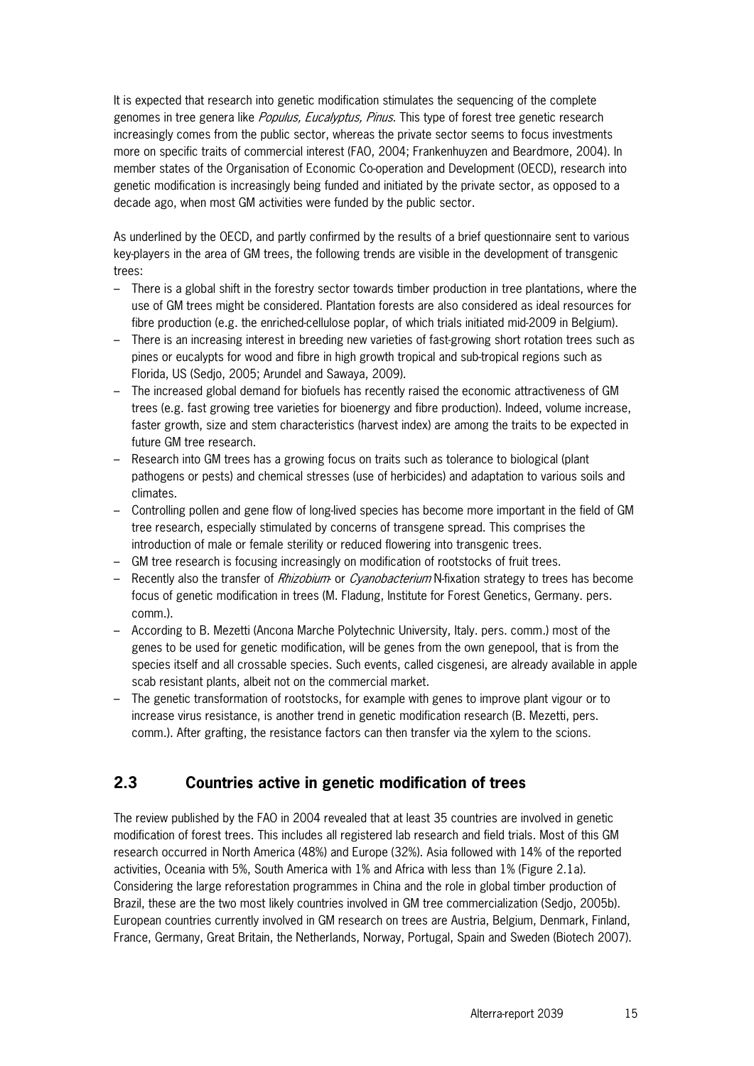It is expected that research into genetic modification stimulates the sequencing of the complete genomes in tree genera like *Populus, Eucalyptus, Pinus*. This type of forest tree genetic research increasingly comes from the public sector, whereas the private sector seems to focus investments more on specific traits of commercial interest (FAO, 2004; Frankenhuyzen and Beardmore, 2004). In member states of the Organisation of Economic Co-operation and Development (OECD), research into genetic modification is increasingly being funded and initiated by the private sector, as opposed to a decade ago, when most GM activities were funded by the public sector.

As underlined by the OECD, and partly confirmed by the results of a brief questionnaire sent to various key-players in the area of GM trees, the following trends are visible in the development of transgenic trees:

- There is a global shift in the forestry sector towards timber production in tree plantations, where the use of GM trees might be considered. Plantation forests are also considered as ideal resources for fibre production (e.g. the enriched-cellulose poplar, of which trials initiated mid-2009 in Belgium).
- There is an increasing interest in breeding new varieties of fast-growing short rotation trees such as pines or eucalypts for wood and fibre in high growth tropical and sub-tropical regions such as Florida, US (Sedjo, 2005; Arundel and Sawaya, 2009).
- The increased global demand for biofuels has recently raised the economic attractiveness of GM trees (e.g. fast growing tree varieties for bioenergy and fibre production). Indeed, volume increase, faster growth, size and stem characteristics (harvest index) are among the traits to be expected in future GM tree research.
- Research into GM trees has a growing focus on traits such as tolerance to biological (plant pathogens or pests) and chemical stresses (use of herbicides) and adaptation to various soils and climates.
- Controlling pollen and gene flow of long-lived species has become more important in the field of GM tree research, especially stimulated by concerns of transgene spread. This comprises the introduction of male or female sterility or reduced flowering into transgenic trees.
- GM tree research is focusing increasingly on modification of rootstocks of fruit trees.
- Recently also the transfer of *Rhizobium* or *Cyanobacterium* N-fixation strategy to trees has become focus of genetic modification in trees (M. Fladung, Institute for Forest Genetics, Germany. pers. comm.).
- According to B. Mezetti (Ancona Marche Polytechnic University, Italy. pers. comm.) most of the genes to be used for genetic modification, will be genes from the own genepool, that is from the species itself and all crossable species. Such events, called cisgenesi, are already available in apple scab resistant plants, albeit not on the commercial market.
- The genetic transformation of rootstocks, for example with genes to improve plant vigour or to increase virus resistance, is another trend in genetic modification research (B. Mezetti, pers. comm.). After grafting, the resistance factors can then transfer via the xylem to the scions.

## **2.3 Countries active in genetic modification of trees**

The review published by the FAO in 2004 revealed that at least 35 countries are involved in genetic modification of forest trees. This includes all registered lab research and field trials. Most of this GM research occurred in North America (48%) and Europe (32%). Asia followed with 14% of the reported activities, Oceania with 5%, South America with 1% and Africa with less than 1% (Figure 2.1a). Considering the large reforestation programmes in China and the role in global timber production of Brazil, these are the two most likely countries involved in GM tree commercialization (Sedjo, 2005b). European countries currently involved in GM research on trees are Austria, Belgium, Denmark, Finland, France, Germany, Great Britain, the Netherlands, Norway, Portugal, Spain and Sweden (Biotech 2007).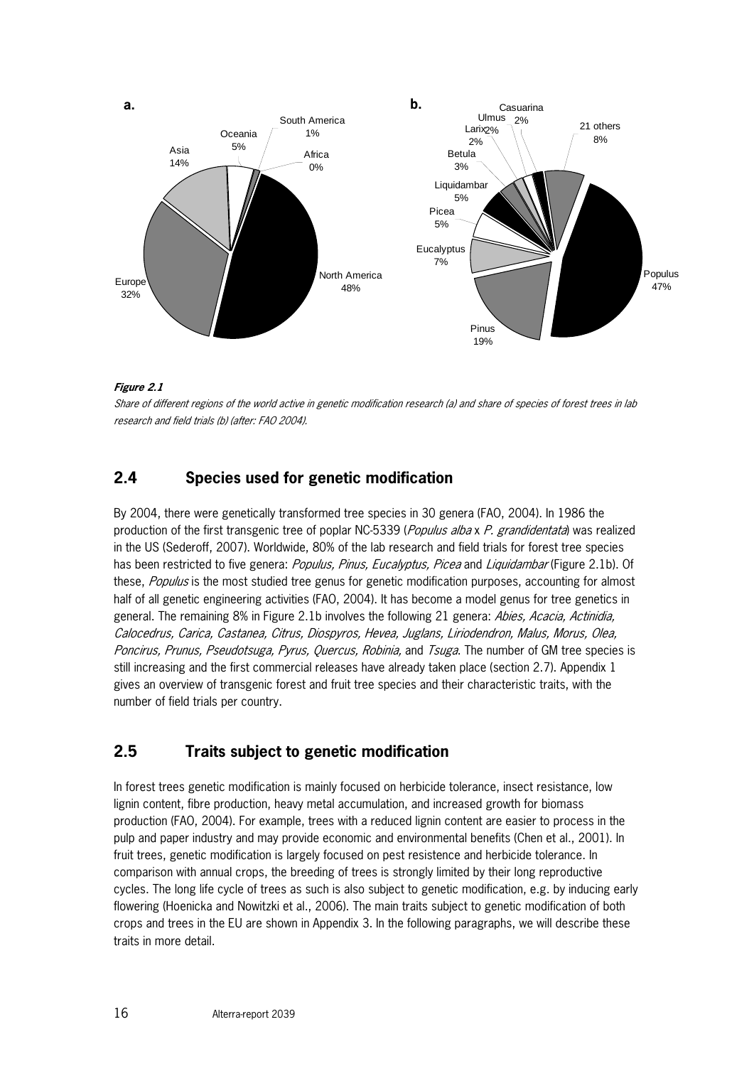

#### **Figure 2.1**

Share of different regions of the world active in genetic modification research (a) and share of species of forest trees in lab research and field trials (b) (after: FAO 2004).

### **2.4 Species used for genetic modification**

By 2004, there were genetically transformed tree species in 30 genera (FAO, 2004). In 1986 the production of the first transgenic tree of poplar NC-5339 (Populus alba x P. grandidentata) was realized in the US (Sederoff, 2007). Worldwide, 80% of the lab research and field trials for forest tree species has been restricted to five genera: Populus, Pinus, Eucalyptus, Picea and Liquidambar (Figure 2.1b). Of these, *Populus* is the most studied tree genus for genetic modification purposes, accounting for almost half of all genetic engineering activities (FAO, 2004). It has become a model genus for tree genetics in general. The remaining 8% in Figure 2.1b involves the following 21 genera: Abies, Acacia, Actinidia, Calocedrus, Carica, Castanea, Citrus, Diospyros, Hevea, Juglans, Liriodendron, Malus, Morus, Olea, Poncirus, Prunus, Pseudotsuga, Pyrus, Quercus, Robinia, and Tsuga. The number of GM tree species is still increasing and the first commercial releases have already taken place (section 2.7). Appendix 1 gives an overview of transgenic forest and fruit tree species and their characteristic traits, with the number of field trials per country.

### **2.5 Traits subject to genetic modification**

In forest trees genetic modification is mainly focused on herbicide tolerance, insect resistance, low lignin content, fibre production, heavy metal accumulation, and increased growth for biomass production (FAO, 2004). For example, trees with a reduced lignin content are easier to process in the pulp and paper industry and may provide economic and environmental benefits (Chen et al., 2001). In fruit trees, genetic modification is largely focused on pest resistence and herbicide tolerance. In comparison with annual crops, the breeding of trees is strongly limited by their long reproductive cycles. The long life cycle of trees as such is also subject to genetic modification, e.g. by inducing early flowering (Hoenicka and Nowitzki et al., 2006). The main traits subject to genetic modification of both crops and trees in the EU are shown in Appendix 3. In the following paragraphs, we will describe these traits in more detail.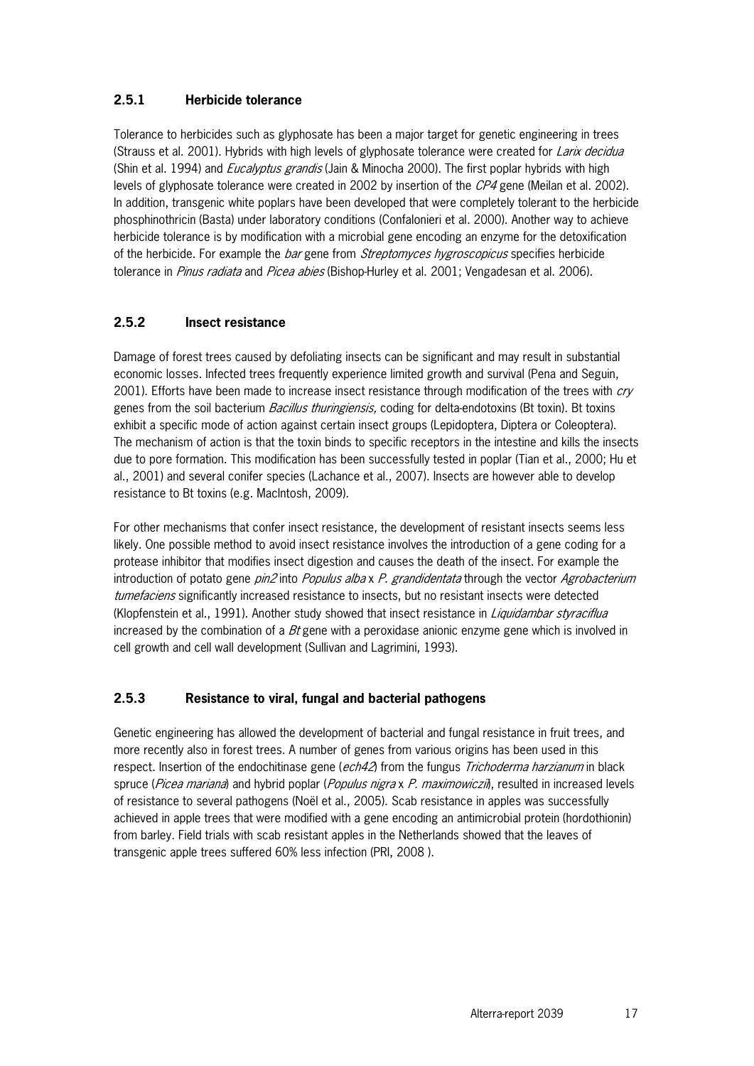#### **2.5.1 Herbicide tolerance**

Tolerance to herbicides such as glyphosate has been a major target for genetic engineering in trees (Strauss et al. 2001). Hybrids with high levels of glyphosate tolerance were created for Larix decidua (Shin et al. 1994) and *Eucalyptus grandis* (Jain & Minocha 2000). The first poplar hybrids with high levels of glyphosate tolerance were created in 2002 by insertion of the CP4 gene (Meilan et al. 2002). In addition, transgenic white poplars have been developed that were completely tolerant to the herbicide phosphinothricin (Basta) under laboratory conditions (Confalonieri et al. 2000). Another way to achieve herbicide tolerance is by modification with a microbial gene encoding an enzyme for the detoxification of the herbicide. For example the *bar* gene from *Streptomyces hygroscopicus* specifies herbicide tolerance in *Pinus radiata* and *Picea abies* (Bishop-Hurley et al. 2001; Vengadesan et al. 2006).

#### **2.5.2 Insect resistance**

Damage of forest trees caused by defoliating insects can be significant and may result in substantial economic losses. Infected trees frequently experience limited growth and survival (Pena and Seguin, 2001). Efforts have been made to increase insect resistance through modification of the trees with cry genes from the soil bacterium Bacillus thuringiensis, coding for delta-endotoxins (Bt toxin). Bt toxins exhibit a specific mode of action against certain insect groups (Lepidoptera, Diptera or Coleoptera). The mechanism of action is that the toxin binds to specific receptors in the intestine and kills the insects due to pore formation. This modification has been successfully tested in poplar (Tian et al., 2000; Hu et al., 2001) and several conifer species (Lachance et al., 2007). Insects are however able to develop resistance to Bt toxins (e.g. MacIntosh, 2009).

For other mechanisms that confer insect resistance, the development of resistant insects seems less likely. One possible method to avoid insect resistance involves the introduction of a gene coding for a protease inhibitor that modifies insect digestion and causes the death of the insect. For example the introduction of potato gene *pin2* into *Populus alba x P. grandidentata* through the vector *Agrobacterium* tumefaciens significantly increased resistance to insects, but no resistant insects were detected (Klopfenstein et al., 1991). Another study showed that insect resistance in Liquidambar styraciflua increased by the combination of a  $Bt$  gene with a peroxidase anionic enzyme gene which is involved in cell growth and cell wall development (Sullivan and Lagrimini, 1993).

### **2.5.3 Resistance to viral, fungal and bacterial pathogens**

Genetic engineering has allowed the development of bacterial and fungal resistance in fruit trees, and more recently also in forest trees. A number of genes from various origins has been used in this respect. Insertion of the endochitinase gene (ech42) from the fungus Trichoderma harzianum in black spruce (*Picea mariana*) and hybrid poplar (*Populus nigra x P. maximowiczii*), resulted in increased levels of resistance to several pathogens (Noël et al., 2005). Scab resistance in apples was successfully achieved in apple trees that were modified with a gene encoding an antimicrobial protein (hordothionin) from barley. Field trials with scab resistant apples in the Netherlands showed that the leaves of transgenic apple trees suffered 60% less infection (PRI, 2008 ).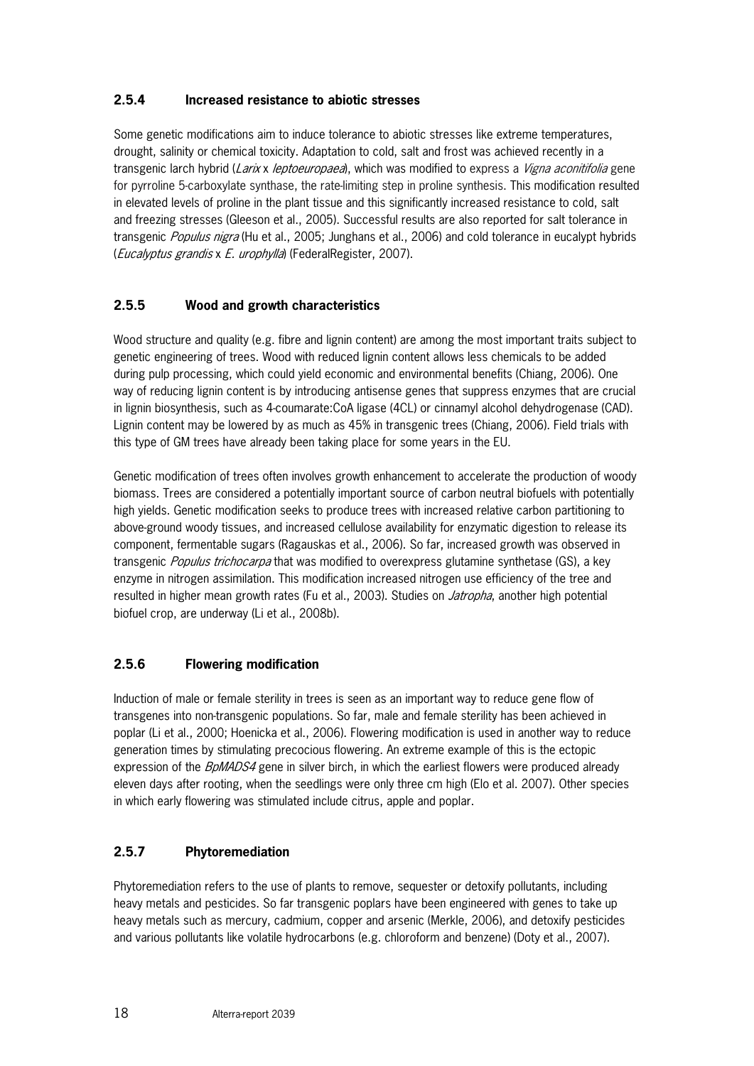### **2.5.4 Increased resistance to abiotic stresses**

Some genetic modifications aim to induce tolerance to abiotic stresses like extreme temperatures, drought, salinity or chemical toxicity. Adaptation to cold, salt and frost was achieved recently in a transgenic larch hybrid (Larix x leptoeuropaea), which was modified to express a Vigna aconitifolia gene for pyrroline 5-carboxylate synthase, the rate-limiting step in proline synthesis. This modification resulted in elevated levels of proline in the plant tissue and this significantly increased resistance to cold, salt and freezing stresses (Gleeson et al., 2005). Successful results are also reported for salt tolerance in transgenic *Populus nigra* (Hu et al., 2005; Junghans et al., 2006) and cold tolerance in eucalypt hybrids (Eucalyptus grandis x E. urophylla) (FederalRegister, 2007).

### **2.5.5 Wood and growth characteristics**

Wood structure and quality (e.g. fibre and lignin content) are among the most important traits subject to genetic engineering of trees. Wood with reduced lignin content allows less chemicals to be added during pulp processing, which could yield economic and environmental benefits (Chiang, 2006). One way of reducing lignin content is by introducing antisense genes that suppress enzymes that are crucial in lignin biosynthesis, such as 4-coumarate:CoA ligase (4CL) or cinnamyl alcohol dehydrogenase (CAD). Lignin content may be lowered by as much as 45% in transgenic trees (Chiang, 2006). Field trials with this type of GM trees have already been taking place for some years in the EU.

Genetic modification of trees often involves growth enhancement to accelerate the production of woody biomass. Trees are considered a potentially important source of carbon neutral biofuels with potentially high yields. Genetic modification seeks to produce trees with increased relative carbon partitioning to above-ground woody tissues, and increased cellulose availability for enzymatic digestion to release its component, fermentable sugars (Ragauskas et al., 2006). So far, increased growth was observed in transgenic *Populus trichocarpa* that was modified to overexpress glutamine synthetase (GS), a key enzyme in nitrogen assimilation. This modification increased nitrogen use efficiency of the tree and resulted in higher mean growth rates (Fu et al., 2003). Studies on *Jatropha*, another high potential biofuel crop, are underway (Li et al., 2008b).

### **2.5.6 Flowering modification**

Induction of male or female sterility in trees is seen as an important way to reduce gene flow of transgenes into non-transgenic populations. So far, male and female sterility has been achieved in poplar (Li et al., 2000; Hoenicka et al., 2006). Flowering modification is used in another way to reduce generation times by stimulating precocious flowering. An extreme example of this is the ectopic expression of the BpMADS4 gene in silver birch, in which the earliest flowers were produced already eleven days after rooting, when the seedlings were only three cm high (Elo et al. 2007). Other species in which early flowering was stimulated include citrus, apple and poplar.

### **2.5.7 Phytoremediation**

Phytoremediation refers to the use of plants to remove, sequester or detoxify pollutants, including heavy metals and pesticides. So far transgenic poplars have been engineered with genes to take up heavy metals such as mercury, cadmium, copper and arsenic (Merkle, 2006), and detoxify pesticides and various pollutants like volatile hydrocarbons (e.g. chloroform and benzene) (Doty et al., 2007).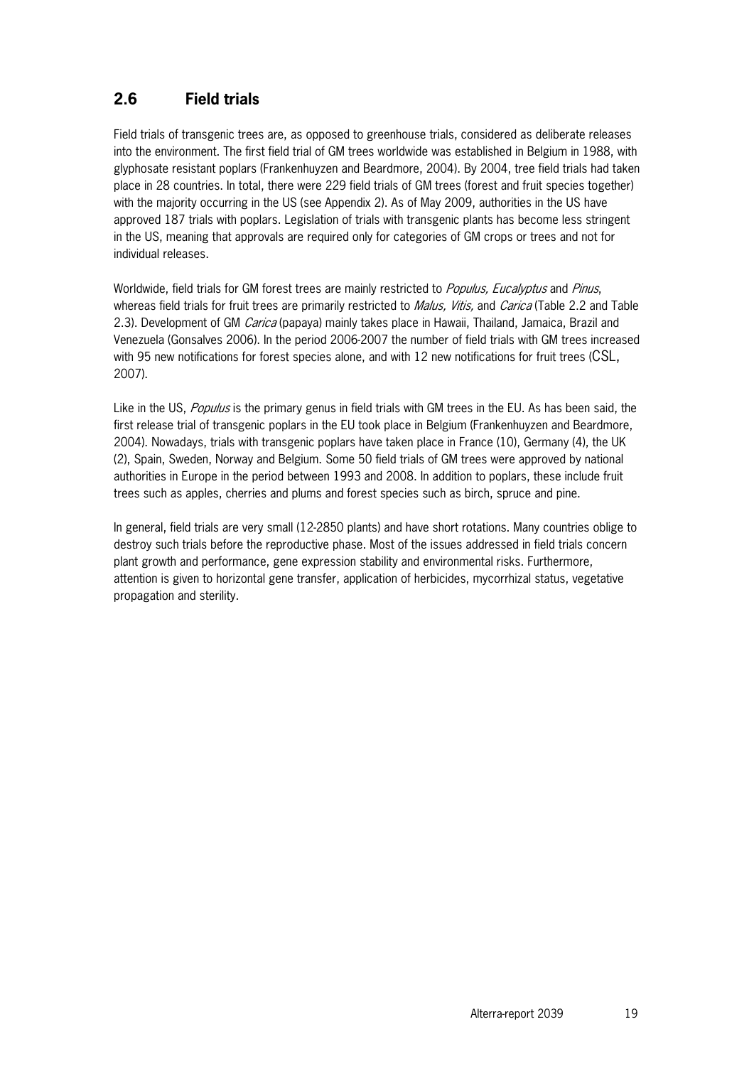## **2.6 Field trials**

Field trials of transgenic trees are, as opposed to greenhouse trials, considered as deliberate releases into the environment. The first field trial of GM trees worldwide was established in Belgium in 1988, with glyphosate resistant poplars (Frankenhuyzen and Beardmore, 2004). By 2004, tree field trials had taken place in 28 countries. In total, there were 229 field trials of GM trees (forest and fruit species together) with the majority occurring in the US (see Appendix 2). As of May 2009, authorities in the US have approved 187 trials with poplars. Legislation of trials with transgenic plants has become less stringent in the US, meaning that approvals are required only for categories of GM crops or trees and not for individual releases.

Worldwide, field trials for GM forest trees are mainly restricted to *Populus, Eucalyptus* and *Pinus*, whereas field trials for fruit trees are primarily restricted to *Malus, Vitis*, and *Carica* (Table 2.2 and Table 2.3). Development of GM *Carica* (papaya) mainly takes place in Hawaii, Thailand, Jamaica, Brazil and Venezuela (Gonsalves 2006). In the period 2006-2007 the number of field trials with GM trees increased with 95 new notifications for forest species alone, and with 12 new notifications for fruit trees (CSL, 2007).

Like in the US, Populus is the primary genus in field trials with GM trees in the EU. As has been said, the first release trial of transgenic poplars in the EU took place in Belgium (Frankenhuyzen and Beardmore, 2004). Nowadays, trials with transgenic poplars have taken place in France (10), Germany (4), the UK (2), Spain, Sweden, Norway and Belgium. Some 50 field trials of GM trees were approved by national authorities in Europe in the period between 1993 and 2008. In addition to poplars, these include fruit trees such as apples, cherries and plums and forest species such as birch, spruce and pine.

In general, field trials are very small (12-2850 plants) and have short rotations. Many countries oblige to destroy such trials before the reproductive phase. Most of the issues addressed in field trials concern plant growth and performance, gene expression stability and environmental risks. Furthermore, attention is given to horizontal gene transfer, application of herbicides, mycorrhizal status, vegetative propagation and sterility.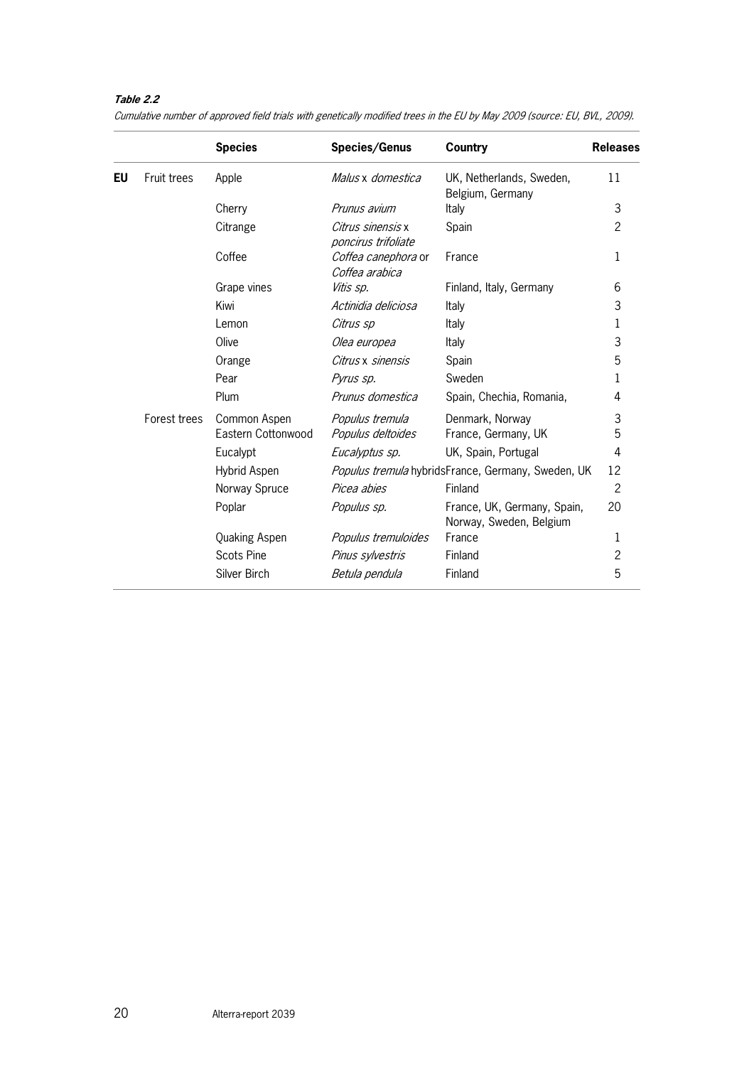### **Table 2.2**

|    |              | <b>Species</b>       | Species/Genus                            | <b>Country</b>                                         | <b>Releases</b> |
|----|--------------|----------------------|------------------------------------------|--------------------------------------------------------|-----------------|
| EU | Fruit trees  | Apple                | Malus x domestica                        | UK, Netherlands, Sweden,<br>Belgium, Germany           | 11              |
|    |              | Cherry               | Prunus avium                             | Italy                                                  | 3               |
|    |              | Citrange             | Citrus sinensis x<br>poncirus trifoliate | Spain                                                  | $\overline{2}$  |
|    |              | Coffee               | Coffea canephora or<br>Coffea arabica    | France                                                 | 1               |
|    |              | Grape vines          | Vitis sp.                                | Finland, Italy, Germany                                | 6               |
|    |              | Kiwi                 | Actinidia deliciosa                      | Italy                                                  | 3               |
|    |              | Lemon                | Citrus sp                                | Italy                                                  | 1               |
|    |              | Olive                | Olea europea                             | Italy                                                  | 3               |
|    |              | Orange               | Citrus x sinensis                        | Spain                                                  | 5               |
|    |              | Pear                 | Pyrus sp.                                | Sweden                                                 | 1               |
|    |              | Plum                 | Prunus domestica                         | Spain, Chechia, Romania,                               | 4               |
|    | Forest trees | Common Aspen         | Populus tremula                          | Denmark, Norway                                        | 3               |
|    |              | Eastern Cottonwood   | Populus deltoides                        | France, Germany, UK                                    | 5               |
|    |              | Eucalypt             | Eucalyptus sp.                           | UK, Spain, Portugal                                    | 4               |
|    |              | Hybrid Aspen         |                                          | Populus tremula hybridsFrance, Germany, Sweden, UK     | 12              |
|    |              | Norway Spruce        | Picea abies                              | Finland                                                | $\overline{c}$  |
|    |              | Poplar               | Populus sp.                              | France, UK, Germany, Spain,<br>Norway, Sweden, Belgium | 20              |
|    |              | <b>Quaking Aspen</b> | Populus tremuloides                      | France                                                 | 1               |
|    |              | <b>Scots Pine</b>    | Pinus sylvestris                         | Finland                                                | 2               |
|    |              | Silver Birch         | Betula pendula                           | Finland                                                | 5               |
|    |              |                      |                                          |                                                        |                 |

Cumulative number of approved field trials with genetically modified trees in the EU by May 2009 (source: EU, BVL, 2009).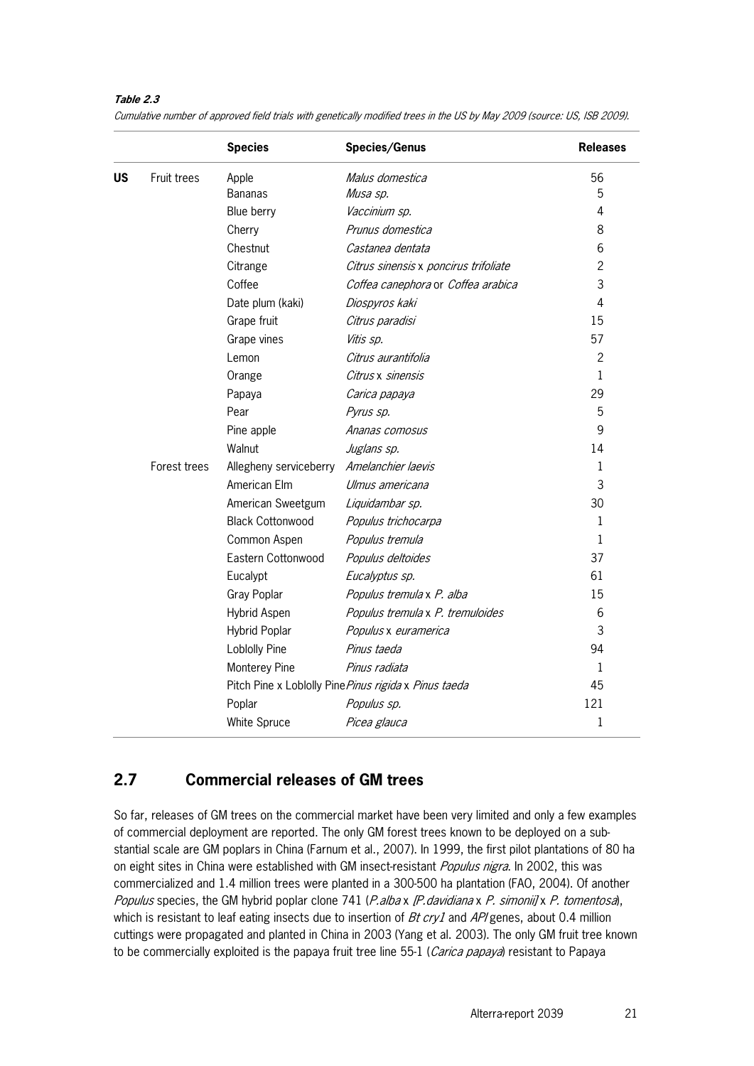#### **Table 2.3**

|           |              | <b>Species</b>          | <b>Species/Genus</b>                                  | <b>Releases</b> |
|-----------|--------------|-------------------------|-------------------------------------------------------|-----------------|
| <b>US</b> | Fruit trees  | Apple                   | Malus domestica                                       | 56              |
|           |              | <b>Bananas</b>          | Musa sp.                                              | 5               |
|           |              | Blue berry              | Vaccinium sp.                                         | 4               |
|           |              | Cherry                  | Prunus domestica                                      | 8               |
|           |              | Chestnut                | Castanea dentata                                      | 6               |
|           |              | Citrange                | Citrus sinensis x poncirus trifoliate                 | $\overline{c}$  |
|           |              | Coffee                  | Coffea canephora or Coffea arabica                    | 3               |
|           |              | Date plum (kaki)        | Diospyros kaki                                        | 4               |
|           |              | Grape fruit             | Citrus paradisi                                       | 15              |
|           |              | Grape vines             | Vitis sp.                                             | 57              |
|           |              | Lemon                   | Citrus aurantifolia                                   | $\overline{c}$  |
|           |              | Orange                  | Citrus x sinensis                                     | 1               |
|           |              | Papaya                  | Carica papaya                                         | 29              |
|           |              | Pear                    | Pyrus sp.                                             | 5               |
|           |              | Pine apple              | Ananas comosus                                        | 9               |
|           |              | Walnut                  | Juglans sp.                                           | 14              |
|           | Forest trees | Allegheny serviceberry  | Amelanchier laevis                                    | 1               |
|           |              | American Elm            | Ulmus americana                                       | 3               |
|           |              | American Sweetgum       | Liquidambar sp.                                       | 30              |
|           |              | <b>Black Cottonwood</b> | Populus trichocarpa                                   | $\mathbf{1}$    |
|           |              | Common Aspen            | Populus tremula                                       | $\mathbf{1}$    |
|           |              | Eastern Cottonwood      | Populus deltoides                                     | 37              |
|           |              | Eucalypt                | Eucalyptus sp.                                        | 61              |
|           |              | Gray Poplar             | Populus tremula x P. alba                             | 15              |
|           |              | Hybrid Aspen            | Populus tremula x P. tremuloides                      | 6               |
|           |              | <b>Hybrid Poplar</b>    | Populus x euramerica                                  | 3               |
|           |              | <b>Loblolly Pine</b>    | Pinus taeda                                           | 94              |
|           |              | Monterey Pine           | Pinus radiata                                         | 1               |
|           |              |                         | Pitch Pine x Loblolly Pine Pinus rigida x Pinus taeda | 45              |
|           |              | Poplar                  | Populus sp.                                           | 121             |
|           |              | White Spruce            | Picea glauca                                          | 1               |

Cumulative number of approved field trials with genetically modified trees in the US by May 2009 (source: US, ISB 2009).

## **2.7 Commercial releases of GM trees**

So far, releases of GM trees on the commercial market have been very limited and only a few examples of commercial deployment are reported. The only GM forest trees known to be deployed on a substantial scale are GM poplars in China (Farnum et al., 2007). In 1999, the first pilot plantations of 80 ha on eight sites in China were established with GM insect-resistant *Populus nigra*. In 2002, this was commercialized and 1.4 million trees were planted in a 300-500 ha plantation (FAO, 2004). Of another Populus species, the GM hybrid poplar clone 741 (*P.alba x [P. davidiana x P. simonii] x P. tomentosa*), which is resistant to leaf eating insects due to insertion of  $Bt$  cry1 and  $AP$  genes, about 0.4 million cuttings were propagated and planted in China in 2003 (Yang et al. 2003). The only GM fruit tree known to be commercially exploited is the papaya fruit tree line 55-1 (Carica papaya) resistant to Papaya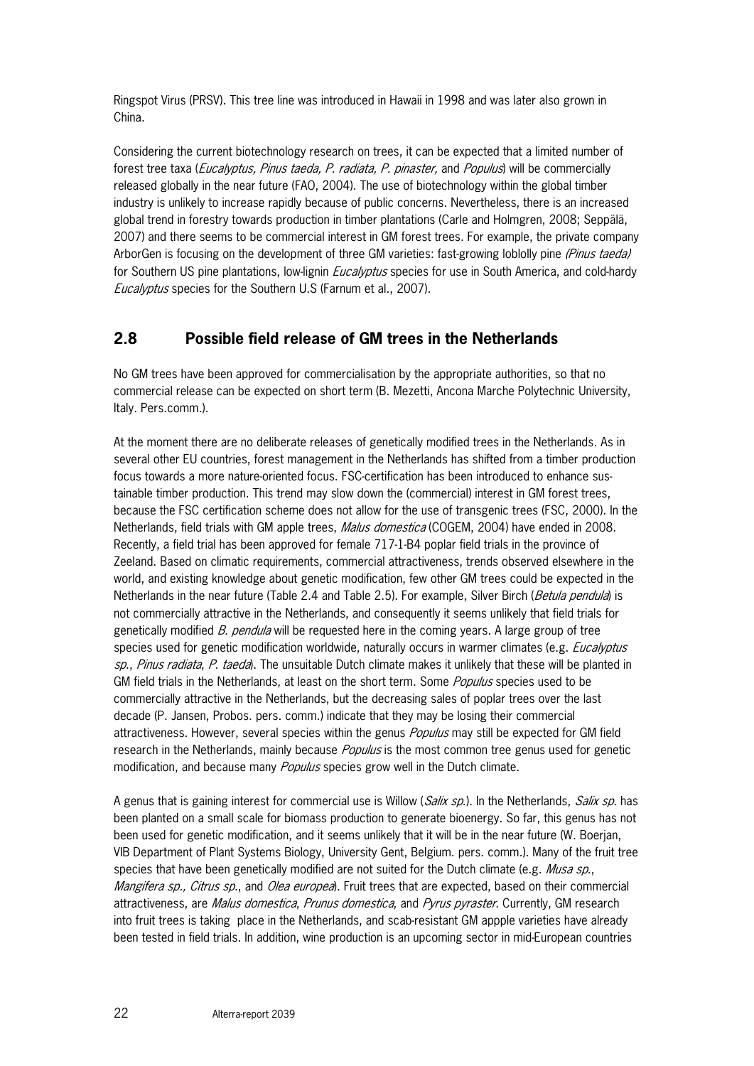Ringspot Virus (PRSV). This tree line was introduced in Hawaii in 1998 and was later also grown in China.

Considering the current biotechnology research on trees, it can be expected that a limited number of forest tree taxa (*Eucalyptus, Pinus taeda, P. radiata, P. pinaster*, and *Populus*) will be commercially released globally in the near future (FAO, 2004). The use of biotechnology within the global timber industry is unlikely to increase rapidly because of public concerns. Nevertheless, there is an increased global trend in forestry towards production in timber plantations (Carle and Holmgren, 2008; Seppälä, 2007) and there seems to be commercial interest in GM forest trees. For example, the private company ArborGen is focusing on the development of three GM varieties: fast-growing loblolly pine (Pinus taeda) for Southern US pine plantations, low-lignin *Eucalyptus* species for use in South America, and cold-hardy Eucalyptus species for the Southern U.S (Farnum et al., 2007).

## **2.8 Possible field release of GM trees in the Netherlands**

No GM trees have been approved for commercialisation by the appropriate authorities, so that no commercial release can be expected on short term (B. Mezetti, Ancona Marche Polytechnic University, Italy. Pers.comm.).

At the moment there are no deliberate releases of genetically modified trees in the Netherlands. As in several other EU countries, forest management in the Netherlands has shifted from a timber production focus towards a more nature-oriented focus. FSC-certification has been introduced to enhance sustainable timber production. This trend may slow down the (commercial) interest in GM forest trees, because the FSC certification scheme does not allow for the use of transgenic trees (FSC, 2000). In the Netherlands, field trials with GM apple trees, *Malus domestica* (COGEM, 2004) have ended in 2008. Recently, a field trial has been approved for female 717-1-B4 poplar field trials in the province of Zeeland. Based on climatic requirements, commercial attractiveness, trends observed elsewhere in the world, and existing knowledge about genetic modification, few other GM trees could be expected in the Netherlands in the near future (Table 2.4 and Table 2.5). For example, Silver Birch (*Betula pendula*) is not commercially attractive in the Netherlands, and consequently it seems unlikely that field trials for genetically modified B. pendula will be requested here in the coming years. A large group of tree species used for genetic modification worldwide, naturally occurs in warmer climates (e.g. Eucalyptus sp., Pinus radiata, P. taeda). The unsuitable Dutch climate makes it unlikely that these will be planted in GM field trials in the Netherlands, at least on the short term. Some *Populus* species used to be commercially attractive in the Netherlands, but the decreasing sales of poplar trees over the last decade (P. Jansen, Probos. pers. comm.) indicate that they may be losing their commercial attractiveness. However, several species within the genus Populus may still be expected for GM field research in the Netherlands, mainly because *Populus* is the most common tree genus used for genetic modification, and because many Populus species grow well in the Dutch climate.

A genus that is gaining interest for commercial use is Willow (*Salix sp.*). In the Netherlands, *Salix sp.* has been planted on a small scale for biomass production to generate bioenergy. So far, this genus has not been used for genetic modification, and it seems unlikely that it will be in the near future (W. Boerjan, VIB Department of Plant Systems Biology, University Gent, Belgium. pers. comm.). Many of the fruit tree species that have been genetically modified are not suited for the Dutch climate (e.g. *Musa sp.*, Mangifera sp., Citrus sp., and Olea europea). Fruit trees that are expected, based on their commercial attractiveness, are *Malus domestica, Prunus domestica*, and *Pyrus pyraster*. Currently, GM research into fruit trees is taking place in the Netherlands, and scab-resistant GM appple varieties have already been tested in field trials. In addition, wine production is an upcoming sector in mid-European countries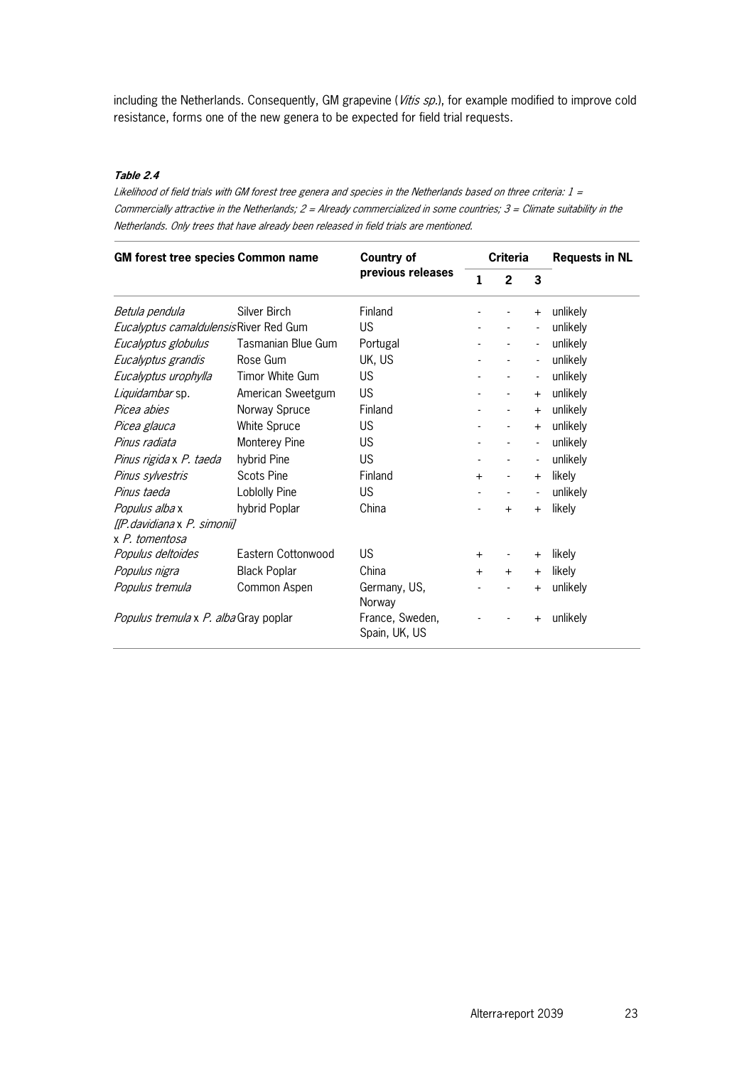including the Netherlands. Consequently, GM grapevine (Vitis sp.), for example modified to improve cold resistance, forms one of the new genera to be expected for field trial requests.

#### **Table 2.4**

Likelihood of field trials with GM forest tree genera and species in the Netherlands based on three criteria:  $1 =$ Commercially attractive in the Netherlands;  $2 =$  Already commercialized in some countries;  $3 =$  Climate suitability in the Netherlands. Only trees that have already been released in field trials are mentioned.

| <b>GM forest tree species Common name</b> |                                  | <b>Country of</b>      | <b>Criteria</b> |                              |                          | <b>Requests in NL</b> |  |
|-------------------------------------------|----------------------------------|------------------------|-----------------|------------------------------|--------------------------|-----------------------|--|
|                                           |                                  | previous releases      | 1               | $\overline{2}$               | 3                        |                       |  |
| Betula pendula                            | Silver Birch                     | Finland                |                 |                              | $+$                      | unlikely              |  |
| Eucalyptus camaldulensisRiver Red Gum     |                                  | US.                    |                 |                              | $\blacksquare$           | unlikely              |  |
| Eucalyptus globulus                       | Tasmanian Blue Gum               | Portugal               |                 |                              | $\overline{\phantom{a}}$ | unlikely              |  |
| Eucalyptus grandis                        | Rose Gum                         | UK, US                 |                 | $\overline{a}$               | $\overline{\phantom{a}}$ | unlikely              |  |
| Eucalyptus urophylla                      | Timor White Gum                  | US                     |                 | $\overline{\phantom{a}}$     | $\overline{\phantom{a}}$ | unlikely              |  |
| Liquidambar sp.                           | American Sweetgum                | <b>US</b>              |                 | $\overline{\phantom{a}}$     | $\ddot{}$                | unlikely              |  |
| Picea abies                               | Norway Spruce                    | Finland                |                 | $\blacksquare$               | $+$                      | unlikely              |  |
| Picea glauca                              | White Spruce                     | <b>US</b>              |                 | $\overline{\phantom{a}}$     | $+$                      | unlikely              |  |
| Pinus radiata                             | Monterey Pine                    | US.                    |                 |                              | $\overline{\phantom{a}}$ | unlikely              |  |
| Pinus rigida x P. taeda                   | hybrid Pine                      | <b>US</b>              |                 | $\overline{\phantom{a}}$     | $\overline{\phantom{a}}$ | unlikely              |  |
| Pinus sylvestris                          | <b>Scots Pine</b>                | Finland                | $+$             | $\blacksquare$               | $+$                      | likelv                |  |
| Pinus taeda                               | Loblolly Pine                    | <b>US</b>              |                 |                              | $\overline{\phantom{a}}$ | unlikely              |  |
| Populus alba x                            | hybrid Poplar                    | China                  |                 | $\ddot{}$                    | $\ddot{}$                | likely                |  |
| [[P.davidiana x P. simonii]               |                                  |                        |                 |                              |                          |                       |  |
| x P. tomentosa                            |                                  |                        |                 |                              |                          |                       |  |
| Populus deltoides                         | Eastern Cottonwood               | US                     | $\ddot{}$       | $\qquad \qquad \blacksquare$ | $+$                      | likely                |  |
| Populus nigra                             | <b>Black Poplar</b>              | China                  | $+$             | $+$                          | $+$                      | likelv                |  |
| Populus tremula                           | Common Aspen                     | Germany, US,<br>Norway |                 |                              | $\ddot{}$                | unlikely              |  |
| Populus tremula x P. alba Gray poplar     | France, Sweden,<br>Spain, UK, US |                        |                 | $\pm$                        | unlikely                 |                       |  |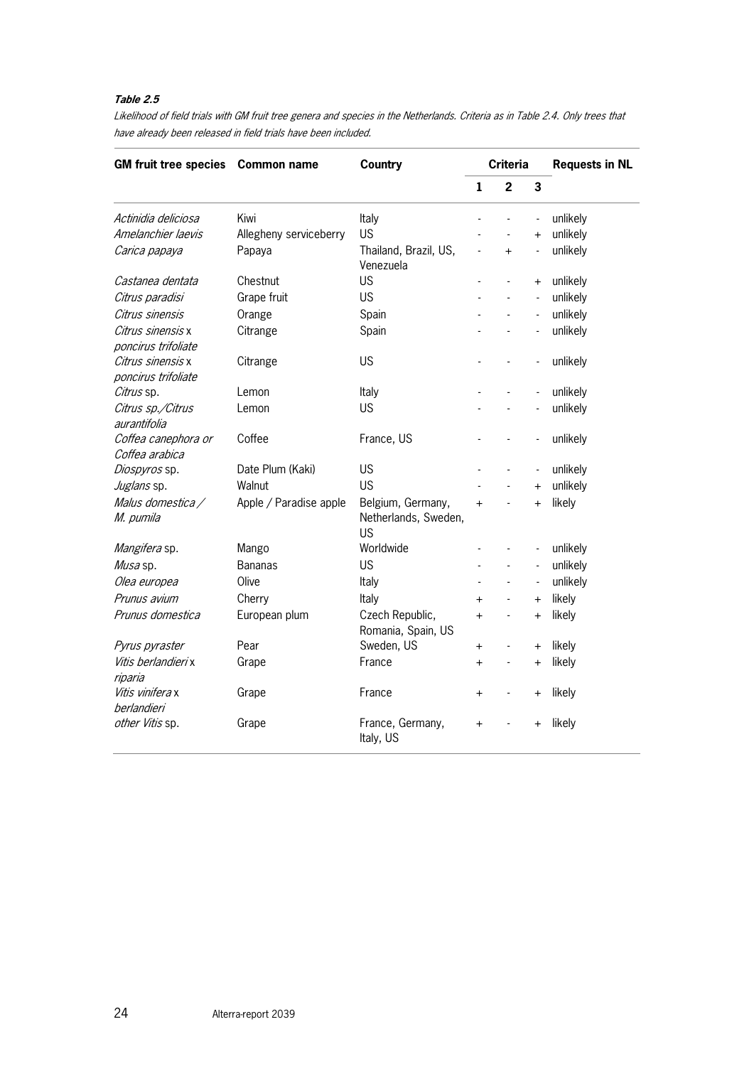#### **Table 2.5**

Likelihood of field trials with GM fruit tree genera and species in the Netherlands. Criteria as in Table 2.4. Only trees that have already been released in field trials have been included.

| <b>GM fruit tree species</b>             | <b>Common name</b>     | <b>Country</b>                                         | <b>Criteria</b> |                          |                          | <b>Requests in NL</b> |  |
|------------------------------------------|------------------------|--------------------------------------------------------|-----------------|--------------------------|--------------------------|-----------------------|--|
|                                          |                        |                                                        | $\mathbf{1}$    | $\overline{2}$           | 3                        |                       |  |
| Actinidia deliciosa                      | Kiwi                   | Italy                                                  |                 |                          | $\overline{a}$           | unlikely              |  |
| Amelanchier laevis                       | Allegheny serviceberry | <b>US</b>                                              |                 | $\overline{a}$           | $\ddot{}$                | unlikely              |  |
| Carica papaya                            | Papaya                 | Thailand, Brazil, US,<br>Venezuela                     | $\overline{a}$  | $+$                      | $\overline{a}$           | unlikely              |  |
| Castanea dentata                         | Chestnut               | <b>US</b>                                              |                 | $\frac{1}{2}$            | $^{+}$                   | unlikely              |  |
| Citrus paradisi                          | Grape fruit            | <b>US</b>                                              |                 | $\overline{a}$           | $\overline{a}$           | unlikely              |  |
| Citrus sinensis                          | Orange                 | Spain                                                  |                 |                          | $\overline{\phantom{a}}$ | unlikely              |  |
| Citrus sinensis x<br>poncirus trifoliate | Citrange               | Spain                                                  |                 |                          | $\overline{\phantom{a}}$ | unlikely              |  |
| Citrus sinensis x<br>poncirus trifoliate | Citrange               | <b>US</b>                                              |                 |                          | $\overline{a}$           | unlikely              |  |
| Citrus sp.                               | Lemon                  | Italy                                                  |                 |                          | $\blacksquare$           | unlikely              |  |
| Citrus sp./Citrus<br>aurantifolia        | Lemon                  | US                                                     |                 |                          | $\overline{a}$           | unlikely              |  |
| Coffea canephora or<br>Coffea arabica    | Coffee                 | France, US                                             |                 |                          |                          | unlikely              |  |
| Diospyros sp.                            | Date Plum (Kaki)       | <b>US</b>                                              |                 |                          | $\overline{\phantom{a}}$ | unlikely              |  |
| Juglans sp.                              | Walnut                 | <b>US</b>                                              |                 | $\overline{a}$           | $\ddot{}$                | unlikely              |  |
| Malus domestica /<br>M. pumila           | Apple / Paradise apple | Belgium, Germany,<br>Netherlands, Sweden,<br><b>US</b> | $+$             | $\overline{a}$           | $+$                      | likely                |  |
| Mangifera sp.                            | Mango                  | Worldwide                                              |                 |                          | $\frac{1}{2}$            | unlikely              |  |
| Musa sp.                                 | <b>Bananas</b>         | <b>US</b>                                              |                 |                          | $\frac{1}{2}$            | unlikely              |  |
| Olea europea                             | Olive                  | Italy                                                  | L,              |                          | $\overline{a}$           | unlikely              |  |
| Prunus avium                             | Cherry                 | Italy                                                  | $\ddot{}$       | $\overline{a}$           | $+$                      | likely                |  |
| Prunus domestica                         | European plum          | Czech Republic,<br>Romania, Spain, US                  | $+$             | $\overline{a}$           | $\ddot{}$                | likely                |  |
| Pyrus pyraster                           | Pear                   | Sweden, US                                             | $\ddot{}$       | $\overline{a}$           | $\ddot{}$                | likely                |  |
| Vitis berlandieri x<br>riparia           | Grape                  | France                                                 | $\ddot{}$       | $\overline{\phantom{a}}$ | $\ddot{}$                | likely                |  |
| Vitis vinifera x<br>berlandieri          | Grape                  | France                                                 | $\ddot{}$       | $\frac{1}{2}$            | $^{+}$                   | likely                |  |
| other Vitis sp.                          | Grape                  | France, Germany,<br>Italy, US                          | $\ddot{}$       |                          | $^{+}$                   | likely                |  |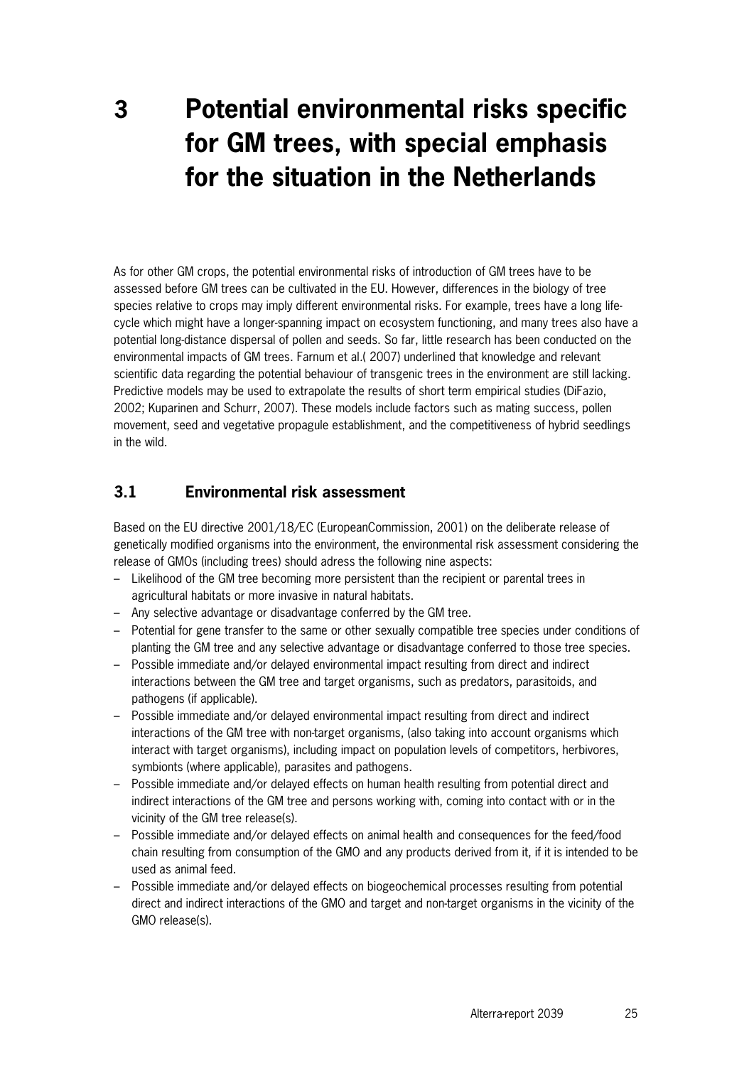## **3 Potential environmental risks specific for GM trees, with special emphasis for the situation in the Netherlands**

As for other GM crops, the potential environmental risks of introduction of GM trees have to be assessed before GM trees can be cultivated in the EU. However, differences in the biology of tree species relative to crops may imply different environmental risks. For example, trees have a long lifecycle which might have a longer-spanning impact on ecosystem functioning, and many trees also have a potential long-distance dispersal of pollen and seeds. So far, little research has been conducted on the environmental impacts of GM trees. Farnum et al.( 2007) underlined that knowledge and relevant scientific data regarding the potential behaviour of transgenic trees in the environment are still lacking. Predictive models may be used to extrapolate the results of short term empirical studies (DiFazio, 2002; Kuparinen and Schurr, 2007). These models include factors such as mating success, pollen movement, seed and vegetative propagule establishment, and the competitiveness of hybrid seedlings in the wild.

## **3.1 Environmental risk assessment**

Based on the EU directive 2001/18/EC (EuropeanCommission, 2001) on the deliberate release of genetically modified organisms into the environment, the environmental risk assessment considering the release of GMOs (including trees) should adress the following nine aspects:

- Likelihood of the GM tree becoming more persistent than the recipient or parental trees in agricultural habitats or more invasive in natural habitats.
- Any selective advantage or disadvantage conferred by the GM tree.
- Potential for gene transfer to the same or other sexually compatible tree species under conditions of planting the GM tree and any selective advantage or disadvantage conferred to those tree species.
- Possible immediate and/or delayed environmental impact resulting from direct and indirect interactions between the GM tree and target organisms, such as predators, parasitoids, and pathogens (if applicable).
- Possible immediate and/or delayed environmental impact resulting from direct and indirect interactions of the GM tree with non-target organisms, (also taking into account organisms which interact with target organisms), including impact on population levels of competitors, herbivores, symbionts (where applicable), parasites and pathogens.
- Possible immediate and/or delayed effects on human health resulting from potential direct and indirect interactions of the GM tree and persons working with, coming into contact with or in the vicinity of the GM tree release(s).
- Possible immediate and/or delayed effects on animal health and consequences for the feed/food chain resulting from consumption of the GMO and any products derived from it, if it is intended to be used as animal feed.
- Possible immediate and/or delayed effects on biogeochemical processes resulting from potential direct and indirect interactions of the GMO and target and non-target organisms in the vicinity of the GMO release(s).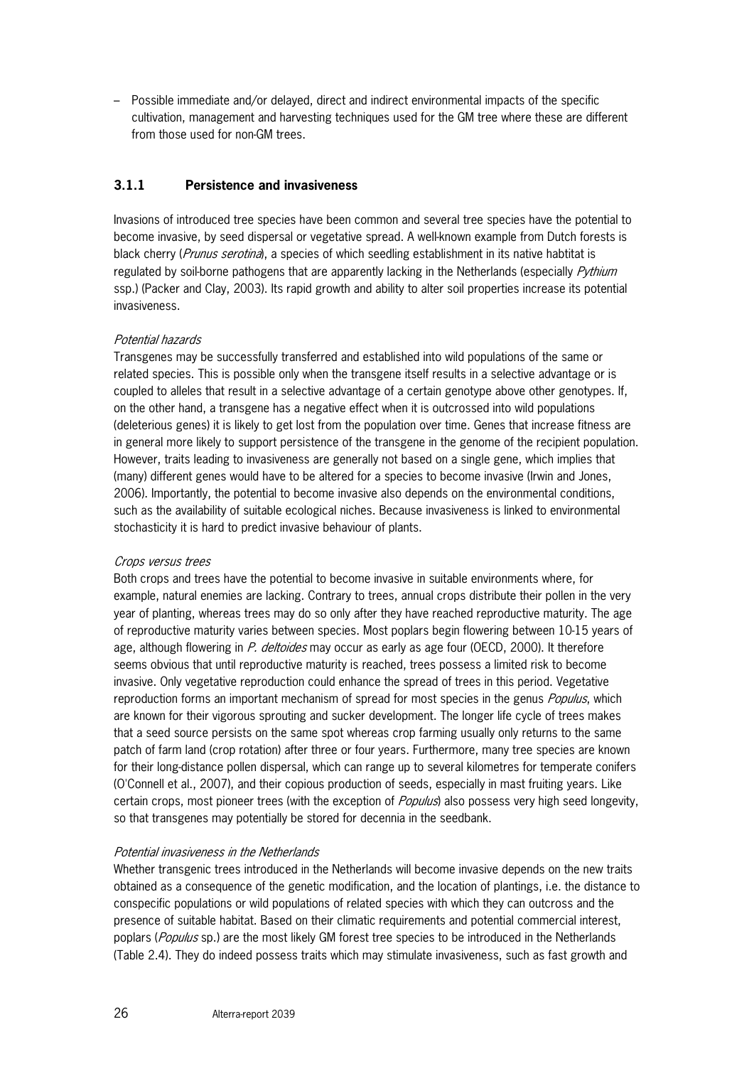– Possible immediate and/or delayed, direct and indirect environmental impacts of the specific cultivation, management and harvesting techniques used for the GM tree where these are different from those used for non-GM trees.

#### **3.1.1 Persistence and invasiveness**

Invasions of introduced tree species have been common and several tree species have the potential to become invasive, by seed dispersal or vegetative spread. A well-known example from Dutch forests is black cherry (Prunus serotina), a species of which seedling establishment in its native habtitat is regulated by soil-borne pathogens that are apparently lacking in the Netherlands (especially *Pythium* ssp.) (Packer and Clay, 2003). Its rapid growth and ability to alter soil properties increase its potential invasiveness.

#### Potential hazards

Transgenes may be successfully transferred and established into wild populations of the same or related species. This is possible only when the transgene itself results in a selective advantage or is coupled to alleles that result in a selective advantage of a certain genotype above other genotypes. If, on the other hand, a transgene has a negative effect when it is outcrossed into wild populations (deleterious genes) it is likely to get lost from the population over time. Genes that increase fitness are in general more likely to support persistence of the transgene in the genome of the recipient population. However, traits leading to invasiveness are generally not based on a single gene, which implies that (many) different genes would have to be altered for a species to become invasive (Irwin and Jones, 2006). Importantly, the potential to become invasive also depends on the environmental conditions, such as the availability of suitable ecological niches. Because invasiveness is linked to environmental stochasticity it is hard to predict invasive behaviour of plants.

#### Crops versus trees

Both crops and trees have the potential to become invasive in suitable environments where, for example, natural enemies are lacking. Contrary to trees, annual crops distribute their pollen in the very year of planting, whereas trees may do so only after they have reached reproductive maturity. The age of reproductive maturity varies between species. Most poplars begin flowering between 10-15 years of age, although flowering in P. deltoides may occur as early as age four (OECD, 2000). It therefore seems obvious that until reproductive maturity is reached, trees possess a limited risk to become invasive. Only vegetative reproduction could enhance the spread of trees in this period. Vegetative reproduction forms an important mechanism of spread for most species in the genus *Populus*, which are known for their vigorous sprouting and sucker development. The longer life cycle of trees makes that a seed source persists on the same spot whereas crop farming usually only returns to the same patch of farm land (crop rotation) after three or four years. Furthermore, many tree species are known for their long-distance pollen dispersal, which can range up to several kilometres for temperate conifers (O'Connell et al., 2007), and their copious production of seeds, especially in mast fruiting years. Like certain crops, most pioneer trees (with the exception of *Populus*) also possess very high seed longevity, so that transgenes may potentially be stored for decennia in the seedbank.

#### Potential invasiveness in the Netherlands

Whether transgenic trees introduced in the Netherlands will become invasive depends on the new traits obtained as a consequence of the genetic modification, and the location of plantings, i.e. the distance to conspecific populations or wild populations of related species with which they can outcross and the presence of suitable habitat. Based on their climatic requirements and potential commercial interest, poplars (Populus sp.) are the most likely GM forest tree species to be introduced in the Netherlands (Table 2.4). They do indeed possess traits which may stimulate invasiveness, such as fast growth and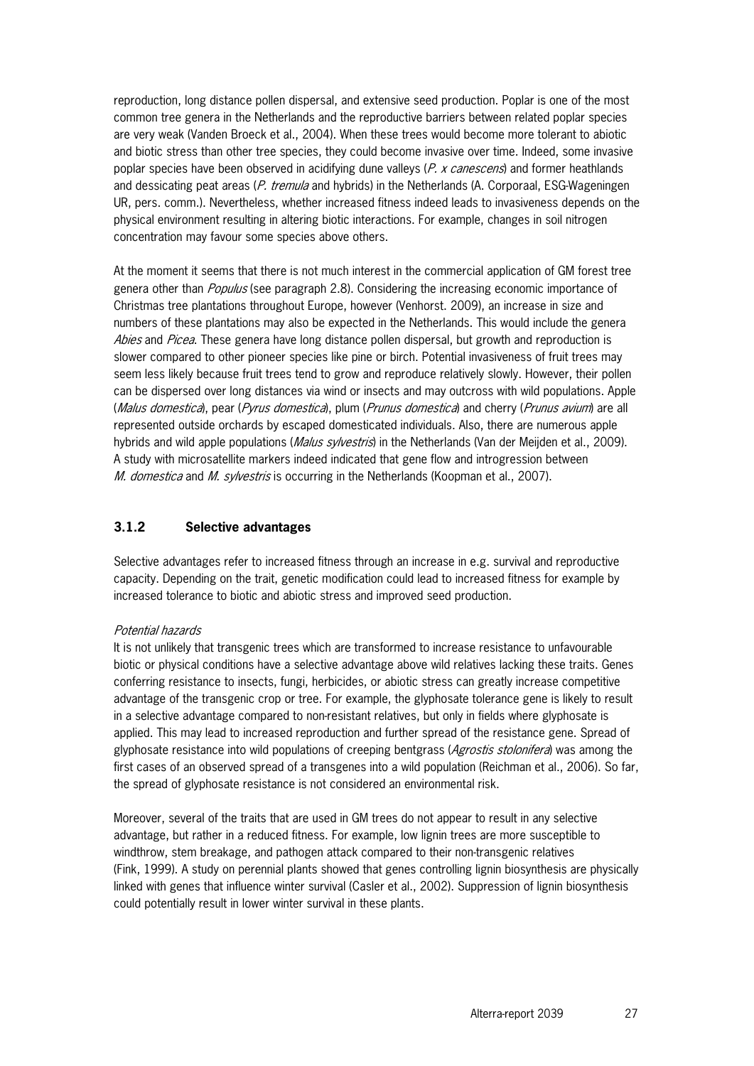reproduction, long distance pollen dispersal, and extensive seed production. Poplar is one of the most common tree genera in the Netherlands and the reproductive barriers between related poplar species are very weak (Vanden Broeck et al., 2004). When these trees would become more tolerant to abiotic and biotic stress than other tree species, they could become invasive over time. Indeed, some invasive poplar species have been observed in acidifying dune valleys  $(P, x \text{ cancers})$  and former heathlands and dessicating peat areas  $(P.$  tremula and hybrids) in the Netherlands  $(A.$  Corporaal, ESG-Wageningen UR, pers. comm.). Nevertheless, whether increased fitness indeed leads to invasiveness depends on the physical environment resulting in altering biotic interactions. For example, changes in soil nitrogen concentration may favour some species above others.

At the moment it seems that there is not much interest in the commercial application of GM forest tree genera other than *Populus* (see paragraph 2.8). Considering the increasing economic importance of Christmas tree plantations throughout Europe, however (Venhorst. 2009), an increase in size and numbers of these plantations may also be expected in the Netherlands. This would include the genera Abies and Picea. These genera have long distance pollen dispersal, but growth and reproduction is slower compared to other pioneer species like pine or birch. Potential invasiveness of fruit trees may seem less likely because fruit trees tend to grow and reproduce relatively slowly. However, their pollen can be dispersed over long distances via wind or insects and may outcross with wild populations. Apple (Malus domestica), pear (Pyrus domestica), plum (Prunus domestica) and cherry (Prunus avium) are all represented outside orchards by escaped domesticated individuals. Also, there are numerous apple hybrids and wild apple populations (*Malus sylvestris*) in the Netherlands (Van der Meijden et al., 2009). A study with microsatellite markers indeed indicated that gene flow and introgression between M. domestica and M. sylvestris is occurring in the Netherlands (Koopman et al., 2007).

#### **3.1.2 Selective advantages**

Selective advantages refer to increased fitness through an increase in e.g. survival and reproductive capacity. Depending on the trait, genetic modification could lead to increased fitness for example by increased tolerance to biotic and abiotic stress and improved seed production.

#### Potential hazards

It is not unlikely that transgenic trees which are transformed to increase resistance to unfavourable biotic or physical conditions have a selective advantage above wild relatives lacking these traits. Genes conferring resistance to insects, fungi, herbicides, or abiotic stress can greatly increase competitive advantage of the transgenic crop or tree. For example, the glyphosate tolerance gene is likely to result in a selective advantage compared to non-resistant relatives, but only in fields where glyphosate is applied. This may lead to increased reproduction and further spread of the resistance gene. Spread of glyphosate resistance into wild populations of creeping bentgrass (Agrostis stolonifera) was among the first cases of an observed spread of a transgenes into a wild population (Reichman et al., 2006). So far, the spread of glyphosate resistance is not considered an environmental risk.

Moreover, several of the traits that are used in GM trees do not appear to result in any selective advantage, but rather in a reduced fitness. For example, low lignin trees are more susceptible to windthrow, stem breakage, and pathogen attack compared to their non-transgenic relatives (Fink, 1999). A study on perennial plants showed that genes controlling lignin biosynthesis are physically linked with genes that influence winter survival (Casler et al., 2002). Suppression of lignin biosynthesis could potentially result in lower winter survival in these plants.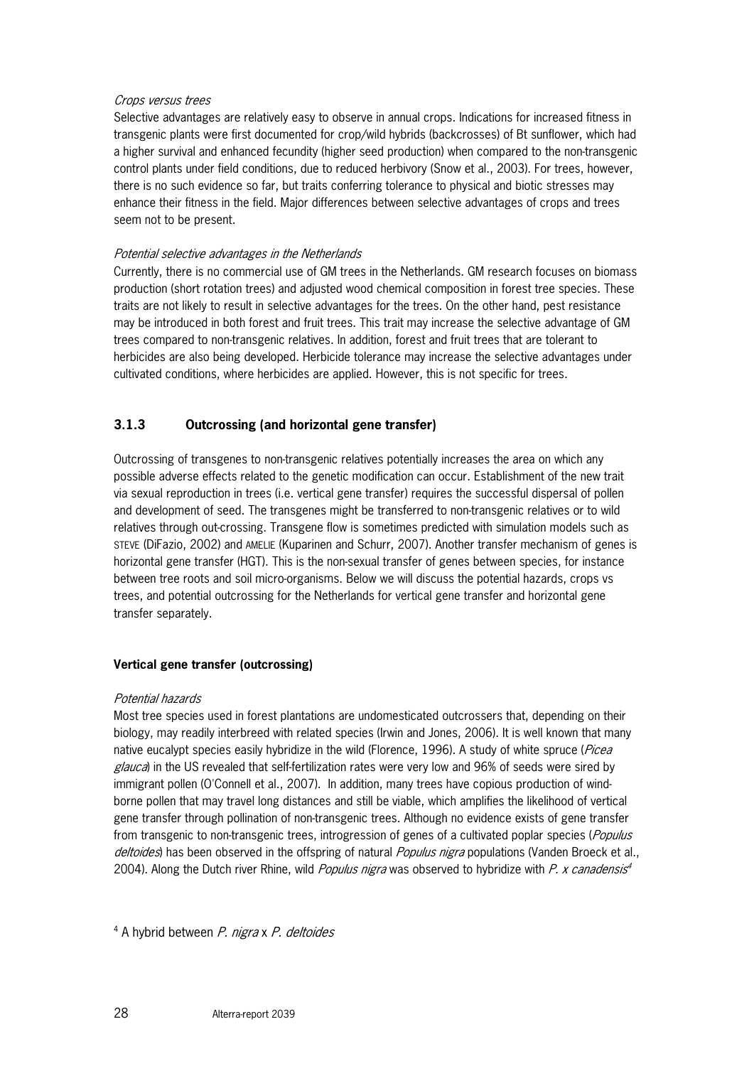#### Crops versus trees

Selective advantages are relatively easy to observe in annual crops. Indications for increased fitness in transgenic plants were first documented for crop/wild hybrids (backcrosses) of Bt sunflower, which had a higher survival and enhanced fecundity (higher seed production) when compared to the non-transgenic control plants under field conditions, due to reduced herbivory (Snow et al., 2003). For trees, however, there is no such evidence so far, but traits conferring tolerance to physical and biotic stresses may enhance their fitness in the field. Major differences between selective advantages of crops and trees seem not to be present.

#### Potential selective advantages in the Netherlands

Currently, there is no commercial use of GM trees in the Netherlands. GM research focuses on biomass production (short rotation trees) and adjusted wood chemical composition in forest tree species. These traits are not likely to result in selective advantages for the trees. On the other hand, pest resistance may be introduced in both forest and fruit trees. This trait may increase the selective advantage of GM trees compared to non-transgenic relatives. In addition, forest and fruit trees that are tolerant to herbicides are also being developed. Herbicide tolerance may increase the selective advantages under cultivated conditions, where herbicides are applied. However, this is not specific for trees.

#### **3.1.3 Outcrossing (and horizontal gene transfer)**

Outcrossing of transgenes to non-transgenic relatives potentially increases the area on which any possible adverse effects related to the genetic modification can occur. Establishment of the new trait via sexual reproduction in trees (i.e. vertical gene transfer) requires the successful dispersal of pollen and development of seed. The transgenes might be transferred to non-transgenic relatives or to wild relatives through out-crossing. Transgene flow is sometimes predicted with simulation models such as STEVE (DiFazio, 2002) and AMELIE (Kuparinen and Schurr, 2007). Another transfer mechanism of genes is horizontal gene transfer (HGT). This is the non-sexual transfer of genes between species, for instance between tree roots and soil micro-organisms. Below we will discuss the potential hazards, crops vs trees, and potential outcrossing for the Netherlands for vertical gene transfer and horizontal gene transfer separately.

#### **Vertical gene transfer (outcrossing)**

#### Potential hazards

Most tree species used in forest plantations are undomesticated outcrossers that, depending on their biology, may readily interbreed with related species (Irwin and Jones, 2006). It is well known that many native eucalypt species easily hybridize in the wild (Florence, 1996). A study of white spruce (*Picea* glauca) in the US revealed that self-fertilization rates were very low and 96% of seeds were sired by immigrant pollen (O'Connell et al., 2007). In addition, many trees have copious production of windborne pollen that may travel long distances and still be viable, which amplifies the likelihood of vertical gene transfer through pollination of non-transgenic trees. Although no evidence exists of gene transfer from transgenic to non-transgenic trees, introgression of genes of a cultivated poplar species (Populus deltoides) has been observed in the offspring of natural *Populus nigra* populations (Vanden Broeck et al., 2004). Along the Dutch river Rhine, wild *Populus nigra* was observed to hybridize with P. x canadensis<sup>4</sup>

<sup>4</sup> A hybrid between *P. nigra x P. deltoides*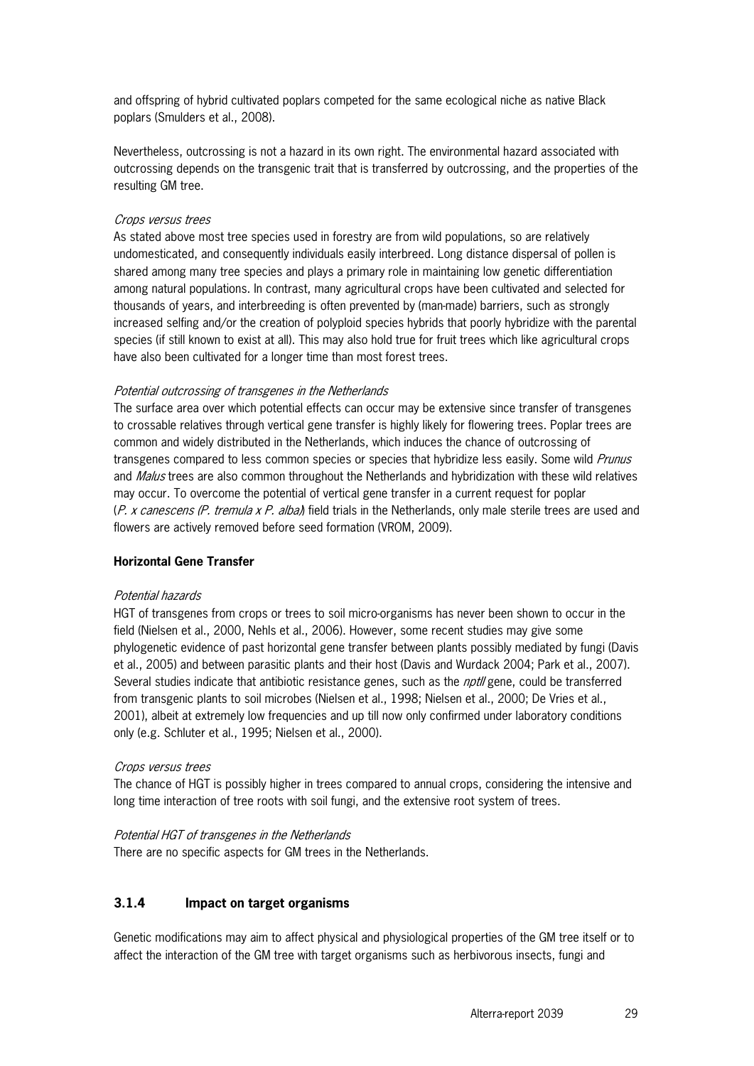and offspring of hybrid cultivated poplars competed for the same ecological niche as native Black poplars (Smulders et al., 2008).

Nevertheless, outcrossing is not a hazard in its own right. The environmental hazard associated with outcrossing depends on the transgenic trait that is transferred by outcrossing, and the properties of the resulting GM tree.

#### Crops versus trees

As stated above most tree species used in forestry are from wild populations, so are relatively undomesticated, and consequently individuals easily interbreed. Long distance dispersal of pollen is shared among many tree species and plays a primary role in maintaining low genetic differentiation among natural populations. In contrast, many agricultural crops have been cultivated and selected for thousands of years, and interbreeding is often prevented by (man-made) barriers, such as strongly increased selfing and/or the creation of polyploid species hybrids that poorly hybridize with the parental species (if still known to exist at all). This may also hold true for fruit trees which like agricultural crops have also been cultivated for a longer time than most forest trees.

#### Potential outcrossing of transgenes in the Netherlands

The surface area over which potential effects can occur may be extensive since transfer of transgenes to crossable relatives through vertical gene transfer is highly likely for flowering trees. Poplar trees are common and widely distributed in the Netherlands, which induces the chance of outcrossing of transgenes compared to less common species or species that hybridize less easily. Some wild Prunus and Malus trees are also common throughout the Netherlands and hybridization with these wild relatives may occur. To overcome the potential of vertical gene transfer in a current request for poplar (P. x canescens (P. tremula x P. alba) field trials in the Netherlands, only male sterile trees are used and flowers are actively removed before seed formation (VROM, 2009).

#### **Horizontal Gene Transfer**

#### Potential hazards

HGT of transgenes from crops or trees to soil micro-organisms has never been shown to occur in the field (Nielsen et al., 2000, Nehls et al., 2006). However, some recent studies may give some phylogenetic evidence of past horizontal gene transfer between plants possibly mediated by fungi (Davis et al., 2005) and between parasitic plants and their host (Davis and Wurdack 2004; Park et al., 2007). Several studies indicate that antibiotic resistance genes, such as the *nptII* gene, could be transferred from transgenic plants to soil microbes (Nielsen et al., 1998; Nielsen et al., 2000; De Vries et al., 2001), albeit at extremely low frequencies and up till now only confirmed under laboratory conditions only (e.g. Schluter et al., 1995; Nielsen et al., 2000).

#### Crops versus trees

The chance of HGT is possibly higher in trees compared to annual crops, considering the intensive and long time interaction of tree roots with soil fungi, and the extensive root system of trees.

Potential HGT of transgenes in the Netherlands

There are no specific aspects for GM trees in the Netherlands.

#### **3.1.4 Impact on target organisms**

Genetic modifications may aim to affect physical and physiological properties of the GM tree itself or to affect the interaction of the GM tree with target organisms such as herbivorous insects, fungi and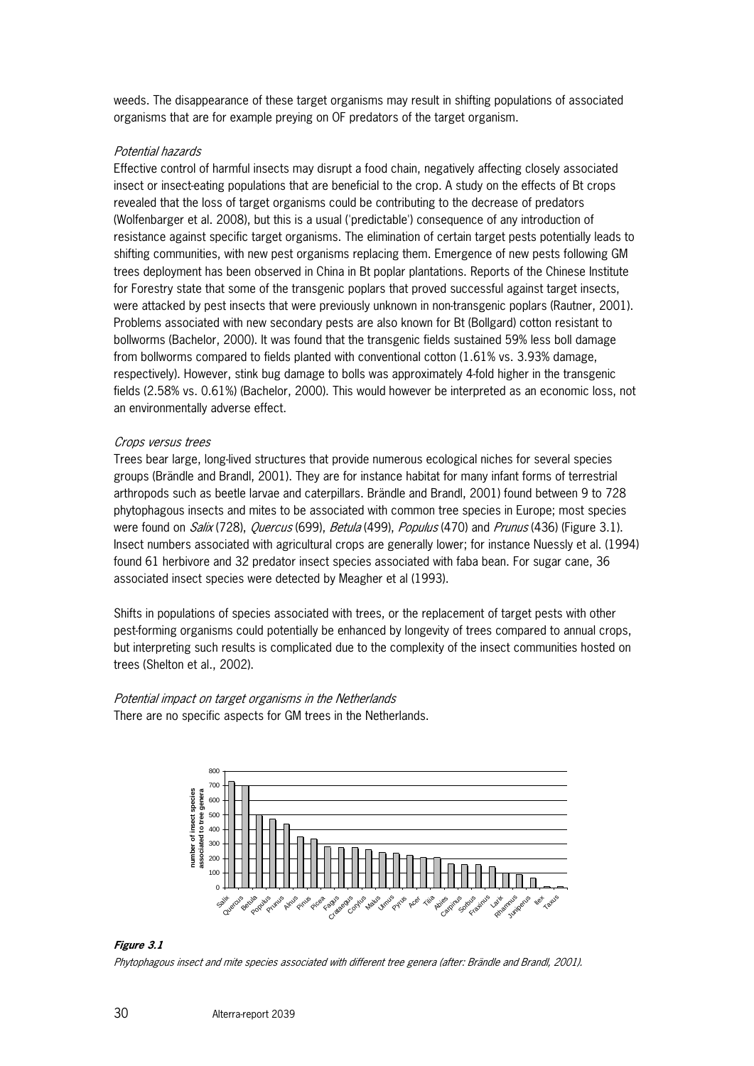weeds. The disappearance of these target organisms may result in shifting populations of associated organisms that are for example preying on OF predators of the target organism.

#### Potential hazards

Effective control of harmful insects may disrupt a food chain, negatively affecting closely associated insect or insect-eating populations that are beneficial to the crop. A study on the effects of Bt crops revealed that the loss of target organisms could be contributing to the decrease of predators (Wolfenbarger et al. 2008), but this is a usual ('predictable') consequence of any introduction of resistance against specific target organisms. The elimination of certain target pests potentially leads to shifting communities, with new pest organisms replacing them. Emergence of new pests following GM trees deployment has been observed in China in Bt poplar plantations. Reports of the Chinese Institute for Forestry state that some of the transgenic poplars that proved successful against target insects, were attacked by pest insects that were previously unknown in non-transgenic poplars (Rautner, 2001). Problems associated with new secondary pests are also known for Bt (Bollgard) cotton resistant to bollworms (Bachelor, 2000). It was found that the transgenic fields sustained 59% less boll damage from bollworms compared to fields planted with conventional cotton (1.61% vs. 3.93% damage, respectively). However, stink bug damage to bolls was approximately 4-fold higher in the transgenic fields (2.58% vs. 0.61%) (Bachelor, 2000). This would however be interpreted as an economic loss, not an environmentally adverse effect.

#### Crops versus trees

Trees bear large, long-lived structures that provide numerous ecological niches for several species groups (Brändle and Brandl, 2001). They are for instance habitat for many infant forms of terrestrial arthropods such as beetle larvae and caterpillars. Brändle and Brandl, 2001) found between 9 to 728 phytophagous insects and mites to be associated with common tree species in Europe; most species were found on *Salix* (728), *Quercus* (699), *Betula* (499), *Populus* (470) and *Prunus* (436) (Figure 3.1). Insect numbers associated with agricultural crops are generally lower; for instance Nuessly et al. (1994) found 61 herbivore and 32 predator insect species associated with faba bean. For sugar cane, 36 associated insect species were detected by Meagher et al (1993).

Shifts in populations of species associated with trees, or the replacement of target pests with other pest-forming organisms could potentially be enhanced by longevity of trees compared to annual crops, but interpreting such results is complicated due to the complexity of the insect communities hosted on trees (Shelton et al., 2002).

Potential impact on target organisms in the Netherlands There are no specific aspects for GM trees in the Netherlands.



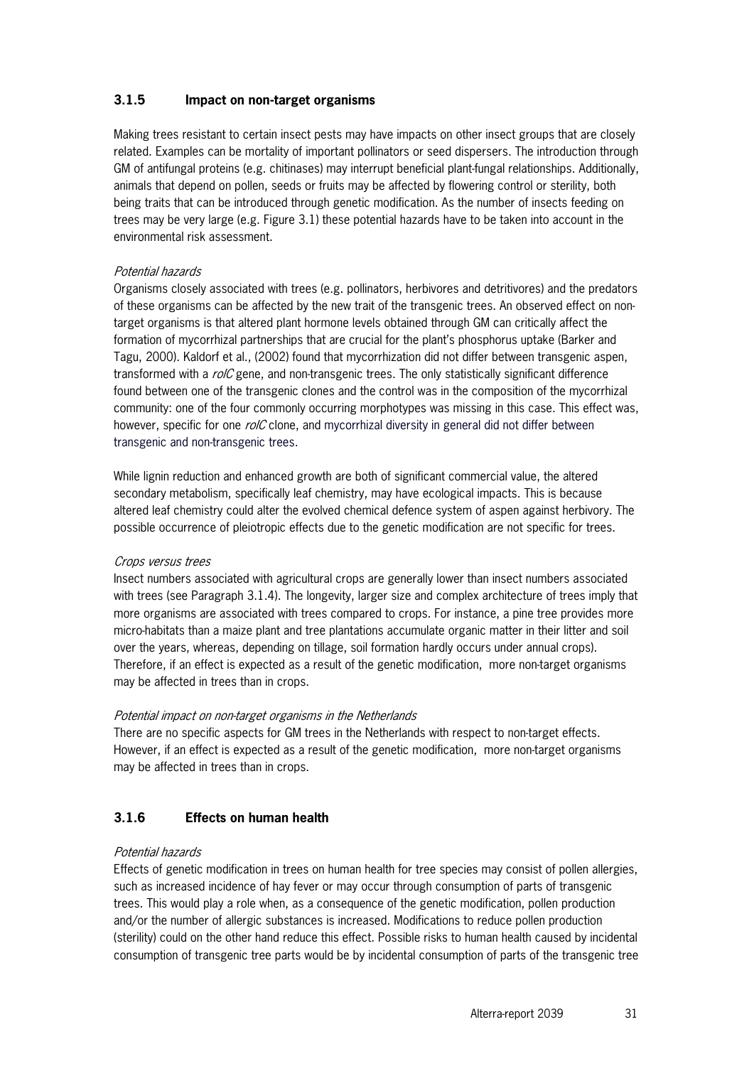#### **3.1.5 Impact on non-target organisms**

Making trees resistant to certain insect pests may have impacts on other insect groups that are closely related. Examples can be mortality of important pollinators or seed dispersers. The introduction through GM of antifungal proteins (e.g. chitinases) may interrupt beneficial plant-fungal relationships. Additionally, animals that depend on pollen, seeds or fruits may be affected by flowering control or sterility, both being traits that can be introduced through genetic modification. As the number of insects feeding on trees may be very large (e.g. Figure 3.1) these potential hazards have to be taken into account in the environmental risk assessment.

#### Potential hazards

Organisms closely associated with trees (e.g. pollinators, herbivores and detritivores) and the predators of these organisms can be affected by the new trait of the transgenic trees. An observed effect on nontarget organisms is that altered plant hormone levels obtained through GM can critically affect the formation of mycorrhizal partnerships that are crucial for the plant's phosphorus uptake (Barker and Tagu, 2000). Kaldorf et al., (2002) found that mycorrhization did not differ between transgenic aspen, transformed with a rolC gene, and non-transgenic trees. The only statistically significant difference found between one of the transgenic clones and the control was in the composition of the mycorrhizal community: one of the four commonly occurring morphotypes was missing in this case. This effect was, however, specific for one  $\mathit{rolC}$  clone, and mycorrhizal diversity in general did not differ between transgenic and non-transgenic trees.

While lignin reduction and enhanced growth are both of significant commercial value, the altered secondary metabolism, specifically leaf chemistry, may have ecological impacts. This is because altered leaf chemistry could alter the evolved chemical defence system of aspen against herbivory. The possible occurrence of pleiotropic effects due to the genetic modification are not specific for trees.

#### Crops versus trees

Insect numbers associated with agricultural crops are generally lower than insect numbers associated with trees (see Paragraph 3.1.4). The longevity, larger size and complex architecture of trees imply that more organisms are associated with trees compared to crops. For instance, a pine tree provides more micro-habitats than a maize plant and tree plantations accumulate organic matter in their litter and soil over the years, whereas, depending on tillage, soil formation hardly occurs under annual crops). Therefore, if an effect is expected as a result of the genetic modification, more non-target organisms may be affected in trees than in crops.

#### Potential impact on non-target organisms in the Netherlands

There are no specific aspects for GM trees in the Netherlands with respect to non-target effects. However, if an effect is expected as a result of the genetic modification, more non-target organisms may be affected in trees than in crops.

#### **3.1.6 Effects on human health**

#### Potential hazards

Effects of genetic modification in trees on human health for tree species may consist of pollen allergies, such as increased incidence of hay fever or may occur through consumption of parts of transgenic trees. This would play a role when, as a consequence of the genetic modification, pollen production and/or the number of allergic substances is increased. Modifications to reduce pollen production (sterility) could on the other hand reduce this effect. Possible risks to human health caused by incidental consumption of transgenic tree parts would be by incidental consumption of parts of the transgenic tree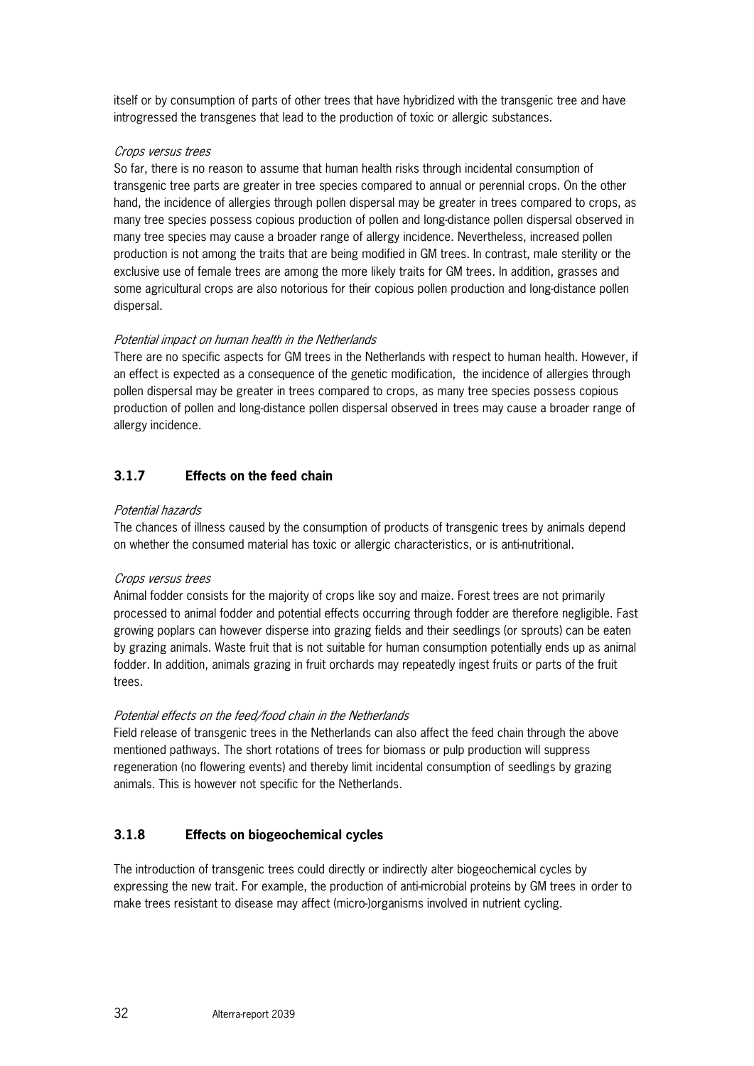itself or by consumption of parts of other trees that have hybridized with the transgenic tree and have introgressed the transgenes that lead to the production of toxic or allergic substances.

#### Crops versus trees

So far, there is no reason to assume that human health risks through incidental consumption of transgenic tree parts are greater in tree species compared to annual or perennial crops. On the other hand, the incidence of allergies through pollen dispersal may be greater in trees compared to crops, as many tree species possess copious production of pollen and long-distance pollen dispersal observed in many tree species may cause a broader range of allergy incidence. Nevertheless, increased pollen production is not among the traits that are being modified in GM trees. In contrast, male sterility or the exclusive use of female trees are among the more likely traits for GM trees. In addition, grasses and some agricultural crops are also notorious for their copious pollen production and long-distance pollen dispersal.

#### Potential impact on human health in the Netherlands

There are no specific aspects for GM trees in the Netherlands with respect to human health. However, if an effect is expected as a consequence of the genetic modification, the incidence of allergies through pollen dispersal may be greater in trees compared to crops, as many tree species possess copious production of pollen and long-distance pollen dispersal observed in trees may cause a broader range of allergy incidence.

#### **3.1.7 Effects on the feed chain**

#### Potential hazards

The chances of illness caused by the consumption of products of transgenic trees by animals depend on whether the consumed material has toxic or allergic characteristics, or is anti-nutritional.

#### Crops versus trees

Animal fodder consists for the majority of crops like soy and maize. Forest trees are not primarily processed to animal fodder and potential effects occurring through fodder are therefore negligible. Fast growing poplars can however disperse into grazing fields and their seedlings (or sprouts) can be eaten by grazing animals. Waste fruit that is not suitable for human consumption potentially ends up as animal fodder. In addition, animals grazing in fruit orchards may repeatedly ingest fruits or parts of the fruit trees.

#### Potential effects on the feed/food chain in the Netherlands

Field release of transgenic trees in the Netherlands can also affect the feed chain through the above mentioned pathways. The short rotations of trees for biomass or pulp production will suppress regeneration (no flowering events) and thereby limit incidental consumption of seedlings by grazing animals. This is however not specific for the Netherlands.

#### **3.1.8 Effects on biogeochemical cycles**

The introduction of transgenic trees could directly or indirectly alter biogeochemical cycles by expressing the new trait. For example, the production of anti-microbial proteins by GM trees in order to make trees resistant to disease may affect (micro-)organisms involved in nutrient cycling.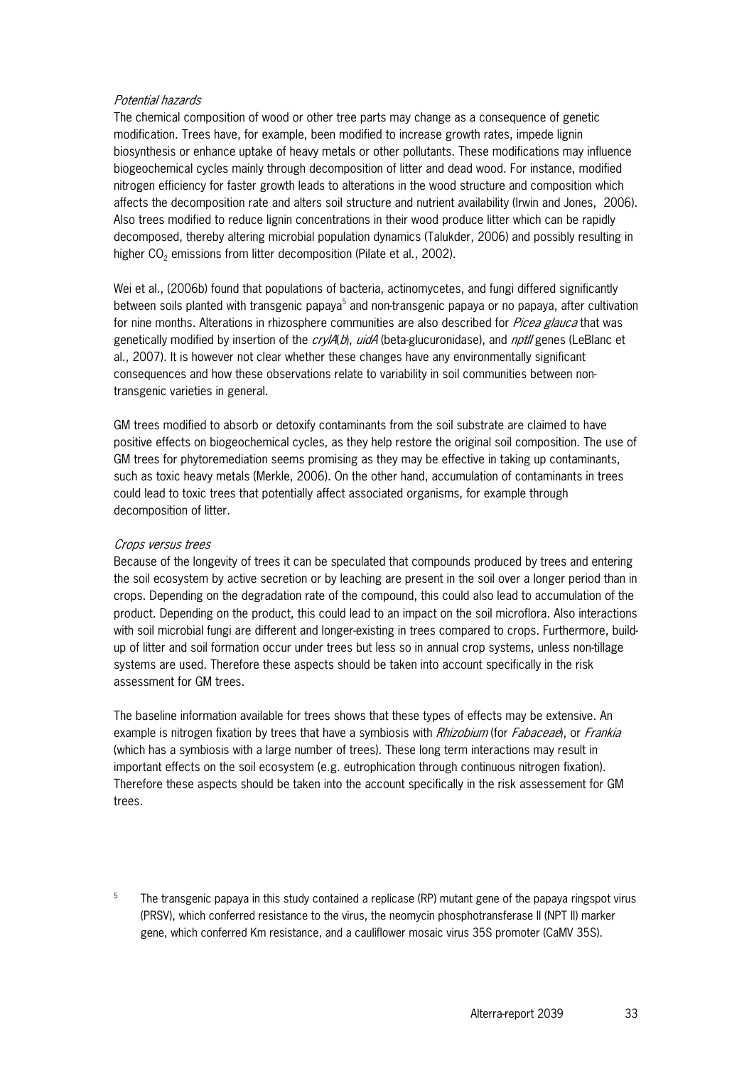#### Potential hazards

The chemical composition of wood or other tree parts may change as a consequence of genetic modification. Trees have, for example, been modified to increase growth rates, impede lignin biosynthesis or enhance uptake of heavy metals or other pollutants. These modifications may influence biogeochemical cycles mainly through decomposition of litter and dead wood. For instance, modified nitrogen efficiency for faster growth leads to alterations in the wood structure and composition which affects the decomposition rate and alters soil structure and nutrient availability (Irwin and Jones, 2006). Also trees modified to reduce lignin concentrations in their wood produce litter which can be rapidly decomposed, thereby altering microbial population dynamics (Talukder, 2006) and possibly resulting in higher  $CO<sub>2</sub>$  emissions from litter decomposition (Pilate et al., 2002).

Wei et al., (2006b) found that populations of bacteria, actinomycetes, and fungi differed significantly between soils planted with transgenic papaya<sup>5</sup> and non-transgenic papaya or no papaya, after cultivation for nine months. Alterations in rhizosphere communities are also described for *Picea glauca* that was genetically modified by insertion of the  $cry/A(b)$ , uidA (beta-glucuronidase), and nptII genes (LeBlanc et al., 2007). It is however not clear whether these changes have any environmentally significant consequences and how these observations relate to variability in soil communities between nontransgenic varieties in general.

GM trees modified to absorb or detoxify contaminants from the soil substrate are claimed to have positive effects on biogeochemical cycles, as they help restore the original soil composition. The use of GM trees for phytoremediation seems promising as they may be effective in taking up contaminants, such as toxic heavy metals (Merkle, 2006). On the other hand, accumulation of contaminants in trees could lead to toxic trees that potentially affect associated organisms, for example through decomposition of litter.

#### Crops versus trees

Because of the longevity of trees it can be speculated that compounds produced by trees and entering the soil ecosystem by active secretion or by leaching are present in the soil over a longer period than in crops. Depending on the degradation rate of the compound, this could also lead to accumulation of the product. Depending on the product, this could lead to an impact on the soil microflora. Also interactions with soil microbial fungi are different and longer-existing in trees compared to crops. Furthermore, buildup of litter and soil formation occur under trees but less so in annual crop systems, unless non-tillage systems are used. Therefore these aspects should be taken into account specifically in the risk assessment for GM trees.

The baseline information available for trees shows that these types of effects may be extensive. An example is nitrogen fixation by trees that have a symbiosis with Rhizobium (for Fabaceae), or Frankia (which has a symbiosis with a large number of trees). These long term interactions may result in important effects on the soil ecosystem (e.g. eutrophication through continuous nitrogen fixation). Therefore these aspects should be taken into the account specifically in the risk assessement for GM trees.

5 The transgenic papaya in this study contained a replicase (RP) mutant gene of the papaya ringspot virus (PRSV), which conferred resistance to the virus, the neomycin phosphotransferase II (NPT II) marker gene, which conferred Km resistance, and a cauliflower mosaic virus 35S promoter (CaMV 35S).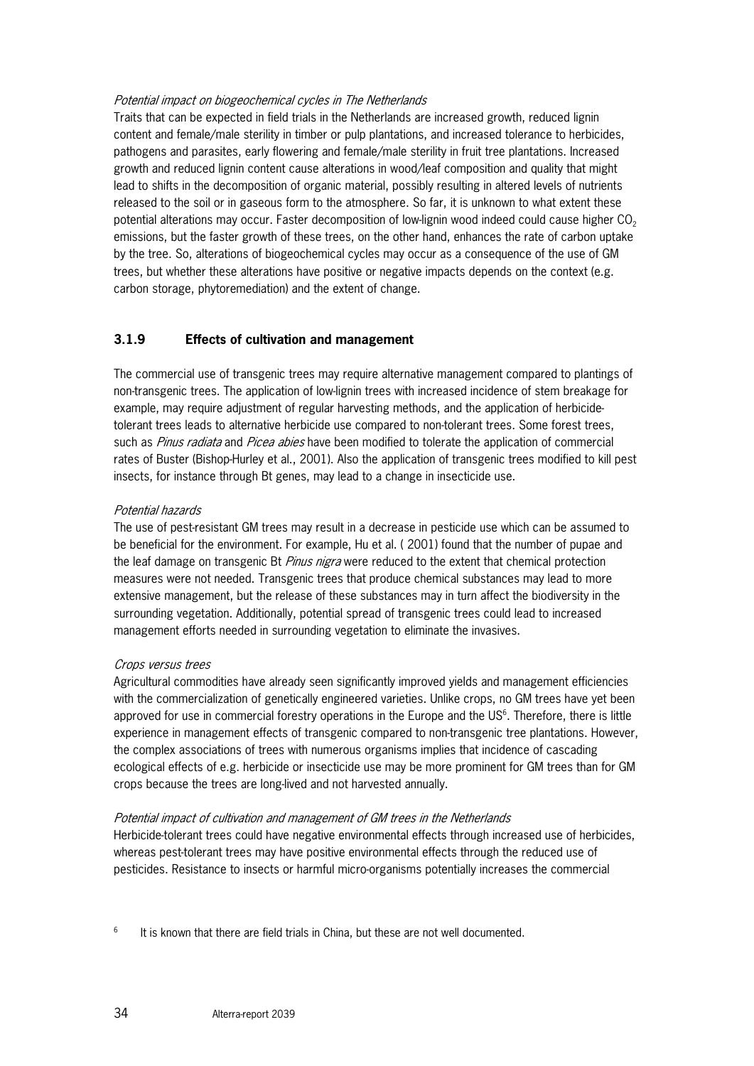#### Potential impact on biogeochemical cycles in The Netherlands

Traits that can be expected in field trials in the Netherlands are increased growth, reduced lignin content and female/male sterility in timber or pulp plantations, and increased tolerance to herbicides, pathogens and parasites, early flowering and female/male sterility in fruit tree plantations. Increased growth and reduced lignin content cause alterations in wood/leaf composition and quality that might lead to shifts in the decomposition of organic material, possibly resulting in altered levels of nutrients released to the soil or in gaseous form to the atmosphere. So far, it is unknown to what extent these potential alterations may occur. Faster decomposition of low-lignin wood indeed could cause higher CO<sub>2</sub> emissions, but the faster growth of these trees, on the other hand, enhances the rate of carbon uptake by the tree. So, alterations of biogeochemical cycles may occur as a consequence of the use of GM trees, but whether these alterations have positive or negative impacts depends on the context (e.g. carbon storage, phytoremediation) and the extent of change.

#### **3.1.9 Effects of cultivation and management**

The commercial use of transgenic trees may require alternative management compared to plantings of non-transgenic trees. The application of low-lignin trees with increased incidence of stem breakage for example, may require adjustment of regular harvesting methods, and the application of herbicidetolerant trees leads to alternative herbicide use compared to non-tolerant trees. Some forest trees, such as *Pinus radiata* and *Picea abies* have been modified to tolerate the application of commercial rates of Buster (Bishop-Hurley et al., 2001). Also the application of transgenic trees modified to kill pest insects, for instance through Bt genes, may lead to a change in insecticide use.

#### Potential hazards

The use of pest-resistant GM trees may result in a decrease in pesticide use which can be assumed to be beneficial for the environment. For example, Hu et al. ( 2001) found that the number of pupae and the leaf damage on transgenic Bt *Pinus nigra* were reduced to the extent that chemical protection measures were not needed. Transgenic trees that produce chemical substances may lead to more extensive management, but the release of these substances may in turn affect the biodiversity in the surrounding vegetation. Additionally, potential spread of transgenic trees could lead to increased management efforts needed in surrounding vegetation to eliminate the invasives.

#### Crops versus trees

Agricultural commodities have already seen significantly improved yields and management efficiencies with the commercialization of genetically engineered varieties. Unlike crops, no GM trees have yet been approved for use in commercial forestry operations in the Europe and the US<sup>6</sup>. Therefore, there is little experience in management effects of transgenic compared to non-transgenic tree plantations. However, the complex associations of trees with numerous organisms implies that incidence of cascading ecological effects of e.g. herbicide or insecticide use may be more prominent for GM trees than for GM crops because the trees are long-lived and not harvested annually.

#### Potential impact of cultivation and management of GM trees in the Netherlands

Herbicide-tolerant trees could have negative environmental effects through increased use of herbicides, whereas pest-tolerant trees may have positive environmental effects through the reduced use of pesticides. Resistance to insects or harmful micro-organisms potentially increases the commercial

6 It is known that there are field trials in China, but these are not well documented.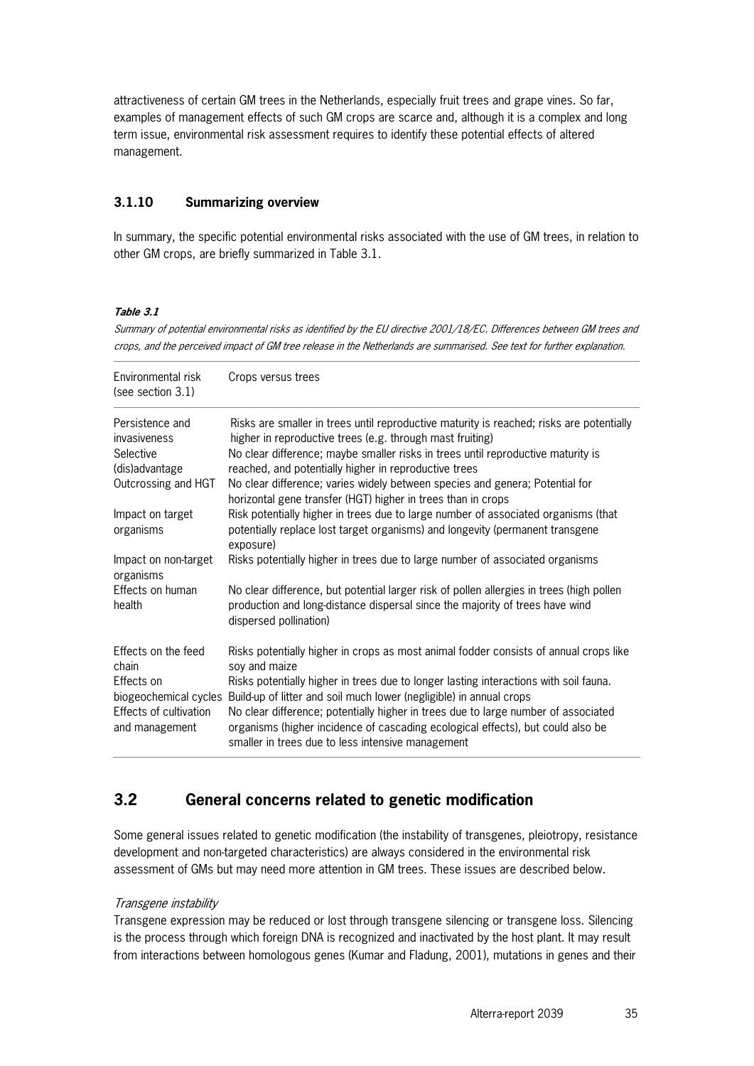attractiveness of certain GM trees in the Netherlands, especially fruit trees and grape vines. So far, examples of management effects of such GM crops are scarce and, although it is a complex and long term issue, environmental risk assessment requires to identify these potential effects of altered management.

#### **3.1.10 Summarizing overview**

In summary, the specific potential environmental risks associated with the use of GM trees, in relation to other GM crops, are briefly summarized in Table 3.1.

#### **Table 3.1**

Summary of potential environmental risks as identified by the EU directive 2001/18/EC. Differences between GM trees and crops, and the perceived impact of GM tree release in the Netherlands are summarised. See text for further explanation.

| Environmental risk<br>(see section $3.1$ ) | Crops versus trees                                                                                                                                                                                                         |
|--------------------------------------------|----------------------------------------------------------------------------------------------------------------------------------------------------------------------------------------------------------------------------|
| Persistence and<br>invasiveness            | Risks are smaller in trees until reproductive maturity is reached; risks are potentially<br>higher in reproductive trees (e.g. through mast fruiting)                                                                      |
| Selective                                  | No clear difference; maybe smaller risks in trees until reproductive maturity is                                                                                                                                           |
| (dis)advantage                             | reached, and potentially higher in reproductive trees                                                                                                                                                                      |
| Outcrossing and HGT                        | No clear difference; varies widely between species and genera; Potential for<br>horizontal gene transfer (HGT) higher in trees than in crops                                                                               |
| Impact on target<br>organisms              | Risk potentially higher in trees due to large number of associated organisms (that<br>potentially replace lost target organisms) and longevity (permanent transgene<br>exposure)                                           |
| Impact on non-target<br>organisms          | Risks potentially higher in trees due to large number of associated organisms                                                                                                                                              |
| Effects on human<br>health                 | No clear difference, but potential larger risk of pollen allergies in trees (high pollen<br>production and long-distance dispersal since the majority of trees have wind<br>dispersed pollination)                         |
| Effects on the feed<br>chain               | Risks potentially higher in crops as most animal fodder consists of annual crops like<br>soy and maize                                                                                                                     |
| Effects on                                 | Risks potentially higher in trees due to longer lasting interactions with soil fauna.                                                                                                                                      |
| biogeochemical cycles                      | Build-up of litter and soil much lower (negligible) in annual crops                                                                                                                                                        |
| Effects of cultivation<br>and management   | No clear difference; potentially higher in trees due to large number of associated<br>organisms (higher incidence of cascading ecological effects), but could also be<br>smaller in trees due to less intensive management |

## **3.2 General concerns related to genetic modification**

Some general issues related to genetic modification (the instability of transgenes, pleiotropy, resistance development and non-targeted characteristics) are always considered in the environmental risk assessment of GMs but may need more attention in GM trees. These issues are described below.

#### Transgene instability

Transgene expression may be reduced or lost through transgene silencing or transgene loss. Silencing is the process through which foreign DNA is recognized and inactivated by the host plant. It may result from interactions between homologous genes (Kumar and Fladung, 2001), mutations in genes and their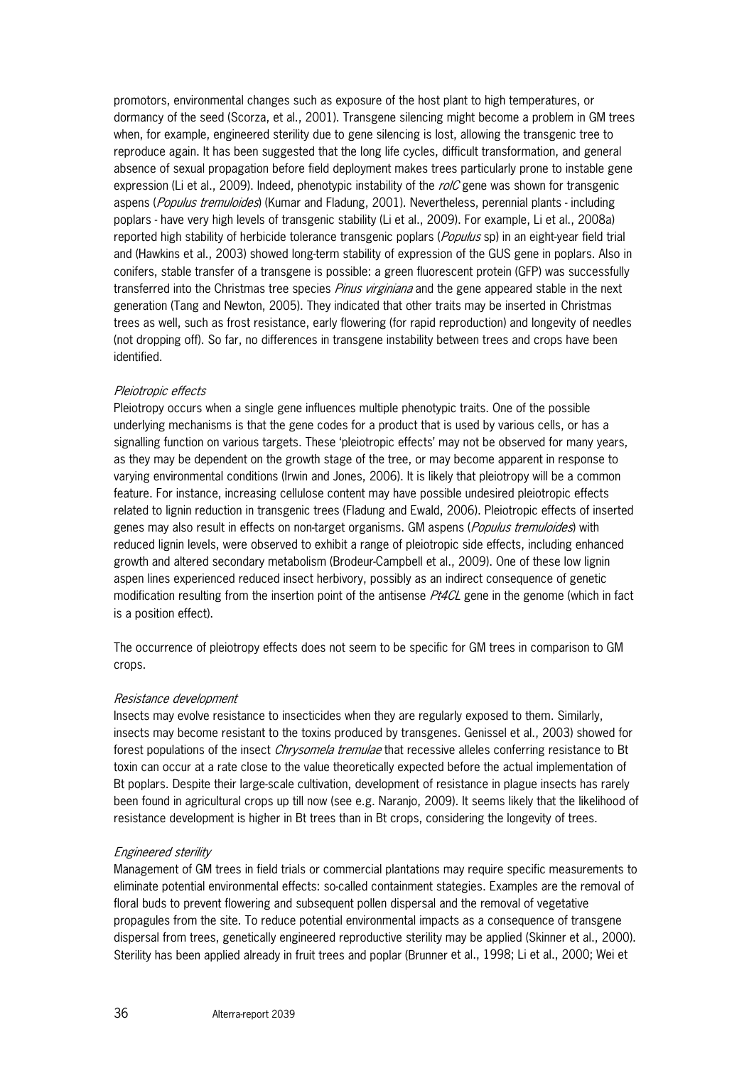promotors, environmental changes such as exposure of the host plant to high temperatures, or dormancy of the seed (Scorza, et al., 2001). Transgene silencing might become a problem in GM trees when, for example, engineered sterility due to gene silencing is lost, allowing the transgenic tree to reproduce again. It has been suggested that the long life cycles, difficult transformation, and general absence of sexual propagation before field deployment makes trees particularly prone to instable gene expression (Li et al., 2009). Indeed, phenotypic instability of the  $rolC$  gene was shown for transgenic aspens (Populus tremuloides) (Kumar and Fladung, 2001). Nevertheless, perennial plants - including poplars - have very high levels of transgenic stability (Li et al., 2009). For example, Li et al., 2008a) reported high stability of herbicide tolerance transgenic poplars (*Populus* sp) in an eight-year field trial and (Hawkins et al., 2003) showed long-term stability of expression of the GUS gene in poplars. Also in conifers, stable transfer of a transgene is possible: a green fluorescent protein (GFP) was successfully transferred into the Christmas tree species *Pinus virginiana* and the gene appeared stable in the next generation (Tang and Newton, 2005). They indicated that other traits may be inserted in Christmas trees as well, such as frost resistance, early flowering (for rapid reproduction) and longevity of needles (not dropping off). So far, no differences in transgene instability between trees and crops have been identified.

#### Pleiotropic effects

Pleiotropy occurs when a single gene influences multiple phenotypic traits. One of the possible underlying mechanisms is that the gene codes for a product that is used by various cells, or has a signalling function on various targets. These 'pleiotropic effects' may not be observed for many years, as they may be dependent on the growth stage of the tree, or may become apparent in response to varying environmental conditions (Irwin and Jones, 2006). It is likely that pleiotropy will be a common feature. For instance, increasing cellulose content may have possible undesired pleiotropic effects related to lignin reduction in transgenic trees (Fladung and Ewald, 2006). Pleiotropic effects of inserted genes may also result in effects on non-target organisms. GM aspens (*Populus tremuloides*) with reduced lignin levels, were observed to exhibit a range of pleiotropic side effects, including enhanced growth and altered secondary metabolism (Brodeur-Campbell et al., 2009). One of these low lignin aspen lines experienced reduced insect herbivory, possibly as an indirect consequence of genetic modification resulting from the insertion point of the antisense *Pt4CL* gene in the genome (which in fact is a position effect).

The occurrence of pleiotropy effects does not seem to be specific for GM trees in comparison to GM crops.

#### Resistance development

Insects may evolve resistance to insecticides when they are regularly exposed to them. Similarly, insects may become resistant to the toxins produced by transgenes. Genissel et al., 2003) showed for forest populations of the insect *Chrysomela tremulae* that recessive alleles conferring resistance to Bt toxin can occur at a rate close to the value theoretically expected before the actual implementation of Bt poplars. Despite their large-scale cultivation, development of resistance in plague insects has rarely been found in agricultural crops up till now (see e.g. Naranjo, 2009). It seems likely that the likelihood of resistance development is higher in Bt trees than in Bt crops, considering the longevity of trees.

#### Engineered sterility

Management of GM trees in field trials or commercial plantations may require specific measurements to eliminate potential environmental effects: so-called containment stategies. Examples are the removal of floral buds to prevent flowering and subsequent pollen dispersal and the removal of vegetative propagules from the site. To reduce potential environmental impacts as a consequence of transgene dispersal from trees, genetically engineered reproductive sterility may be applied (Skinner et al., 2000). Sterility has been applied already in fruit trees and poplar (Brunner et al., 1998; Li et al., 2000; Wei et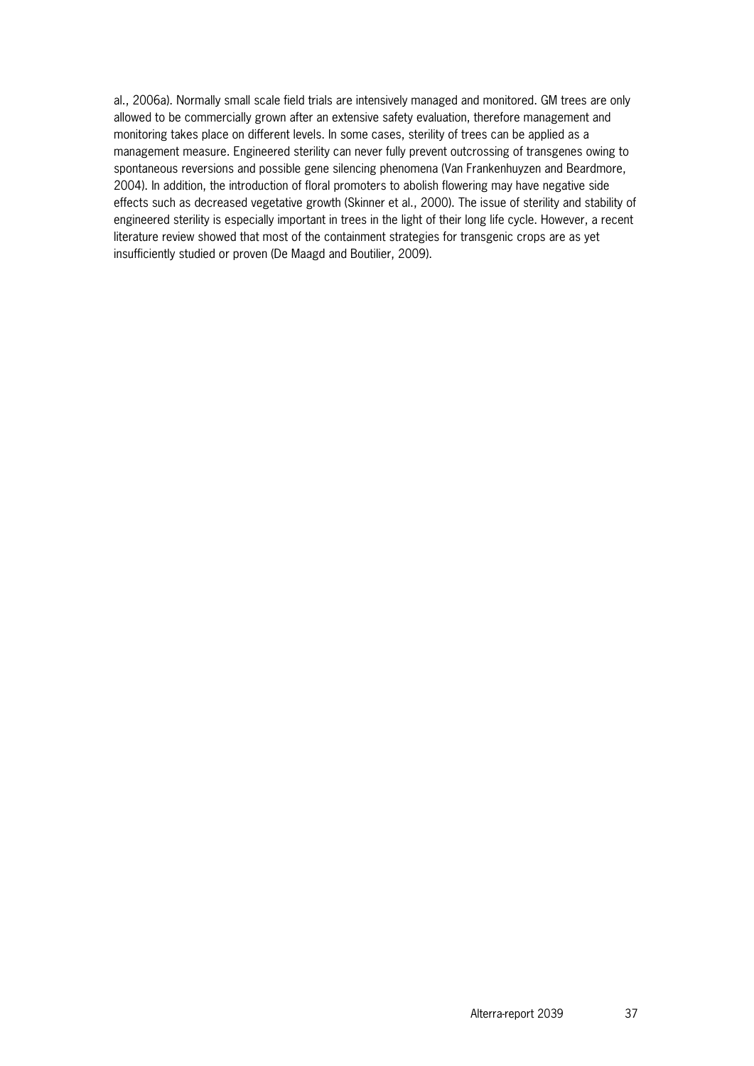al., 2006a). Normally small scale field trials are intensively managed and monitored. GM trees are only allowed to be commercially grown after an extensive safety evaluation, therefore management and monitoring takes place on different levels. In some cases, sterility of trees can be applied as a management measure. Engineered sterility can never fully prevent outcrossing of transgenes owing to spontaneous reversions and possible gene silencing phenomena (Van Frankenhuyzen and Beardmore, 2004). In addition, the introduction of floral promoters to abolish flowering may have negative side effects such as decreased vegetative growth (Skinner et al., 2000). The issue of sterility and stability of engineered sterility is especially important in trees in the light of their long life cycle. However, a recent literature review showed that most of the containment strategies for transgenic crops are as yet insufficiently studied or proven (De Maagd and Boutilier, 2009).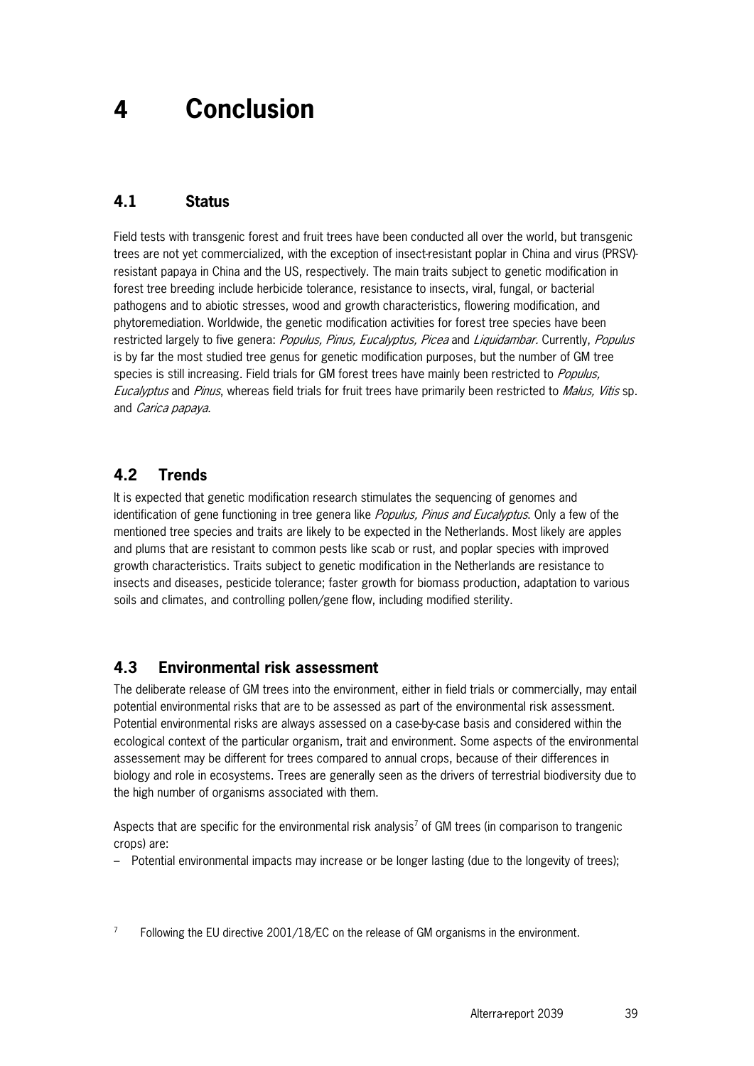## **4 Conclusion**

## **4.1 Status**

Field tests with transgenic forest and fruit trees have been conducted all over the world, but transgenic trees are not yet commercialized, with the exception of insect-resistant poplar in China and virus (PRSV) resistant papaya in China and the US, respectively. The main traits subject to genetic modification in forest tree breeding include herbicide tolerance, resistance to insects, viral, fungal, or bacterial pathogens and to abiotic stresses, wood and growth characteristics, flowering modification, and phytoremediation. Worldwide, the genetic modification activities for forest tree species have been restricted largely to five genera: Populus, Pinus, Eucalyptus, Picea and Liquidambar. Currently, Populus is by far the most studied tree genus for genetic modification purposes, but the number of GM tree species is still increasing. Field trials for GM forest trees have mainly been restricted to Populus, Eucalyptus and Pinus, whereas field trials for fruit trees have primarily been restricted to Malus, Vitis sp. and Carica papaya.

## **4.2 Trends**

It is expected that genetic modification research stimulates the sequencing of genomes and identification of gene functioning in tree genera like *Populus, Pinus and Eucalyptus*. Only a few of the mentioned tree species and traits are likely to be expected in the Netherlands. Most likely are apples and plums that are resistant to common pests like scab or rust, and poplar species with improved growth characteristics. Traits subject to genetic modification in the Netherlands are resistance to insects and diseases, pesticide tolerance; faster growth for biomass production, adaptation to various soils and climates, and controlling pollen/gene flow, including modified sterility.

### **4.3 Environmental risk assessment**

The deliberate release of GM trees into the environment, either in field trials or commercially, may entail potential environmental risks that are to be assessed as part of the environmental risk assessment. Potential environmental risks are always assessed on a case-by-case basis and considered within the ecological context of the particular organism, trait and environment. Some aspects of the environmental assessement may be different for trees compared to annual crops, because of their differences in biology and role in ecosystems. Trees are generally seen as the drivers of terrestrial biodiversity due to the high number of organisms associated with them.

Aspects that are specific for the environmental risk analysis<sup>7</sup> of GM trees (in comparison to trangenic crops) are:

– Potential environmental impacts may increase or be longer lasting (due to the longevity of trees);

7 Following the EU directive 2001/18/EC on the release of GM organisms in the environment.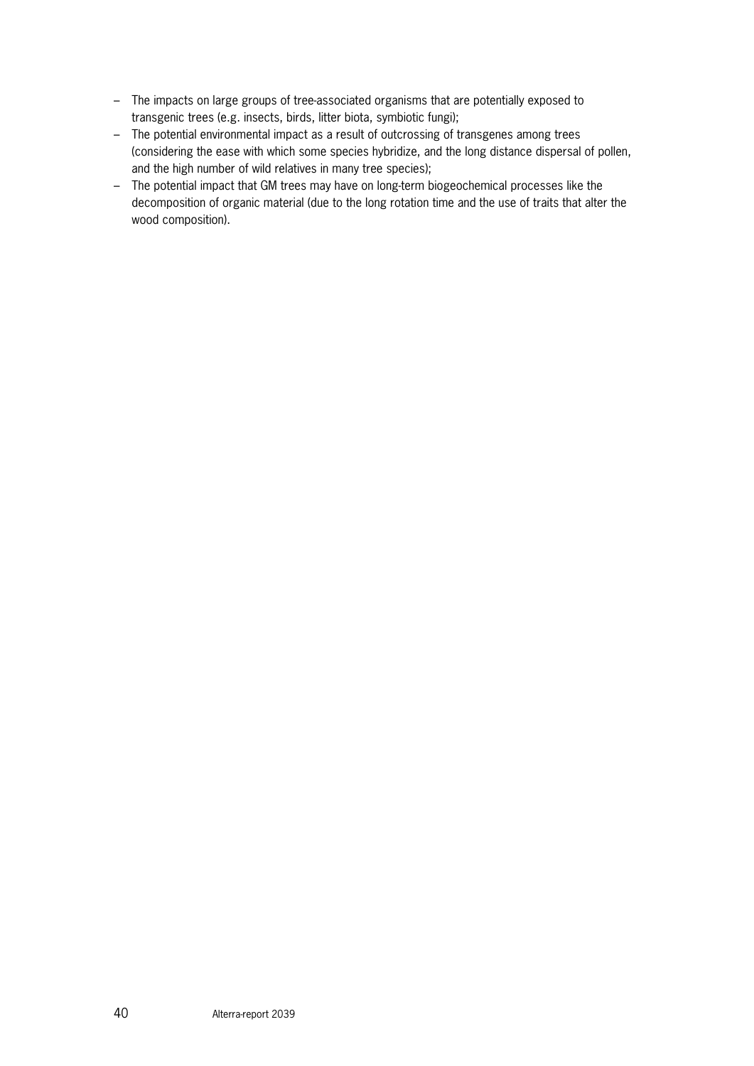- The impacts on large groups of tree-associated organisms that are potentially exposed to transgenic trees (e.g. insects, birds, litter biota, symbiotic fungi);
- The potential environmental impact as a result of outcrossing of transgenes among trees (considering the ease with which some species hybridize, and the long distance dispersal of pollen, and the high number of wild relatives in many tree species);
- The potential impact that GM trees may have on long-term biogeochemical processes like the decomposition of organic material (due to the long rotation time and the use of traits that alter the wood composition).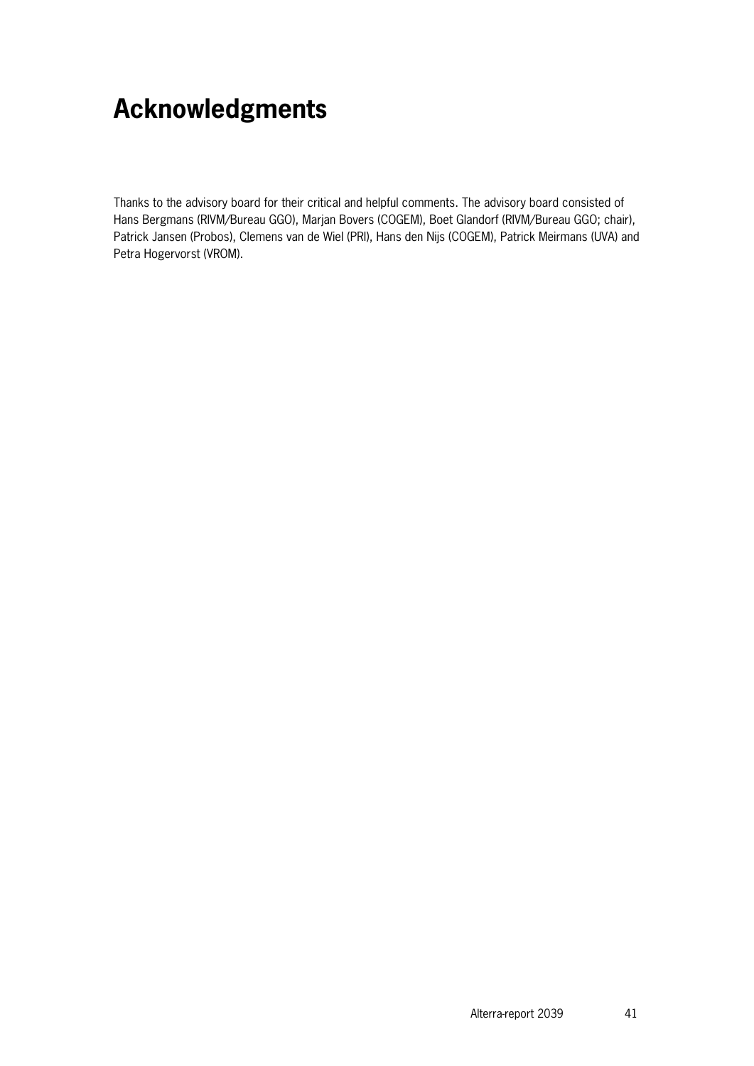## **Acknowledgments**

Thanks to the advisory board for their critical and helpful comments. The advisory board consisted of Hans Bergmans (RIVM/Bureau GGO), Marjan Bovers (COGEM), Boet Glandorf (RIVM/Bureau GGO; chair), Patrick Jansen (Probos), Clemens van de Wiel (PRI), Hans den Nijs (COGEM), Patrick Meirmans (UVA) and Petra Hogervorst (VROM).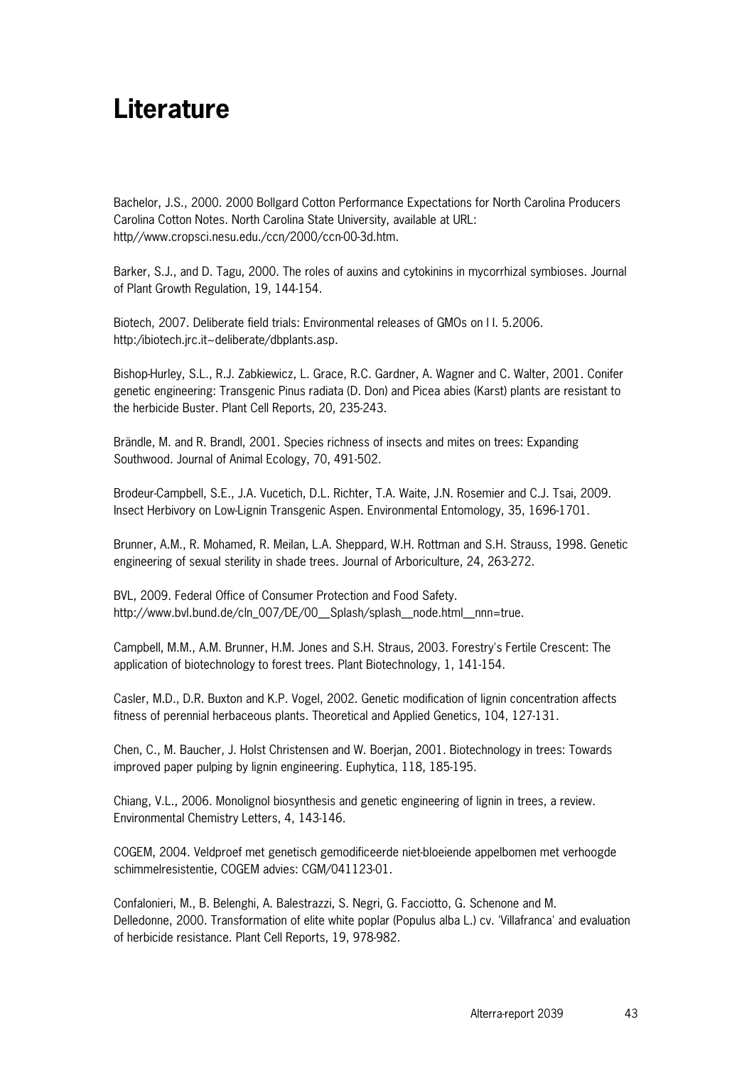## **Literature**

Bachelor, J.S., 2000. 2000 Bollgard Cotton Performance Expectations for North Carolina Producers Carolina Cotton Notes. North Carolina State University, available at URL: http//www.cropsci.nesu.edu./ccn/2000/ccn-00-3d.htm.

Barker, S.J., and D. Tagu, 2000. The roles of auxins and cytokinins in mycorrhizal symbioses. Journal of Plant Growth Regulation, 19, 144-154.

Biotech, 2007. Deliberate field trials: Environmental releases of GMOs on l I. 5.2006. http:/ibiotech.jrc.it~deliberate/dbplants.asp.

Bishop-Hurley, S.L., R.J. Zabkiewicz, L. Grace, R.C. Gardner, A. Wagner and C. Walter, 2001. Conifer genetic engineering: Transgenic Pinus radiata (D. Don) and Picea abies (Karst) plants are resistant to the herbicide Buster. Plant Cell Reports, 20, 235-243.

Brändle, M. and R. Brandl, 2001. Species richness of insects and mites on trees: Expanding Southwood. Journal of Animal Ecology, 70, 491-502.

Brodeur-Campbell, S.E., J.A. Vucetich, D.L. Richter, T.A. Waite, J.N. Rosemier and C.J. Tsai, 2009. Insect Herbivory on Low-Lignin Transgenic Aspen. Environmental Entomology, 35, 1696-1701.

Brunner, A.M., R. Mohamed, R. Meilan, L.A. Sheppard, W.H. Rottman and S.H. Strauss, 1998. Genetic engineering of sexual sterility in shade trees. Journal of Arboriculture, 24, 263-272.

BVL, 2009. Federal Office of Consumer Protection and Food Safety. http://www.bvl.bund.de/cln\_007/DE/00\_\_Splash/splash\_\_node.html\_\_nnn=true.

Campbell, M.M., A.M. Brunner, H.M. Jones and S.H. Straus, 2003. Forestry's Fertile Crescent: The application of biotechnology to forest trees. Plant Biotechnology, 1, 141-154.

Casler, M.D., D.R. Buxton and K.P. Vogel, 2002. Genetic modification of lignin concentration affects fitness of perennial herbaceous plants. Theoretical and Applied Genetics, 104, 127-131.

Chen, C., M. Baucher, J. Holst Christensen and W. Boerjan, 2001. Biotechnology in trees: Towards improved paper pulping by lignin engineering. Euphytica, 118, 185-195.

Chiang, V.L., 2006. Monolignol biosynthesis and genetic engineering of lignin in trees, a review. Environmental Chemistry Letters, 4, 143-146.

COGEM, 2004. Veldproef met genetisch gemodificeerde niet-bloeiende appelbomen met verhoogde schimmelresistentie, COGEM advies: CGM/041123-01.

Confalonieri, M., B. Belenghi, A. Balestrazzi, S. Negri, G. Facciotto, G. Schenone and M. Delledonne, 2000. Transformation of elite white poplar (Populus alba L.) cv. 'Villafranca' and evaluation of herbicide resistance. Plant Cell Reports, 19, 978-982.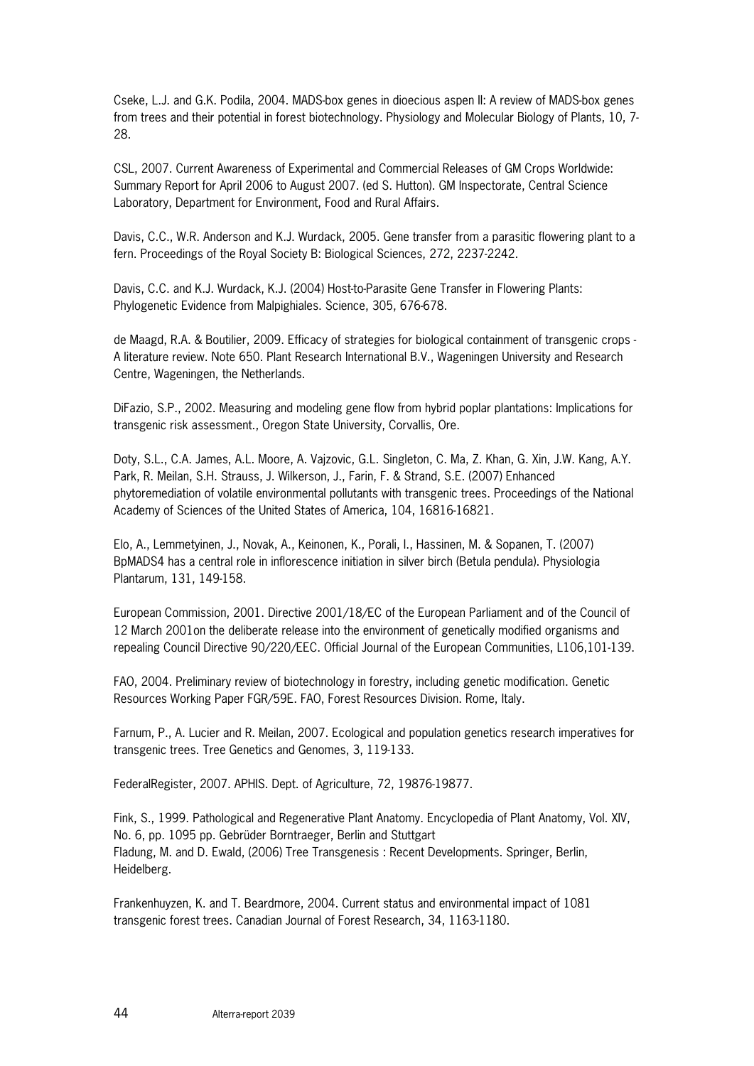Cseke, L.J. and G.K. Podila, 2004. MADS-box genes in dioecious aspen II: A review of MADS-box genes from trees and their potential in forest biotechnology. Physiology and Molecular Biology of Plants, 10, 7- 28.

CSL, 2007. Current Awareness of Experimental and Commercial Releases of GM Crops Worldwide: Summary Report for April 2006 to August 2007. (ed S. Hutton). GM Inspectorate, Central Science Laboratory, Department for Environment, Food and Rural Affairs.

Davis, C.C., W.R. Anderson and K.J. Wurdack, 2005. Gene transfer from a parasitic flowering plant to a fern. Proceedings of the Royal Society B: Biological Sciences, 272, 2237-2242.

Davis, C.C. and K.J. Wurdack, K.J. (2004) Host-to-Parasite Gene Transfer in Flowering Plants: Phylogenetic Evidence from Malpighiales. Science, 305, 676-678.

de Maagd, R.A. & Boutilier, 2009. Efficacy of strategies for biological containment of transgenic crops - A literature review. Note 650. Plant Research International B.V., Wageningen University and Research Centre, Wageningen, the Netherlands.

DiFazio, S.P., 2002. Measuring and modeling gene flow from hybrid poplar plantations: Implications for transgenic risk assessment., Oregon State University, Corvallis, Ore.

Doty, S.L., C.A. James, A.L. Moore, A. Vajzovic, G.L. Singleton, C. Ma, Z. Khan, G. Xin, J.W. Kang, A.Y. Park, R. Meilan, S.H. Strauss, J. Wilkerson, J., Farin, F. & Strand, S.E. (2007) Enhanced phytoremediation of volatile environmental pollutants with transgenic trees. Proceedings of the National Academy of Sciences of the United States of America, 104, 16816-16821.

Elo, A., Lemmetyinen, J., Novak, A., Keinonen, K., Porali, I., Hassinen, M. & Sopanen, T. (2007) BpMADS4 has a central role in inflorescence initiation in silver birch (Betula pendula). Physiologia Plantarum, 131, 149-158.

European Commission, 2001. Directive 2001/18/EC of the European Parliament and of the Council of 12 March 2001on the deliberate release into the environment of genetically modified organisms and repealing Council Directive 90/220/EEC. Official Journal of the European Communities, L106,101-139.

FAO, 2004. Preliminary review of biotechnology in forestry, including genetic modification. Genetic Resources Working Paper FGR/59E. FAO, Forest Resources Division. Rome, Italy.

Farnum, P., A. Lucier and R. Meilan, 2007. Ecological and population genetics research imperatives for transgenic trees. Tree Genetics and Genomes, 3, 119-133.

FederalRegister, 2007. APHIS. Dept. of Agriculture, 72, 19876-19877.

Fink, S., 1999. Pathological and Regenerative Plant Anatomy. Encyclopedia of Plant Anatomy, Vol. XIV, No. 6, pp. 1095 pp. Gebrüder Borntraeger, Berlin and Stuttgart Fladung, M. and D. Ewald, (2006) Tree Transgenesis : Recent Developments. Springer, Berlin, Heidelberg.

Frankenhuyzen, K. and T. Beardmore, 2004. Current status and environmental impact of 1081 transgenic forest trees. Canadian Journal of Forest Research, 34, 1163-1180.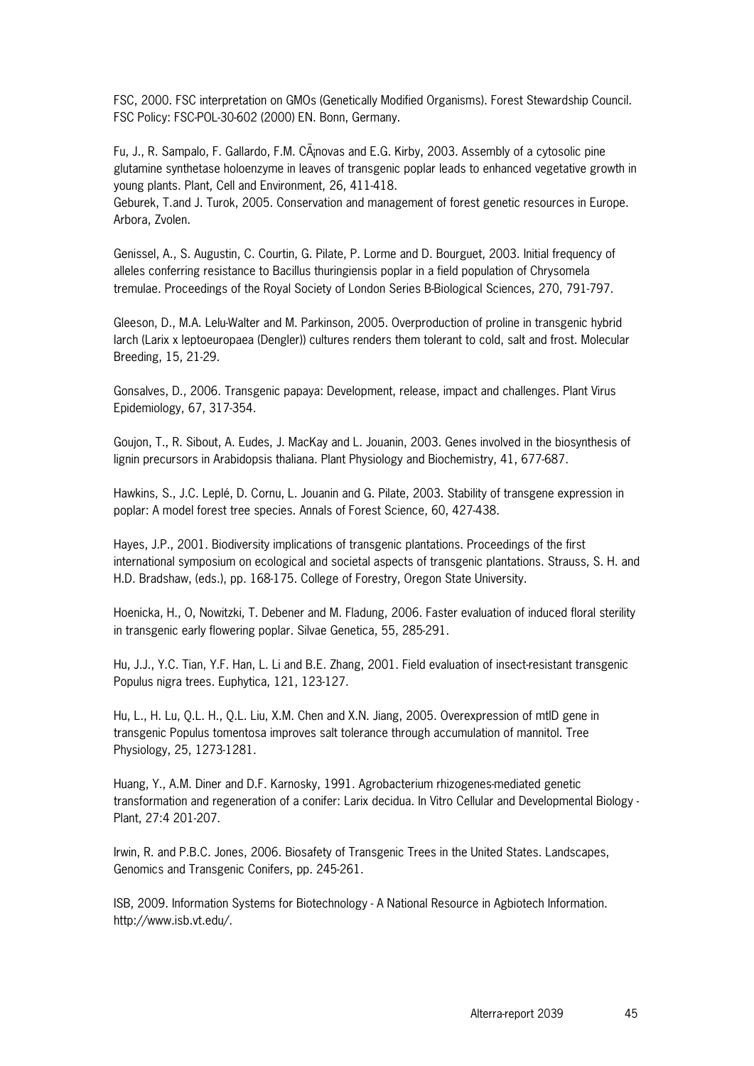FSC, 2000. FSC interpretation on GMOs (Genetically Modified Organisms). Forest Stewardship Council. FSC Policy: FSC-POL-30-602 (2000) EN. Bonn, Germany.

Fu, J., R. Sampalo, F. Gallardo, F.M. Cánovas and E.G. Kirby, 2003. Assembly of a cytosolic pine glutamine synthetase holoenzyme in leaves of transgenic poplar leads to enhanced vegetative growth in young plants. Plant, Cell and Environment, 26, 411-418.

Geburek, T.and J. Turok, 2005. Conservation and management of forest genetic resources in Europe. Arbora, Zvolen.

Genissel, A., S. Augustin, C. Courtin, G. Pilate, P. Lorme and D. Bourguet, 2003. Initial frequency of alleles conferring resistance to Bacillus thuringiensis poplar in a field population of Chrysomela tremulae. Proceedings of the Royal Society of London Series B-Biological Sciences, 270, 791-797.

Gleeson, D., M.A. Lelu-Walter and M. Parkinson, 2005. Overproduction of proline in transgenic hybrid larch (Larix x leptoeuropaea (Dengler)) cultures renders them tolerant to cold, salt and frost. Molecular Breeding, 15, 21-29.

Gonsalves, D., 2006. Transgenic papaya: Development, release, impact and challenges. Plant Virus Epidemiology, 67, 317-354.

Goujon, T., R. Sibout, A. Eudes, J. MacKay and L. Jouanin, 2003. Genes involved in the biosynthesis of lignin precursors in Arabidopsis thaliana. Plant Physiology and Biochemistry, 41, 677-687.

Hawkins, S., J.C. Leplé, D. Cornu, L. Jouanin and G. Pilate, 2003. Stability of transgene expression in poplar: A model forest tree species. Annals of Forest Science, 60, 427-438.

Hayes, J.P., 2001. Biodiversity implications of transgenic plantations. Proceedings of the first international symposium on ecological and societal aspects of transgenic plantations. Strauss, S. H. and H.D. Bradshaw, (eds.), pp. 168-175. College of Forestry, Oregon State University.

Hoenicka, H., O, Nowitzki, T. Debener and M. Fladung, 2006. Faster evaluation of induced floral sterility in transgenic early flowering poplar. Silvae Genetica, 55, 285-291.

Hu, J.J., Y.C. Tian, Y.F. Han, L. Li and B.E. Zhang, 2001. Field evaluation of insect-resistant transgenic Populus nigra trees. Euphytica, 121, 123-127.

Hu, L., H. Lu, Q.L. H., Q.L. Liu, X.M. Chen and X.N. Jiang, 2005. Overexpression of mtlD gene in transgenic Populus tomentosa improves salt tolerance through accumulation of mannitol. Tree Physiology, 25, 1273-1281.

Huang, Y., A.M. Diner and D.F. Karnosky, 1991. Agrobacterium rhizogenes-mediated genetic transformation and regeneration of a conifer: Larix decidua. In Vitro Cellular and Developmental Biology - Plant, 27:4 201-207.

Irwin, R. and P.B.C. Jones, 2006. Biosafety of Transgenic Trees in the United States. Landscapes, Genomics and Transgenic Conifers, pp. 245-261.

ISB, 2009. Information Systems for Biotechnology - A National Resource in Agbiotech Information. http://www.isb.vt.edu/.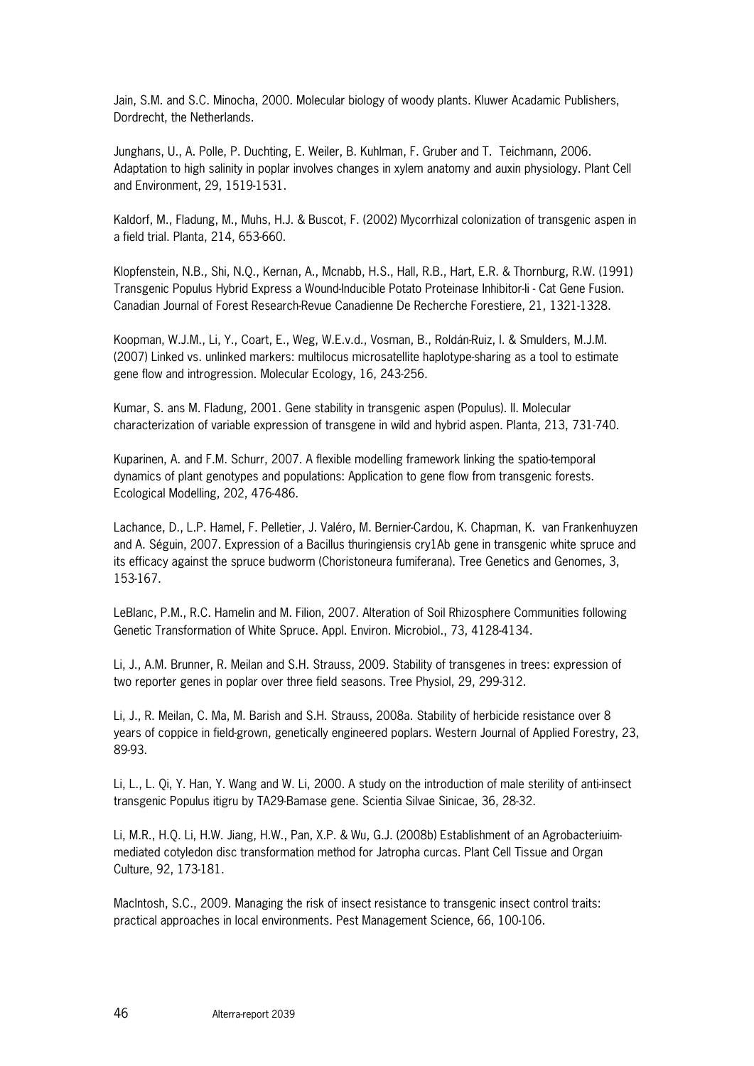Jain, S.M. and S.C. Minocha, 2000. Molecular biology of woody plants. Kluwer Acadamic Publishers, Dordrecht, the Netherlands.

Junghans, U., A. Polle, P. Duchting, E. Weiler, B. Kuhlman, F. Gruber and T. Teichmann, 2006. Adaptation to high salinity in poplar involves changes in xylem anatomy and auxin physiology. Plant Cell and Environment, 29, 1519-1531.

Kaldorf, M., Fladung, M., Muhs, H.J. & Buscot, F. (2002) Mycorrhizal colonization of transgenic aspen in a field trial. Planta, 214, 653-660.

Klopfenstein, N.B., Shi, N.Q., Kernan, A., Mcnabb, H.S., Hall, R.B., Hart, E.R. & Thornburg, R.W. (1991) Transgenic Populus Hybrid Express a Wound-Inducible Potato Proteinase Inhibitor-Ii - Cat Gene Fusion. Canadian Journal of Forest Research-Revue Canadienne De Recherche Forestiere, 21, 1321-1328.

Koopman, W.J.M., Li, Y., Coart, E., Weg, W.E.v.d., Vosman, B., Roldán-Ruiz, I. & Smulders, M.J.M. (2007) Linked vs. unlinked markers: multilocus microsatellite haplotype-sharing as a tool to estimate gene flow and introgression. Molecular Ecology, 16, 243-256.

Kumar, S. ans M. Fladung, 2001. Gene stability in transgenic aspen (Populus). II. Molecular characterization of variable expression of transgene in wild and hybrid aspen. Planta, 213, 731-740.

Kuparinen, A. and F.M. Schurr, 2007. A flexible modelling framework linking the spatio-temporal dynamics of plant genotypes and populations: Application to gene flow from transgenic forests. Ecological Modelling, 202, 476-486.

Lachance, D., L.P. Hamel, F. Pelletier, J. Valéro, M. Bernier-Cardou, K. Chapman, K. van Frankenhuyzen and A. Séguin, 2007. Expression of a Bacillus thuringiensis cry1Ab gene in transgenic white spruce and its efficacy against the spruce budworm (Choristoneura fumiferana). Tree Genetics and Genomes, 3, 153-167.

LeBlanc, P.M., R.C. Hamelin and M. Filion, 2007. Alteration of Soil Rhizosphere Communities following Genetic Transformation of White Spruce. Appl. Environ. Microbiol., 73, 4128-4134.

Li, J., A.M. Brunner, R. Meilan and S.H. Strauss, 2009. Stability of transgenes in trees: expression of two reporter genes in poplar over three field seasons. Tree Physiol, 29, 299-312.

Li, J., R. Meilan, C. Ma, M. Barish and S.H. Strauss, 2008a. Stability of herbicide resistance over 8 years of coppice in field-grown, genetically engineered poplars. Western Journal of Applied Forestry, 23, 89-93.

Li, L., L. Qi, Y. Han, Y. Wang and W. Li, 2000. A study on the introduction of male sterility of anti-insect transgenic Populus itigru by TA29-Bamase gene. Scientia Silvae Sinicae, 36, 28-32.

Li, M.R., H.Q. Li, H.W. Jiang, H.W., Pan, X.P. & Wu, G.J. (2008b) Establishment of an Agrobacteriuimmediated cotyledon disc transformation method for Jatropha curcas. Plant Cell Tissue and Organ Culture, 92, 173-181.

MacIntosh, S.C., 2009. Managing the risk of insect resistance to transgenic insect control traits: practical approaches in local environments. Pest Management Science, 66, 100-106.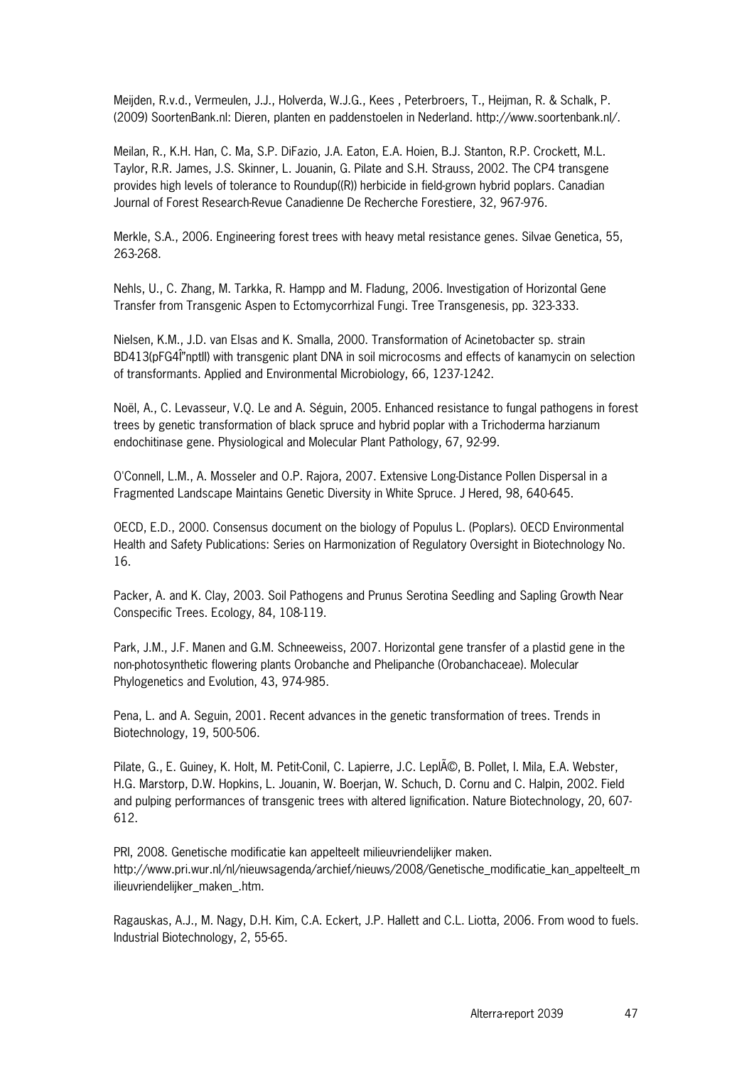Meijden, R.v.d., Vermeulen, J.J., Holverda, W.J.G., Kees , Peterbroers, T., Heijman, R. & Schalk, P. (2009) SoortenBank.nl: Dieren, planten en paddenstoelen in Nederland. http://www.soortenbank.nl/.

Meilan, R., K.H. Han, C. Ma, S.P. DiFazio, J.A. Eaton, E.A. Hoien, B.J. Stanton, R.P. Crockett, M.L. Taylor, R.R. James, J.S. Skinner, L. Jouanin, G. Pilate and S.H. Strauss, 2002. The CP4 transgene provides high levels of tolerance to Roundup((R)) herbicide in field-grown hybrid poplars. Canadian Journal of Forest Research-Revue Canadienne De Recherche Forestiere, 32, 967-976.

Merkle, S.A., 2006. Engineering forest trees with heavy metal resistance genes. Silvae Genetica, 55, 263-268.

Nehls, U., C. Zhang, M. Tarkka, R. Hampp and M. Fladung, 2006. Investigation of Horizontal Gene Transfer from Transgenic Aspen to Ectomycorrhizal Fungi. Tree Transgenesis, pp. 323-333.

Nielsen, K.M., J.D. van Elsas and K. Smalla, 2000. Transformation of Acinetobacter sp. strain BD413(pFG4l''nptll) with transgenic plant DNA in soil microcosms and effects of kanamycin on selection of transformants. Applied and Environmental Microbiology, 66, 1237-1242.

Noël, A., C. Levasseur, V.Q. Le and A. Séguin, 2005. Enhanced resistance to fungal pathogens in forest trees by genetic transformation of black spruce and hybrid poplar with a Trichoderma harzianum endochitinase gene. Physiological and Molecular Plant Pathology, 67, 92-99.

O'Connell, L.M., A. Mosseler and O.P. Rajora, 2007. Extensive Long-Distance Pollen Dispersal in a Fragmented Landscape Maintains Genetic Diversity in White Spruce. J Hered, 98, 640-645.

OECD, E.D., 2000. Consensus document on the biology of Populus L. (Poplars). OECD Environmental Health and Safety Publications: Series on Harmonization of Regulatory Oversight in Biotechnology No. 16.

Packer, A. and K. Clay, 2003. Soil Pathogens and Prunus Serotina Seedling and Sapling Growth Near Conspecific Trees. Ecology, 84, 108-119.

Park, J.M., J.F. Manen and G.M. Schneeweiss, 2007. Horizontal gene transfer of a plastid gene in the non-photosynthetic flowering plants Orobanche and Phelipanche (Orobanchaceae). Molecular Phylogenetics and Evolution, 43, 974-985.

Pena, L. and A. Seguin, 2001. Recent advances in the genetic transformation of trees. Trends in Biotechnology, 19, 500-506.

Pilate, G., E. Guiney, K. Holt, M. Petit-Conil, C. Lapierre, J.C. Lepl©, B. Pollet, I. Mila, E.A. Webster, H.G. Marstorp, D.W. Hopkins, L. Jouanin, W. Boerjan, W. Schuch, D. Cornu and C. Halpin, 2002. Field and pulping performances of transgenic trees with altered lignification. Nature Biotechnology, 20, 607- 612.

PRI, 2008. Genetische modificatie kan appelteelt milieuvriendelijker maken. http://www.pri.wur.nl/nl/nieuwsagenda/archief/nieuws/2008/Genetische\_modificatie\_kan\_appelteelt\_m ilieuvriendelijker\_maken\_.htm.

Ragauskas, A.J., M. Nagy, D.H. Kim, C.A. Eckert, J.P. Hallett and C.L. Liotta, 2006. From wood to fuels. Industrial Biotechnology, 2, 55-65.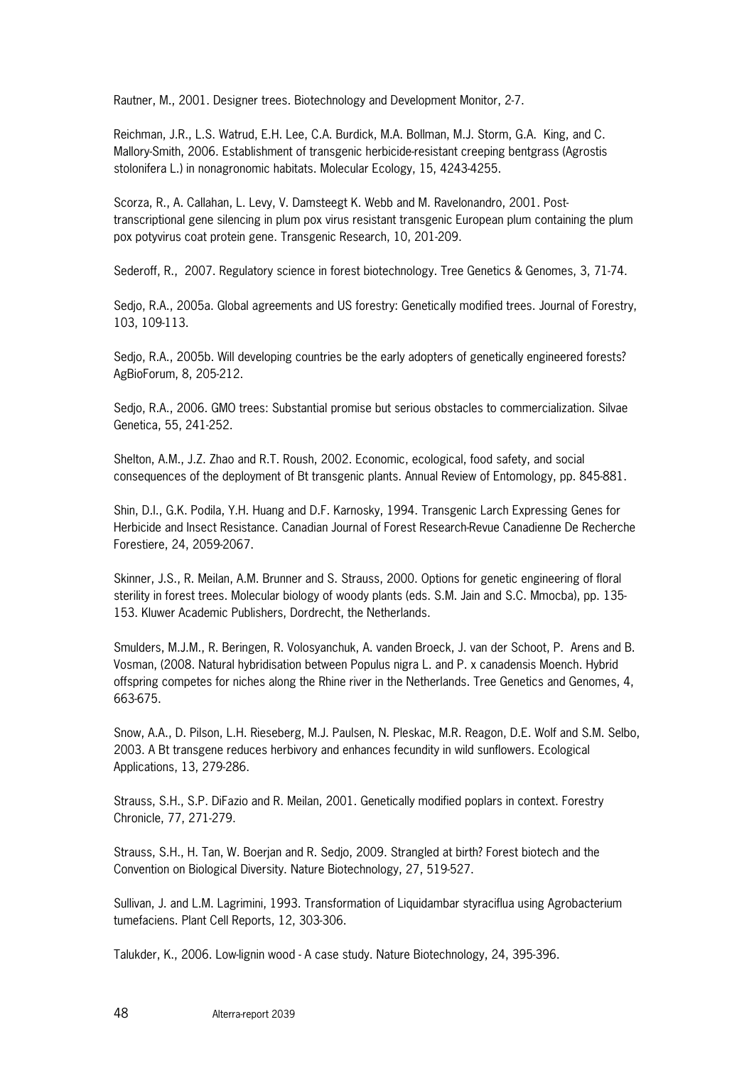Rautner, M., 2001. Designer trees. Biotechnology and Development Monitor, 2-7.

Reichman, J.R., L.S. Watrud, E.H. Lee, C.A. Burdick, M.A. Bollman, M.J. Storm, G.A. King, and C. Mallory-Smith, 2006. Establishment of transgenic herbicide-resistant creeping bentgrass (Agrostis stolonifera L.) in nonagronomic habitats. Molecular Ecology, 15, 4243-4255.

Scorza, R., A. Callahan, L. Levy, V. Damsteegt K. Webb and M. Ravelonandro, 2001. Posttranscriptional gene silencing in plum pox virus resistant transgenic European plum containing the plum pox potyvirus coat protein gene. Transgenic Research, 10, 201-209.

Sederoff, R., 2007. Regulatory science in forest biotechnology. Tree Genetics & Genomes, 3, 71-74.

Sedjo, R.A., 2005a. Global agreements and US forestry: Genetically modified trees. Journal of Forestry, 103, 109-113.

Sedjo, R.A., 2005b. Will developing countries be the early adopters of genetically engineered forests? AgBioForum, 8, 205-212.

Sedjo, R.A., 2006. GMO trees: Substantial promise but serious obstacles to commercialization. Silvae Genetica, 55, 241-252.

Shelton, A.M., J.Z. Zhao and R.T. Roush, 2002. Economic, ecological, food safety, and social consequences of the deployment of Bt transgenic plants. Annual Review of Entomology, pp. 845-881.

Shin, D.I., G.K. Podila, Y.H. Huang and D.F. Karnosky, 1994. Transgenic Larch Expressing Genes for Herbicide and Insect Resistance. Canadian Journal of Forest Research-Revue Canadienne De Recherche Forestiere, 24, 2059-2067.

Skinner, J.S., R. Meilan, A.M. Brunner and S. Strauss, 2000. Options for genetic engineering of floral sterility in forest trees. Molecular biology of woody plants (eds. S.M. Jain and S.C. Mmocba), pp. 135- 153. Kluwer Academic Publishers, Dordrecht, the Netherlands.

Smulders, M.J.M., R. Beringen, R. Volosyanchuk, A. vanden Broeck, J. van der Schoot, P. Arens and B. Vosman, (2008. Natural hybridisation between Populus nigra L. and P. x canadensis Moench. Hybrid offspring competes for niches along the Rhine river in the Netherlands. Tree Genetics and Genomes, 4, 663-675.

Snow, A.A., D. Pilson, L.H. Rieseberg, M.J. Paulsen, N. Pleskac, M.R. Reagon, D.E. Wolf and S.M. Selbo, 2003. A Bt transgene reduces herbivory and enhances fecundity in wild sunflowers. Ecological Applications, 13, 279-286.

Strauss, S.H., S.P. DiFazio and R. Meilan, 2001. Genetically modified poplars in context. Forestry Chronicle, 77, 271-279.

Strauss, S.H., H. Tan, W. Boerjan and R. Sedjo, 2009. Strangled at birth? Forest biotech and the Convention on Biological Diversity. Nature Biotechnology, 27, 519-527.

Sullivan, J. and L.M. Lagrimini, 1993. Transformation of Liquidambar styraciflua using Agrobacterium tumefaciens. Plant Cell Reports, 12, 303-306.

Talukder, K., 2006. Low-lignin wood - A case study. Nature Biotechnology, 24, 395-396.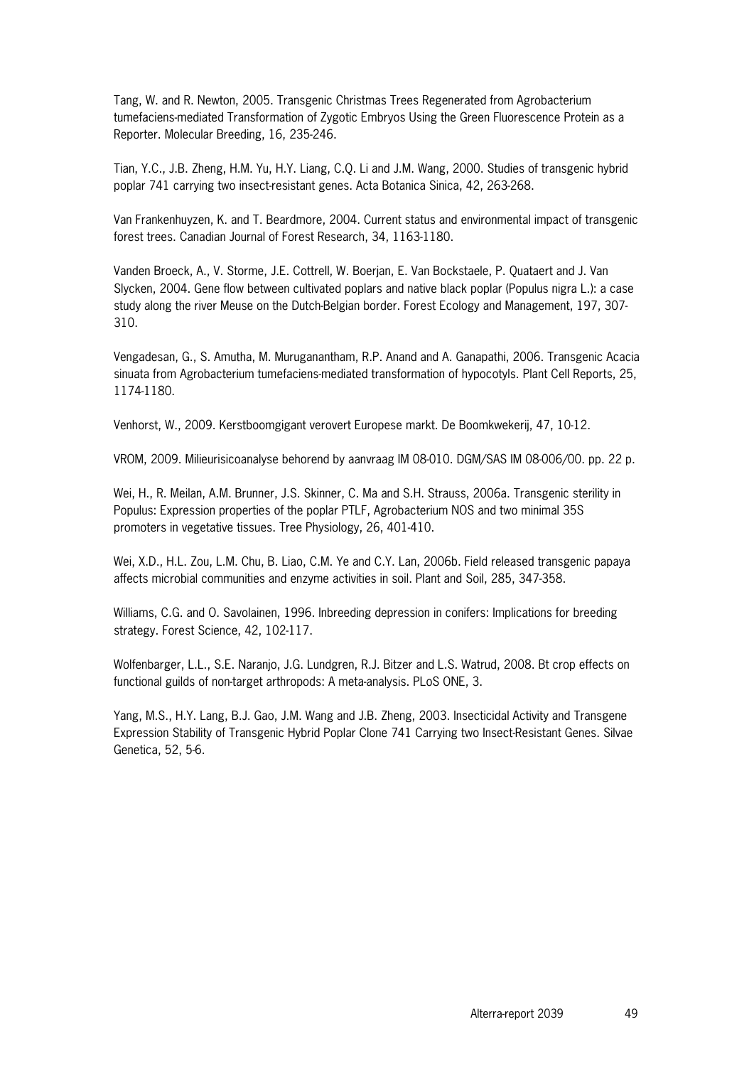Tang, W. and R. Newton, 2005. Transgenic Christmas Trees Regenerated from Agrobacterium tumefaciens-mediated Transformation of Zygotic Embryos Using the Green Fluorescence Protein as a Reporter. Molecular Breeding, 16, 235-246.

Tian, Y.C., J.B. Zheng, H.M. Yu, H.Y. Liang, C.Q. Li and J.M. Wang, 2000. Studies of transgenic hybrid poplar 741 carrying two insect-resistant genes. Acta Botanica Sinica, 42, 263-268.

Van Frankenhuyzen, K. and T. Beardmore, 2004. Current status and environmental impact of transgenic forest trees. Canadian Journal of Forest Research, 34, 1163-1180.

Vanden Broeck, A., V. Storme, J.E. Cottrell, W. Boerjan, E. Van Bockstaele, P. Quataert and J. Van Slycken, 2004. Gene flow between cultivated poplars and native black poplar (Populus nigra L.): a case study along the river Meuse on the Dutch-Belgian border. Forest Ecology and Management, 197, 307- 310.

Vengadesan, G., S. Amutha, M. Muruganantham, R.P. Anand and A. Ganapathi, 2006. Transgenic Acacia sinuata from Agrobacterium tumefaciens-mediated transformation of hypocotyls. Plant Cell Reports, 25, 1174-1180.

Venhorst, W., 2009. Kerstboomgigant verovert Europese markt. De Boomkwekerij, 47, 10-12.

VROM, 2009. Milieurisicoanalyse behorend by aanvraag IM 08-010. DGM/SAS IM 08-006/00. pp. 22 p.

Wei, H., R. Meilan, A.M. Brunner, J.S. Skinner, C. Ma and S.H. Strauss, 2006a. Transgenic sterility in Populus: Expression properties of the poplar PTLF, Agrobacterium NOS and two minimal 35S promoters in vegetative tissues. Tree Physiology, 26, 401-410.

Wei, X.D., H.L. Zou, L.M. Chu, B. Liao, C.M. Ye and C.Y. Lan, 2006b. Field released transgenic papaya affects microbial communities and enzyme activities in soil. Plant and Soil, 285, 347-358.

Williams, C.G. and O. Savolainen, 1996. Inbreeding depression in conifers: Implications for breeding strategy. Forest Science, 42, 102-117.

Wolfenbarger, L.L., S.E. Naranjo, J.G. Lundgren, R.J. Bitzer and L.S. Watrud, 2008. Bt crop effects on functional guilds of non-target arthropods: A meta-analysis. PLoS ONE, 3.

Yang, M.S., H.Y. Lang, B.J. Gao, J.M. Wang and J.B. Zheng, 2003. Insecticidal Activity and Transgene Expression Stability of Transgenic Hybrid Poplar Clone 741 Carrying two Insect-Resistant Genes. Silvae Genetica, 52, 5-6.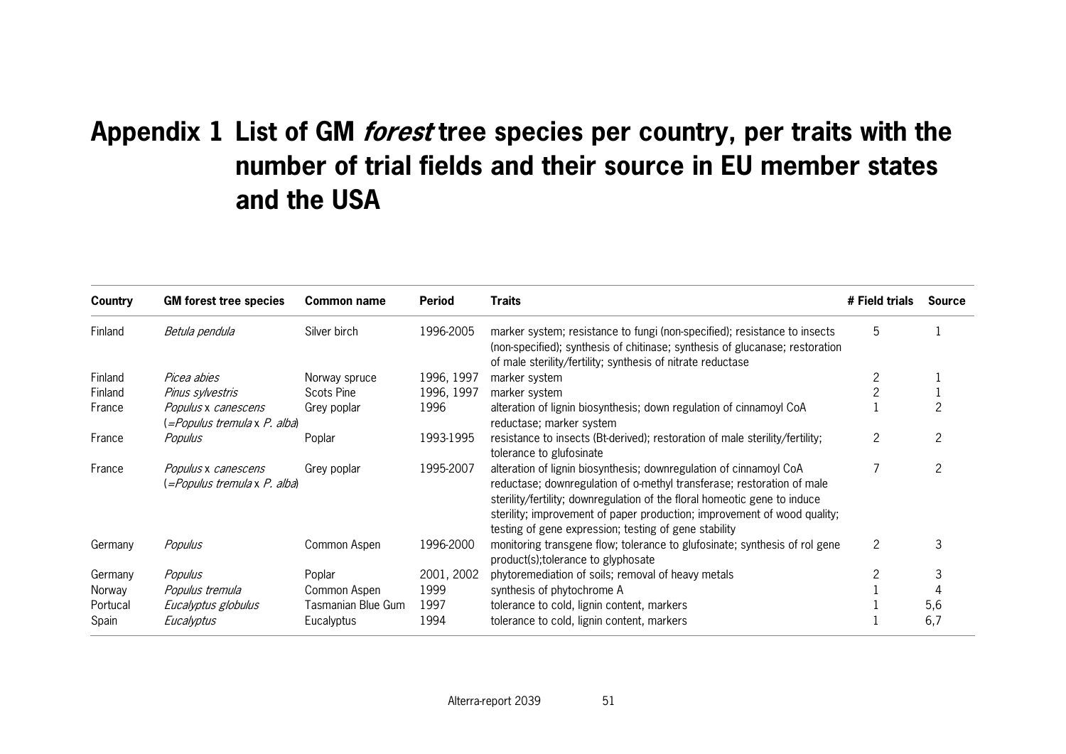## **Appendix 1 List of GM forest tree species per country, per traits with the number of trial fields and their source in EU member states and the USA**

| Country  | <b>GM</b> forest tree species                       | Common name        | Period     | <b>Traits</b>                                                                                                                                                                                                                                                                                                                                                  | # Field trials | <b>Source</b> |
|----------|-----------------------------------------------------|--------------------|------------|----------------------------------------------------------------------------------------------------------------------------------------------------------------------------------------------------------------------------------------------------------------------------------------------------------------------------------------------------------------|----------------|---------------|
| Finland  | Betula pendula                                      | Silver birch       | 1996-2005  | marker system; resistance to fungi (non-specified); resistance to insects<br>(non-specified); synthesis of chitinase; synthesis of glucanase; restoration<br>of male sterility/fertility; synthesis of nitrate reductase                                                                                                                                       | 5              |               |
| Finland  | Picea abies                                         | Norway spruce      | 1996, 1997 | marker system                                                                                                                                                                                                                                                                                                                                                  | 2              |               |
| Finland  | Pinus sylvestris                                    | <b>Scots Pine</b>  | 1996, 1997 | marker system                                                                                                                                                                                                                                                                                                                                                  |                |               |
| France   | Populus x canescens<br>(=Populus tremula x P. alba) | Grey poplar        | 1996       | alteration of lignin biosynthesis; down regulation of cinnamoyl CoA<br>reductase; marker system                                                                                                                                                                                                                                                                |                |               |
| France   | Populus                                             | Poplar             | 1993-1995  | resistance to insects (Bt-derived); restoration of male sterility/fertility;<br>tolerance to glufosinate                                                                                                                                                                                                                                                       | 2              | 2             |
| France   | Populus x canescens<br>(=Populus tremula x P. alba) | Grey poplar        | 1995-2007  | alteration of lignin biosynthesis; downregulation of cinnamoyl CoA<br>reductase; downregulation of o-methyl transferase; restoration of male<br>sterility/fertility; downregulation of the floral homeotic gene to induce<br>sterility; improvement of paper production; improvement of wood quality;<br>testing of gene expression; testing of gene stability |                | 2             |
| Germany  | Populus                                             | Common Aspen       | 1996-2000  | monitoring transgene flow; tolerance to glufosinate; synthesis of rol gene<br>product(s); tolerance to glyphosate                                                                                                                                                                                                                                              | 2              | 3             |
| Germany  | Populus                                             | Poplar             | 2001, 2002 | phytoremediation of soils; removal of heavy metals                                                                                                                                                                                                                                                                                                             |                | 3             |
| Norway   | Populus tremula                                     | Common Aspen       | 1999       | synthesis of phytochrome A                                                                                                                                                                                                                                                                                                                                     |                |               |
| Portucal | Eucalyptus globulus                                 | Tasmanian Blue Gum | 1997       | tolerance to cold, lignin content, markers                                                                                                                                                                                                                                                                                                                     |                | 5,6           |
| Spain    | Eucalyptus                                          | Eucalyptus         | 1994       | tolerance to cold, lignin content, markers                                                                                                                                                                                                                                                                                                                     |                | 6,7           |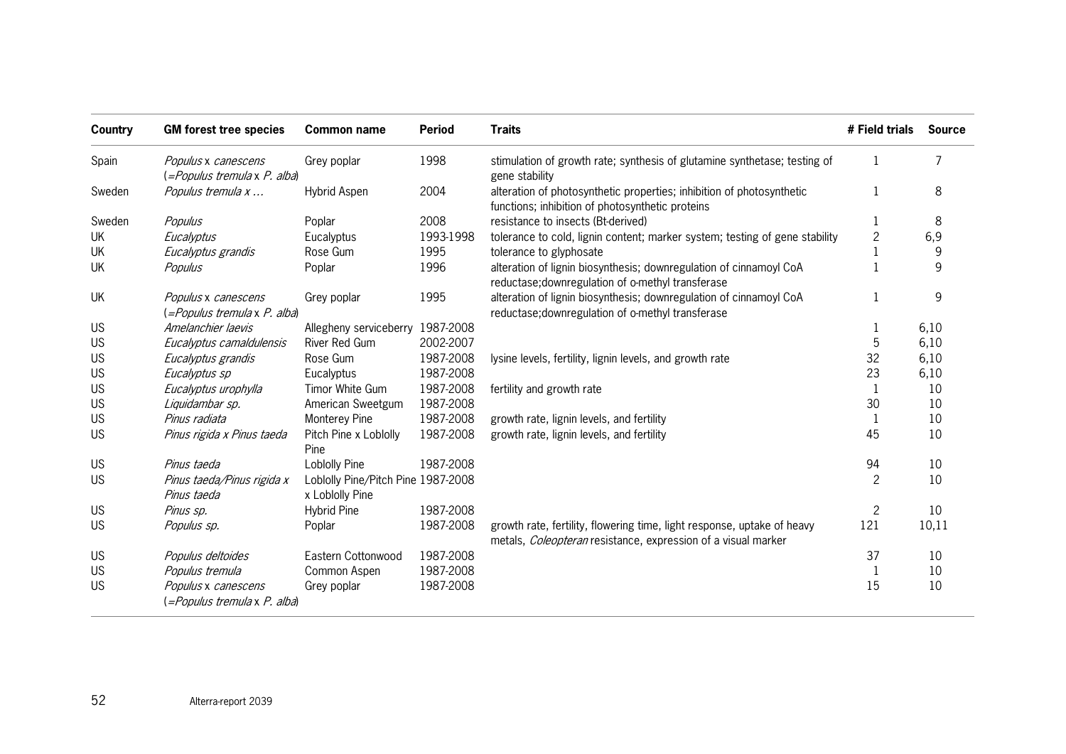| Country   | <b>GM</b> forest tree species                       | <b>Common name</b>                                    | <b>Period</b> | <b>Traits</b>                                                                                                                            | # Field trials | <b>Source</b> |
|-----------|-----------------------------------------------------|-------------------------------------------------------|---------------|------------------------------------------------------------------------------------------------------------------------------------------|----------------|---------------|
| Spain     | Populus x canescens<br>(=Populus tremula x P. alba) | Grey poplar                                           | 1998          | stimulation of growth rate; synthesis of glutamine synthetase; testing of<br>gene stability                                              | 1              | 7             |
| Sweden    | Populus tremula x                                   | Hybrid Aspen                                          | 2004          | alteration of photosynthetic properties; inhibition of photosynthetic<br>functions; inhibition of photosynthetic proteins                |                | 8             |
| Sweden    | Populus                                             | Poplar                                                | 2008          | resistance to insects (Bt-derived)                                                                                                       | 1              | 8             |
| UK        | Eucalyptus                                          | Eucalyptus                                            | 1993-1998     | tolerance to cold, lignin content; marker system; testing of gene stability                                                              | $\overline{c}$ | 6,9           |
| UK        | Eucalyptus grandis                                  | Rose Gum                                              | 1995          | tolerance to glyphosate                                                                                                                  |                | 9             |
| UK        | Populus                                             | Poplar                                                | 1996          | alteration of lignin biosynthesis; downregulation of cinnamoyl CoA<br>reductase; downregulation of o-methyl transferase                  | $\mathbf{1}$   | 9             |
| UK        | Populus x canescens<br>(=Populus tremula x P. alba) | Grey poplar                                           | 1995          | alteration of lignin biosynthesis; downregulation of cinnamoyl CoA<br>reductase; downregulation of o-methyl transferase                  |                | 9             |
| <b>US</b> | Amelanchier laevis                                  | Allegheny serviceberry 1987-2008                      |               |                                                                                                                                          | 1              | 6,10          |
| <b>US</b> | Eucalyptus camaldulensis                            | River Red Gum                                         | 2002-2007     |                                                                                                                                          | 5              | 6,10          |
| <b>US</b> | Eucalyptus grandis                                  | Rose Gum                                              | 1987-2008     | lysine levels, fertility, lignin levels, and growth rate                                                                                 | 32             | 6,10          |
| US        | Eucalyptus sp                                       | Eucalyptus                                            | 1987-2008     |                                                                                                                                          | 23             | 6,10          |
| <b>US</b> | Eucalyptus urophylla                                | Timor White Gum                                       | 1987-2008     | fertility and growth rate                                                                                                                | $\mathbf{1}$   | 10            |
| <b>US</b> | Liquidambar sp.                                     | American Sweetgum                                     | 1987-2008     |                                                                                                                                          | 30             | 10            |
| <b>US</b> | Pinus radiata                                       | Monterey Pine                                         | 1987-2008     | growth rate, lignin levels, and fertility                                                                                                | 1              | 10            |
| <b>US</b> | Pinus rigida x Pinus taeda                          | Pitch Pine x Loblolly<br>Pine                         | 1987-2008     | growth rate, lignin levels, and fertility                                                                                                | 45             | 10            |
| <b>US</b> | Pinus taeda                                         | Loblolly Pine                                         | 1987-2008     |                                                                                                                                          | 94             | 10            |
| <b>US</b> | Pinus taeda/Pinus rigida x<br>Pinus taeda           | Loblolly Pine/Pitch Pine 1987-2008<br>x Loblolly Pine |               |                                                                                                                                          | $\overline{2}$ | 10            |
| <b>US</b> | Pinus sp.                                           | <b>Hybrid Pine</b>                                    | 1987-2008     |                                                                                                                                          | $\overline{c}$ | 10            |
| <b>US</b> | Populus sp.                                         | Poplar                                                | 1987-2008     | growth rate, fertility, flowering time, light response, uptake of heavy<br>metals, Coleopteran resistance, expression of a visual marker | 121            | 10,11         |
| <b>US</b> | Populus deltoides                                   | Eastern Cottonwood                                    | 1987-2008     |                                                                                                                                          | 37             | 10            |
| <b>US</b> | Populus tremula                                     | Common Aspen                                          | 1987-2008     |                                                                                                                                          | 1              | 10            |
| <b>US</b> | Populus x canescens<br>(=Populus tremula x P. alba) | Grey poplar                                           | 1987-2008     |                                                                                                                                          | 15             | 10            |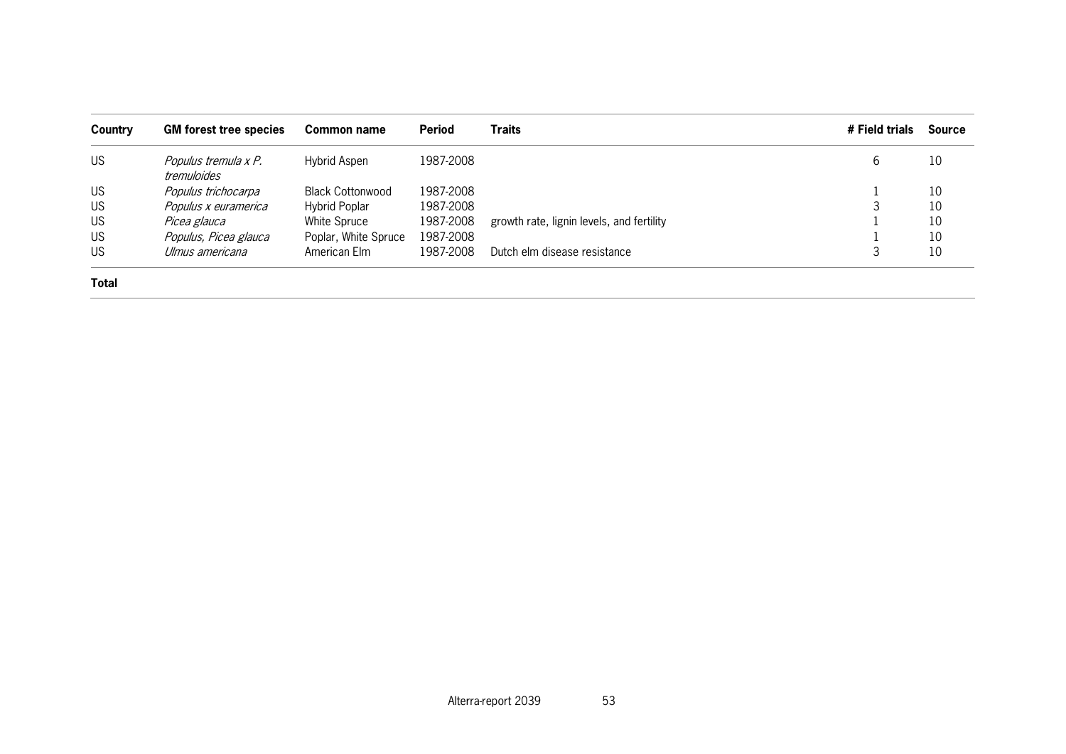| Country      | <b>GM</b> forest tree species       | Common name             | <b>Period</b> | <b>Traits</b>                             | # Field trials | <b>Source</b> |
|--------------|-------------------------------------|-------------------------|---------------|-------------------------------------------|----------------|---------------|
| <b>US</b>    | Populus tremula x P.<br>tremuloides | Hybrid Aspen            | 1987-2008     |                                           | 6              | 10            |
| US           | Populus trichocarpa                 | <b>Black Cottonwood</b> | 1987-2008     |                                           |                | 10            |
| <b>US</b>    | Populus x euramerica                | <b>Hybrid Poplar</b>    | 1987-2008     |                                           |                | 10            |
| <b>US</b>    | Picea glauca                        | White Spruce            | 1987-2008     | growth rate, lignin levels, and fertility |                | 10            |
| <b>US</b>    | Populus, Picea glauca               | Poplar, White Spruce    | 1987-2008     |                                           |                | 10            |
| <b>US</b>    | Ulmus americana                     | American Elm            | 1987-2008     | Dutch elm disease resistance              | З              | 10            |
| <b>Total</b> |                                     |                         |               |                                           |                |               |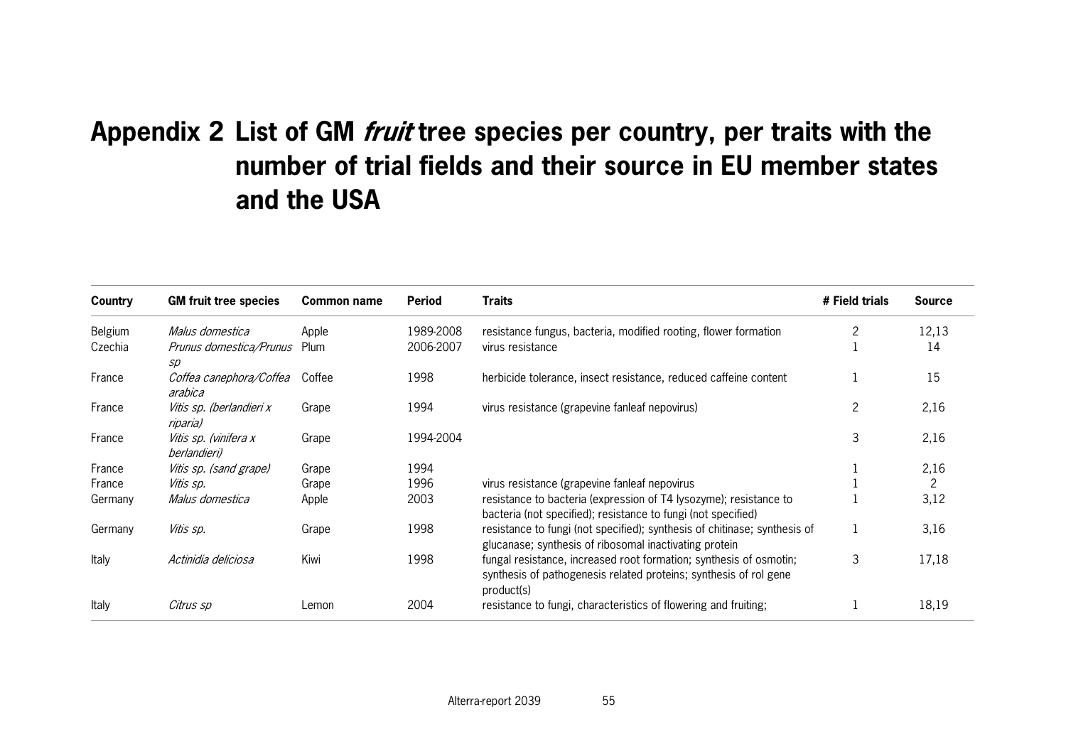## **Appendix 2 List of GM fruit tree species per country, per traits with the number of trial fields and their source in EU member states and the USA**

| Country | <b>GM fruit tree species</b>                 | Common name | Period    | <b>Traits</b>                                                                                                                                         | # Field trials | <b>Source</b> |
|---------|----------------------------------------------|-------------|-----------|-------------------------------------------------------------------------------------------------------------------------------------------------------|----------------|---------------|
| Belgium | Malus domestica                              | Apple       | 1989-2008 | resistance fungus, bacteria, modified rooting, flower formation                                                                                       |                | 12,13         |
| Czechia | <i>Prunus domestica/Prunus</i> Plum<br>SD    |             | 2006-2007 | virus resistance                                                                                                                                      |                | 14            |
| France  | Coffea canephora/Coffea<br>arabica           | Coffee      | 1998      | herbicide tolerance, insect resistance, reduced caffeine content                                                                                      |                | 15            |
| France  | Vitis sp. (berlandieri x<br>riparia)         | Grape       | 1994      | virus resistance (grapevine fanleaf nepovirus)                                                                                                        | 2              | 2,16          |
| France  | Vitis sp. (vinifera x<br><i>berlandieri)</i> | Grape       | 1994-2004 |                                                                                                                                                       | 3              | 2,16          |
| France  | Vitis sp. (sand grape)                       | Grape       | 1994      |                                                                                                                                                       |                | 2,16          |
| France  | Vitis sp.                                    | Grape       | 1996      | virus resistance (grapevine fanleaf nepovirus                                                                                                         |                | 2             |
| Germany | Malus domestica                              | Apple       | 2003      | resistance to bacteria (expression of T4 lysozyme); resistance to<br>bacteria (not specified); resistance to fungi (not specified)                    |                | 3,12          |
| Germany | Vitis sp.                                    | Grape       | 1998      | resistance to fungi (not specified); synthesis of chitinase; synthesis of<br>glucanase; synthesis of ribosomal inactivating protein                   |                | 3,16          |
| Italy   | Actinidia deliciosa                          | Kiwi        | 1998      | fungal resistance, increased root formation; synthesis of osmotin;<br>synthesis of pathogenesis related proteins; synthesis of rol gene<br>product(s) | 3              | 17,18         |
| Italy   | Citrus sp                                    | Lemon       | 2004      | resistance to fungi, characteristics of flowering and fruiting;                                                                                       |                | 18,19         |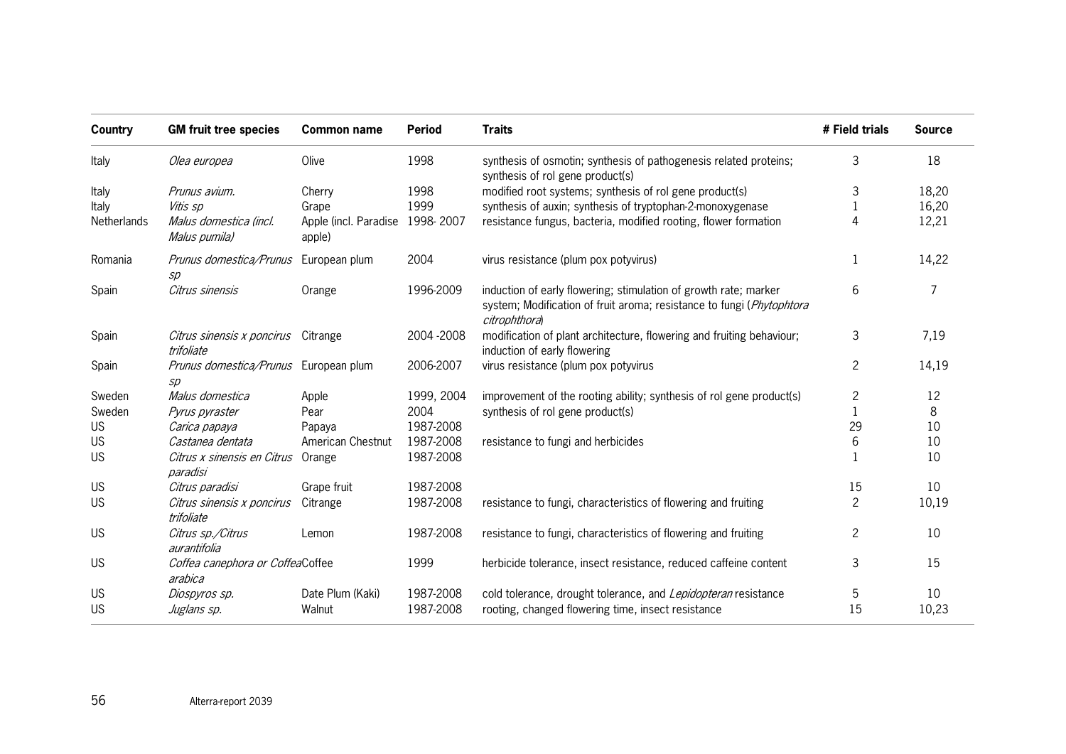| Country     | <b>GM fruit tree species</b>                                        | <b>Common name</b>                        | <b>Period</b> | <b>Traits</b>                                                                                                                                              | # Field trials | <b>Source</b> |
|-------------|---------------------------------------------------------------------|-------------------------------------------|---------------|------------------------------------------------------------------------------------------------------------------------------------------------------------|----------------|---------------|
| Italy       | Olea europea                                                        | Olive                                     | 1998          | synthesis of osmotin; synthesis of pathogenesis related proteins;<br>synthesis of rol gene product(s)                                                      | 3              | 18            |
| Italy       | Prunus avium.                                                       | Cherry                                    | 1998          | modified root systems; synthesis of rol gene product(s)                                                                                                    | 3              | 18,20         |
| Italy       | Vitis sp                                                            | Grape                                     | 1999          | synthesis of auxin; synthesis of tryptophan-2-monoxygenase                                                                                                 |                | 16,20         |
| Netherlands | Malus domestica (incl.<br>Malus pumila)                             | Apple (incl. Paradise 1998-2007<br>apple) |               | resistance fungus, bacteria, modified rooting, flower formation                                                                                            | 4              | 12,21         |
| Romania     | Prunus domestica/Prunus European plum<br>$\mathcal{S}\!\mathcal{D}$ |                                           | 2004          | virus resistance (plum pox potyvirus)                                                                                                                      |                | 14,22         |
| Spain       | Citrus sinensis                                                     | Orange                                    | 1996-2009     | induction of early flowering; stimulation of growth rate; marker<br>system; Modification of fruit aroma; resistance to fungi (Phytophtora<br>citrophthora) | 6              | 7             |
| Spain       | Citrus sinensis x poncirus Citrange<br>trifoliate                   |                                           | 2004 - 2008   | modification of plant architecture, flowering and fruiting behaviour;<br>induction of early flowering                                                      | 3              | 7,19          |
| Spain       | Prunus domestica/Prunus European plum<br>SD                         |                                           | 2006-2007     | virus resistance (plum pox potyvirus                                                                                                                       | $\overline{c}$ | 14,19         |
| Sweden      | Malus domestica                                                     | Apple                                     | 1999, 2004    | improvement of the rooting ability; synthesis of rol gene product(s)                                                                                       | $\overline{c}$ | 12            |
| Sweden      | Pyrus pyraster                                                      | Pear                                      | 2004          | synthesis of rol gene product(s)                                                                                                                           |                | 8             |
| <b>US</b>   | Carica papaya                                                       | Papaya                                    | 1987-2008     |                                                                                                                                                            | 29             | 10            |
| <b>US</b>   | Castanea dentata                                                    | American Chestnut                         | 1987-2008     | resistance to fungi and herbicides                                                                                                                         | 6              | 10            |
| <b>US</b>   | Citrus x sinensis en Citrus<br>paradisi                             | Orange                                    | 1987-2008     |                                                                                                                                                            |                | 10            |
| <b>US</b>   | Citrus paradisi                                                     | Grape fruit                               | 1987-2008     |                                                                                                                                                            | 15             | 10            |
| <b>US</b>   | Citrus sinensis x poncirus<br>trifoliate                            | Citrange                                  | 1987-2008     | resistance to fungi, characteristics of flowering and fruiting                                                                                             | $\overline{c}$ | 10,19         |
| <b>US</b>   | Citrus sp./Citrus<br>aurantifolia                                   | Lemon                                     | 1987-2008     | resistance to fungi, characteristics of flowering and fruiting                                                                                             | $\overline{c}$ | 10            |
| <b>US</b>   | Coffea canephora or CoffeaCoffee<br>arabica                         |                                           | 1999          | herbicide tolerance, insect resistance, reduced caffeine content                                                                                           | 3              | 15            |
| <b>US</b>   | Diospyros sp.                                                       | Date Plum (Kaki)                          | 1987-2008     | cold tolerance, drought tolerance, and Lepidopteran resistance                                                                                             | 5              | 10            |
| <b>US</b>   | Juglans sp.                                                         | Walnut                                    | 1987-2008     | rooting, changed flowering time, insect resistance                                                                                                         | 15             | 10,23         |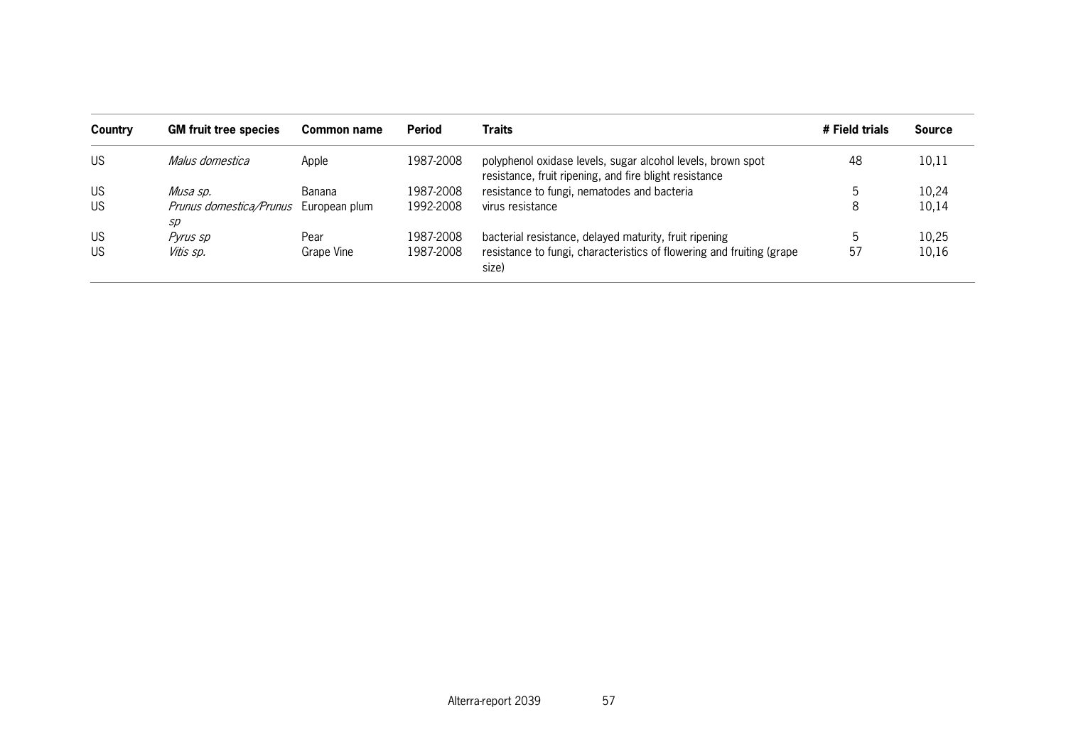| Country   | <b>GM fruit tree species</b>  | Common name   | <b>Period</b> | <b>Traits</b>                                                                                                         | # Field trials | <b>Source</b> |
|-----------|-------------------------------|---------------|---------------|-----------------------------------------------------------------------------------------------------------------------|----------------|---------------|
| <b>US</b> | Malus domestica               | Apple         | 1987-2008     | polyphenol oxidase levels, sugar alcohol levels, brown spot<br>resistance, fruit ripening, and fire blight resistance | 48             | 10,11         |
| <b>US</b> | Musa sp.                      | Banana        | 1987-2008     | resistance to fungi, nematodes and bacteria                                                                           |                | 10,24         |
| <b>US</b> | Prunus domestica/Prunus<br>sp | European plum | 1992-2008     | virus resistance                                                                                                      | 8              | 10,14         |
| <b>US</b> | Pyrus sp                      | Pear          | 1987-2008     | bacterial resistance, delayed maturity, fruit ripening                                                                |                | 10,25         |
| <b>US</b> | Vitis sp.                     | Grape Vine    | 1987-2008     | resistance to fungi, characteristics of flowering and fruiting (grape<br>size)                                        | 57             | 10,16         |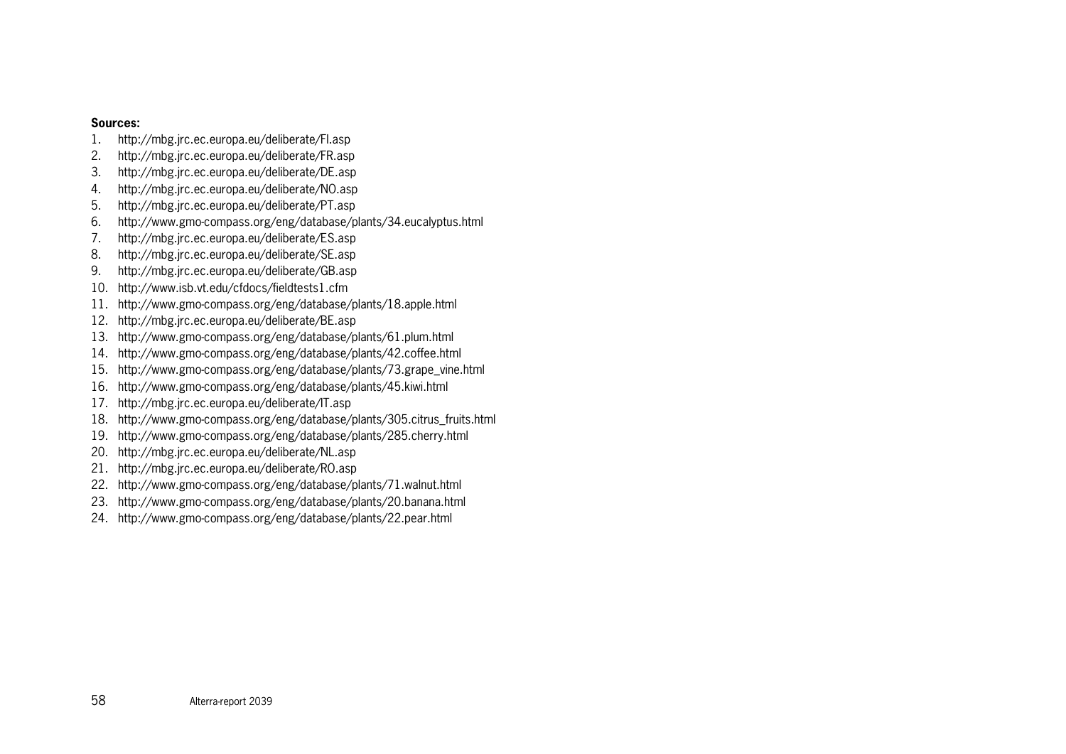#### **Sources:**

- 1.http://mbg.jrc.ec.europa.eu/deliberate/FI.asp
- 2.http://mbg.jrc.ec.europa.eu/deliberate/FR.asp
- 3.http://mbg.jrc.ec.europa.eu/deliberate/DE.asp
- 4.http://mbg.jrc.ec.europa.eu/deliberate/NO.asp
- 5.http://mbg.jrc.ec.europa.eu/deliberate/PT.asp
- 6.http://www.gmo-compass.org/eng/database/plants/34.eucalyptus.html
- 7.http://mbg.jrc.ec.europa.eu/deliberate/ES.asp
- 8.http://mbg.jrc.ec.europa.eu/deliberate/SE.asp
- 9.http://mbg.jrc.ec.europa.eu/deliberate/GB.asp
- 10. http://www.isb.vt.edu/cfdocs/fieldtests1.cfm
- 11. http://www.gmo-compass.org/eng/database/plants/18.apple.html
- 12. http://mbg.jrc.ec.europa.eu/deliberate/BE.asp
- 13. http://www.gmo-compass.org/eng/database/plants/61.plum.html
- 14. http://www.gmo-compass.org/eng/database/plants/42.coffee.html
- 15. http://www.gmo-compass.org/eng/database/plants/73.grape\_vine.html
- 16. http://www.gmo-compass.org/eng/database/plants/45.kiwi.html
- 17. http://mbg.jrc.ec.europa.eu/deliberate/IT.asp
- 18. http://www.gmo-compass.org/eng/database/plants/305.citrus\_fruits.html
- 19. http://www.gmo-compass.org/eng/database/plants/285.cherry.html
- 20. http://mbg.jrc.ec.europa.eu/deliberate/NL.asp
- 21. http://mbg.jrc.ec.europa.eu/deliberate/RO.asp
- 22. http://www.gmo-compass.org/eng/database/plants/71.walnut.html
- 23. http://www.gmo-compass.org/eng/database/plants/20.banana.html
- 24. http://www.gmo-compass.org/eng/database/plants/22.pear.html